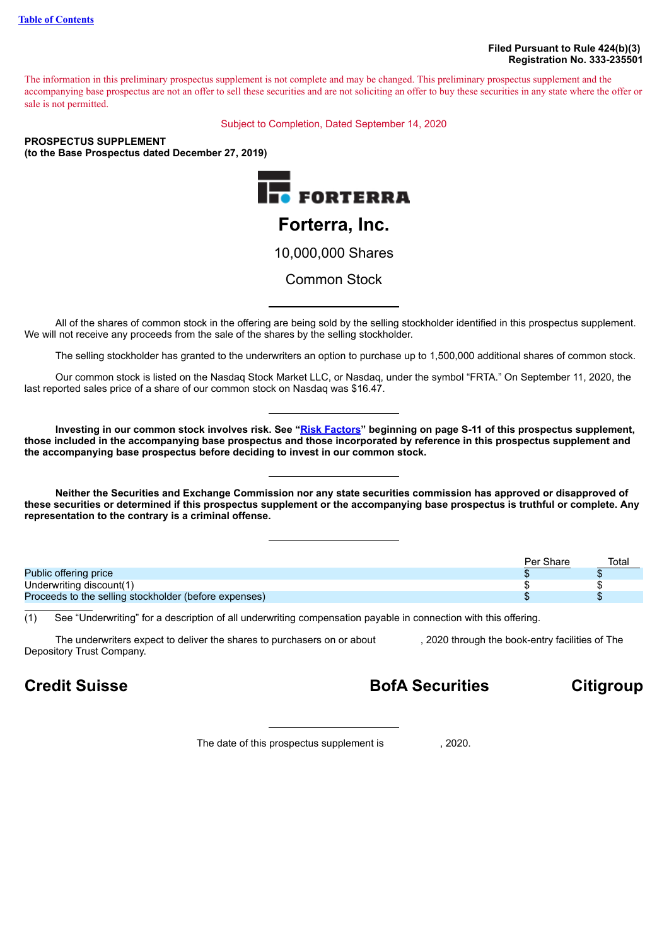The information in this preliminary prospectus supplement is not complete and may be changed. This preliminary prospectus supplement and the accompanying base prospectus are not an offer to sell these securities and are not soliciting an offer to buy these securities in any state where the offer or sale is not permitted.

Subject to Completion, Dated September 14, 2020

### **PROSPECTUS SUPPLEMENT (to the Base Prospectus dated December 27, 2019)**



All of the shares of common stock in the offering are being sold by the selling stockholder identified in this prospectus supplement. We will not receive any proceeds from the sale of the shares by the selling stockholder.

The selling stockholder has granted to the underwriters an option to purchase up to 1,500,000 additional shares of common stock.

Our common stock is listed on the Nasdaq Stock Market LLC, or Nasdaq, under the symbol "FRTA." On September 11, 2020, the last reported sales price of a share of our common stock on Nasdaq was \$16.47.

Investing in our common stock involves risk. See "Risk [Factors](#page-12-0)" beginning on page S-11 of this prospectus supplement, those included in the accompanying base prospectus and those incorporated by reference in this prospectus supplement and **the accompanying base prospectus before deciding to invest in our common stock.**

Neither the Securities and Exchange Commission nor any state securities commission has approved or disapproved of these securities or determined if this prospectus supplement or the accompanying base prospectus is truthful or complete. Any **representation to the contrary is a criminal offense.**

|                                                       | Per Share | Total |
|-------------------------------------------------------|-----------|-------|
| Public offering price                                 |           |       |
| Underwriting discount(1)                              |           |       |
| Proceeds to the selling stockholder (before expenses) |           |       |

(1) See "Underwriting" for a description of all underwriting compensation payable in connection with this offering.

The underwriters expect to deliver the shares to purchasers on or about , 2020 through the book-entry facilities of The Depository Trust Company.

**Credit Suisse BofA Securities Citigroup**

The date of this prospectus supplement is , 2020.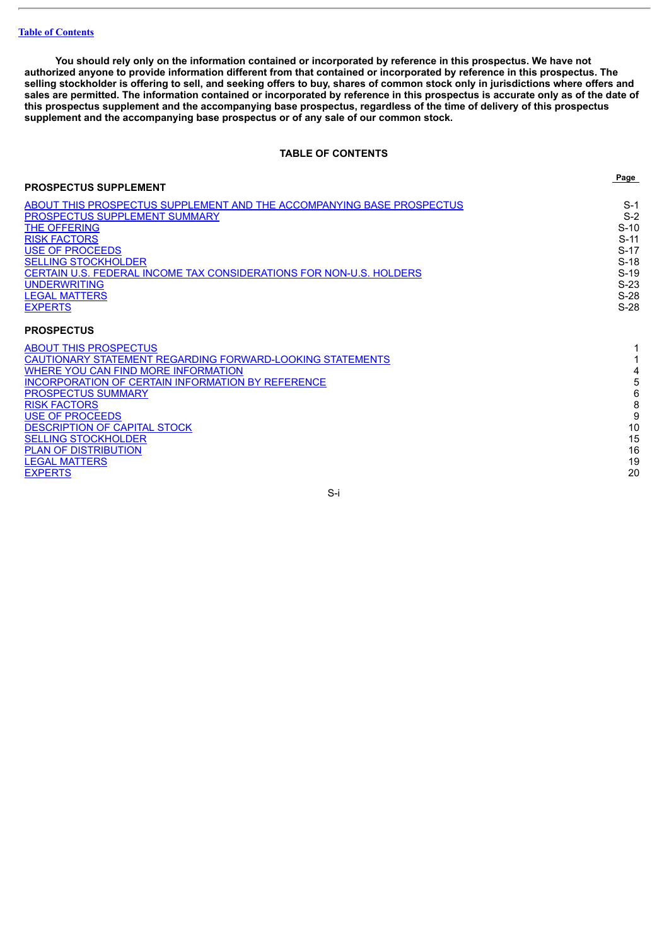You should rely only on the information contained or incorporated by reference in this prospectus. We have not authorized anyone to provide information different from that contained or incorporated by reference in this prospectus. The selling stockholder is offering to sell, and seeking offers to buy, shares of common stock only in jurisdictions where offers and sales are permitted. The information contained or incorporated by reference in this prospectus is accurate only as of the date of this prospectus supplement and the accompanying base prospectus, regardless of the time of delivery of this prospectus **supplement and the accompanying base prospectus or of any sale of our common stock.**

### **TABLE OF CONTENTS**

<span id="page-1-0"></span>

|                                                                       | Page   |
|-----------------------------------------------------------------------|--------|
| <b>PROSPECTUS SUPPLEMENT</b>                                          |        |
| ABOUT THIS PROSPECTUS SUPPLEMENT AND THE ACCOMPANYING BASE PROSPECTUS | $S-1$  |
| PROSPECTUS SUPPLEMENT SUMMARY                                         | $S-2$  |
| THE OFFERING                                                          | $S-10$ |
| <b>RISK FACTORS</b>                                                   | $S-11$ |
| <b>USE OF PROCEEDS</b>                                                | $S-17$ |
| <b>SELLING STOCKHOLDER</b>                                            | $S-18$ |
| CERTAIN U.S. FEDERAL INCOME TAX CONSIDERATIONS FOR NON-U.S. HOLDERS   | $S-19$ |
| <b>UNDERWRITING</b>                                                   | $S-23$ |
| <b>LEGAL MATTERS</b>                                                  | $S-28$ |
| <b>EXPERTS</b>                                                        | $S-28$ |
| <b>PROSPECTUS</b>                                                     |        |
| <b>ABOUT THIS PROSPECTUS</b>                                          |        |
| CAUTIONARY STATEMENT REGARDING FORWARD-LOOKING STATEMENTS             |        |
| WHERE YOU CAN FIND MORE INFORMATION                                   | 4      |
| <b>INCORPORATION OF CERTAIN INFORMATION BY REFERENCE</b>              | 5      |
| <b>PROSPECTUS SUMMARY</b>                                             | 6      |
| <b>RISK FACTORS</b>                                                   | 8      |
| <b>USE OF PROCEEDS</b>                                                | 9      |
| <b>DESCRIPTION OF CAPITAL STOCK</b>                                   | 10     |
| <b>SELLING STOCKHOLDER</b>                                            | 15     |
| <b>PLAN OF DISTRIBUTION</b>                                           | 16     |
| <b>LEGAL MATTERS</b>                                                  | 19     |
| <b>EXPERTS</b>                                                        | 20     |
|                                                                       |        |

S-i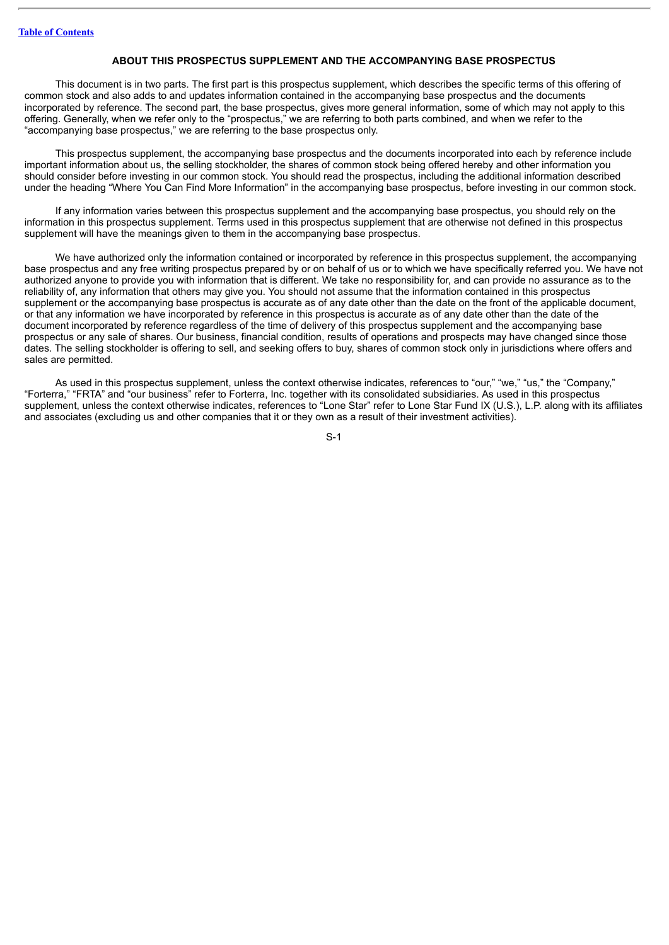### **ABOUT THIS PROSPECTUS SUPPLEMENT AND THE ACCOMPANYING BASE PROSPECTUS**

<span id="page-2-0"></span>This document is in two parts. The first part is this prospectus supplement, which describes the specific terms of this offering of common stock and also adds to and updates information contained in the accompanying base prospectus and the documents incorporated by reference. The second part, the base prospectus, gives more general information, some of which may not apply to this offering. Generally, when we refer only to the "prospectus," we are referring to both parts combined, and when we refer to the "accompanying base prospectus," we are referring to the base prospectus only.

This prospectus supplement, the accompanying base prospectus and the documents incorporated into each by reference include important information about us, the selling stockholder, the shares of common stock being offered hereby and other information you should consider before investing in our common stock. You should read the prospectus, including the additional information described under the heading "Where You Can Find More Information" in the accompanying base prospectus, before investing in our common stock.

If any information varies between this prospectus supplement and the accompanying base prospectus, you should rely on the information in this prospectus supplement. Terms used in this prospectus supplement that are otherwise not defined in this prospectus supplement will have the meanings given to them in the accompanying base prospectus.

We have authorized only the information contained or incorporated by reference in this prospectus supplement, the accompanying base prospectus and any free writing prospectus prepared by or on behalf of us or to which we have specifically referred you. We have not authorized anyone to provide you with information that is different. We take no responsibility for, and can provide no assurance as to the reliability of, any information that others may give you. You should not assume that the information contained in this prospectus supplement or the accompanying base prospectus is accurate as of any date other than the date on the front of the applicable document. or that any information we have incorporated by reference in this prospectus is accurate as of any date other than the date of the document incorporated by reference regardless of the time of delivery of this prospectus supplement and the accompanying base prospectus or any sale of shares. Our business, financial condition, results of operations and prospects may have changed since those dates. The selling stockholder is offering to sell, and seeking offers to buy, shares of common stock only in jurisdictions where offers and sales are permitted.

As used in this prospectus supplement, unless the context otherwise indicates, references to "our," "we," "us," the "Company," "Forterra," "FRTA" and "our business" refer to Forterra, Inc. together with its consolidated subsidiaries. As used in this prospectus supplement, unless the context otherwise indicates, references to "Lone Star" refer to Lone Star Fund IX (U.S.), L.P. along with its affiliates and associates (excluding us and other companies that it or they own as a result of their investment activities).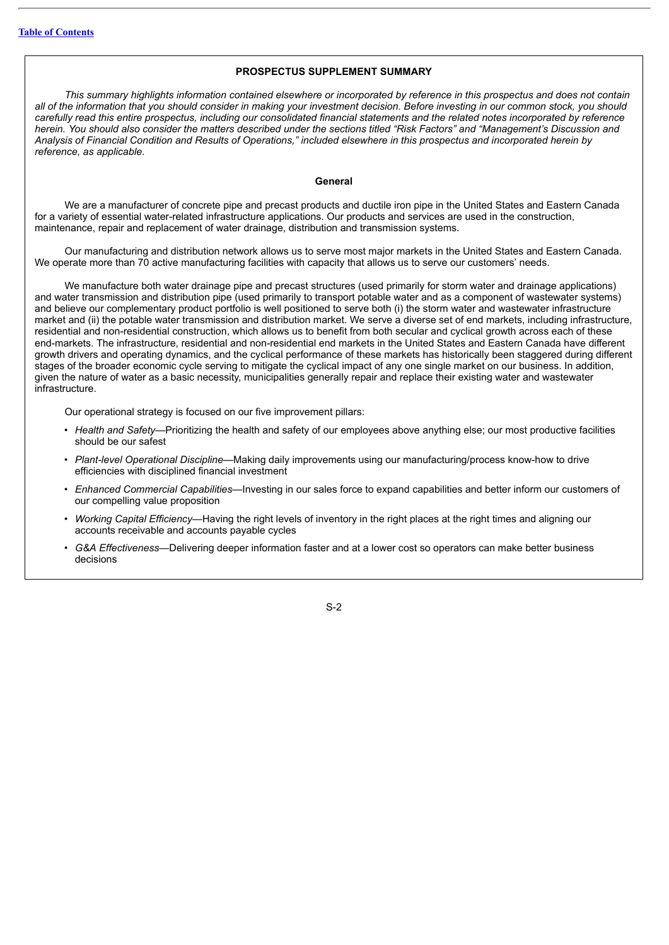### **PROSPECTUS SUPPLEMENT SUMMARY**

<span id="page-3-0"></span>This summary highlights information contained elsewhere or incorporated by reference in this prospectus and does not contain all of the information that you should consider in making your investment decision. Before investing in our common stock, you should carefully read this entire prospectus, including our consolidated financial statements and the related notes incorporated by reference herein. You should also consider the matters described under the sections titled "Risk Factors" and "Management's Discussion and Analysis of Financial Condition and Results of Operations," included elsewhere in this prospectus and incorporated herein by *reference, as applicable.*

### **General**

We are a manufacturer of concrete pipe and precast products and ductile iron pipe in the United States and Eastern Canada for a variety of essential water-related infrastructure applications. Our products and services are used in the construction, maintenance, repair and replacement of water drainage, distribution and transmission systems.

Our manufacturing and distribution network allows us to serve most major markets in the United States and Eastern Canada. We operate more than 70 active manufacturing facilities with capacity that allows us to serve our customers' needs.

We manufacture both water drainage pipe and precast structures (used primarily for storm water and drainage applications) and water transmission and distribution pipe (used primarily to transport potable water and as a component of wastewater systems) and believe our complementary product portfolio is well positioned to serve both (i) the storm water and wastewater infrastructure market and (ii) the potable water transmission and distribution market. We serve a diverse set of end markets, including infrastructure, residential and non-residential construction, which allows us to benefit from both secular and cyclical growth across each of these end-markets. The infrastructure, residential and non-residential end markets in the United States and Eastern Canada have different growth drivers and operating dynamics, and the cyclical performance of these markets has historically been staggered during different stages of the broader economic cycle serving to mitigate the cyclical impact of any one single market on our business. In addition, given the nature of water as a basic necessity, municipalities generally repair and replace their existing water and wastewater infrastructure.

Our operational strategy is focused on our five improvement pillars:

- *Health and Safety*—Prioritizing the health and safety of our employees above anything else; our most productive facilities should be our safest
- *Plant-level Operational Discipline*—Making daily improvements using our manufacturing/process know-how to drive efficiencies with disciplined financial investment
- *Enhanced Commercial Capabilities*—Investing in our sales force to expand capabilities and better inform our customers of our compelling value proposition
- *Working Capital Efficiency*—Having the right levels of inventory in the right places at the right times and aligning our accounts receivable and accounts payable cycles
- *G&A Effectiveness*—Delivering deeper information faster and at a lower cost so operators can make better business decisions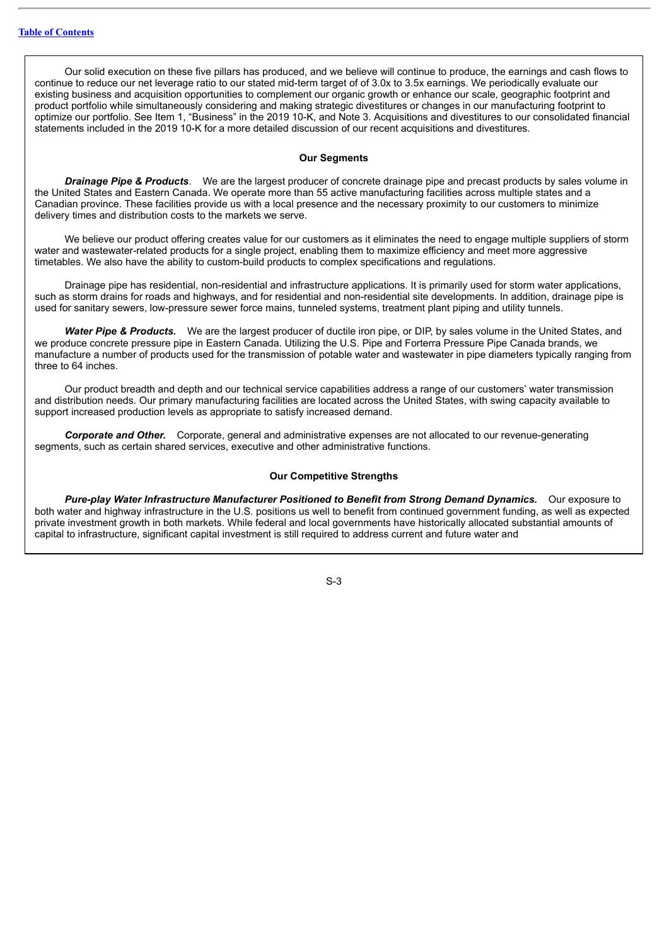Our solid execution on these five pillars has produced, and we believe will continue to produce, the earnings and cash flows to continue to reduce our net leverage ratio to our stated mid-term target of of 3.0x to 3.5x earnings. We periodically evaluate our existing business and acquisition opportunities to complement our organic growth or enhance our scale, geographic footprint and product portfolio while simultaneously considering and making strategic divestitures or changes in our manufacturing footprint to optimize our portfolio. See Item 1, "Business" in the 2019 10-K, and Note 3. Acquisitions and divestitures to our consolidated financial statements included in the 2019 10-K for a more detailed discussion of our recent acquisitions and divestitures.

### **Our Segments**

*Drainage Pipe & Products*. We are the largest producer of concrete drainage pipe and precast products by sales volume in the United States and Eastern Canada. We operate more than 55 active manufacturing facilities across multiple states and a Canadian province. These facilities provide us with a local presence and the necessary proximity to our customers to minimize delivery times and distribution costs to the markets we serve.

We believe our product offering creates value for our customers as it eliminates the need to engage multiple suppliers of storm water and wastewater-related products for a single project, enabling them to maximize efficiency and meet more aggressive timetables. We also have the ability to custom-build products to complex specifications and regulations.

Drainage pipe has residential, non-residential and infrastructure applications. It is primarily used for storm water applications, such as storm drains for roads and highways, and for residential and non-residential site developments. In addition, drainage pipe is used for sanitary sewers, low-pressure sewer force mains, tunneled systems, treatment plant piping and utility tunnels.

*Water Pipe & Products.* We are the largest producer of ductile iron pipe, or DIP, by sales volume in the United States, and we produce concrete pressure pipe in Eastern Canada. Utilizing the U.S. Pipe and Forterra Pressure Pipe Canada brands, we manufacture a number of products used for the transmission of potable water and wastewater in pipe diameters typically ranging from three to 64 inches.

Our product breadth and depth and our technical service capabilities address a range of our customers' water transmission and distribution needs. Our primary manufacturing facilities are located across the United States, with swing capacity available to support increased production levels as appropriate to satisfy increased demand.

*Corporate and Other.* Corporate, general and administrative expenses are not allocated to our revenue-generating segments, such as certain shared services, executive and other administrative functions.

### **Our Competitive Strengths**

*Pure-play Water Infrastructure Manufacturer Positioned to Benefit from Strong Demand Dynamics.* Our exposure to both water and highway infrastructure in the U.S. positions us well to benefit from continued government funding, as well as expected private investment growth in both markets. While federal and local governments have historically allocated substantial amounts of capital to infrastructure, significant capital investment is still required to address current and future water and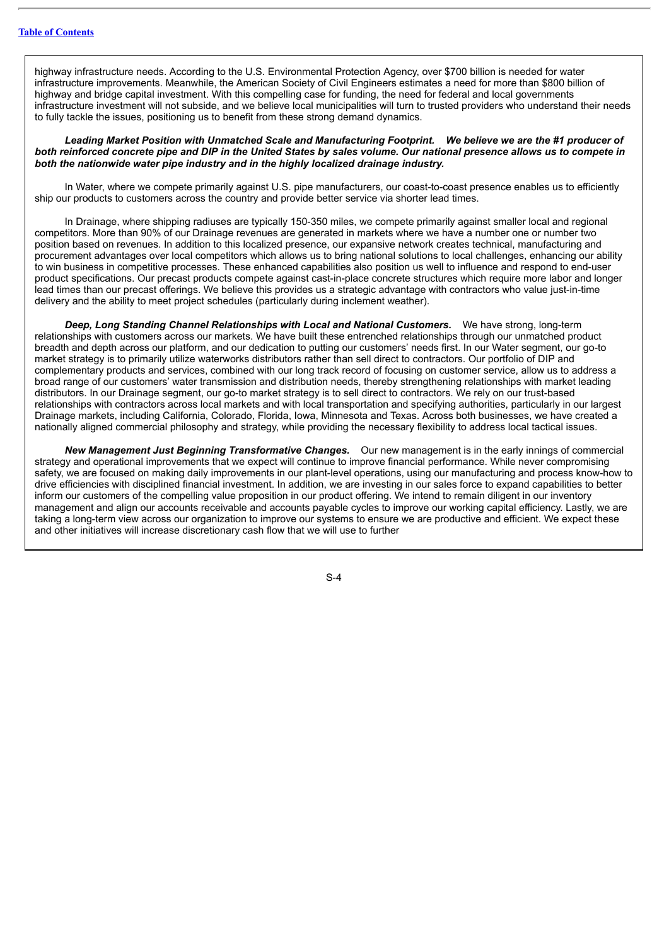highway infrastructure needs. According to the U.S. Environmental Protection Agency, over \$700 billion is needed for water infrastructure improvements. Meanwhile, the American Society of Civil Engineers estimates a need for more than \$800 billion of highway and bridge capital investment. With this compelling case for funding, the need for federal and local governments infrastructure investment will not subside, and we believe local municipalities will turn to trusted providers who understand their needs to fully tackle the issues, positioning us to benefit from these strong demand dynamics.

Leading Market Position with Unmatched Scale and Manufacturing Footprint. We believe we are the #1 producer of both reinforced concrete pipe and DIP in the United States by sales volume. Our national presence allows us to compete in *both the nationwide water pipe industry and in the highly localized drainage industry.*

In Water, where we compete primarily against U.S. pipe manufacturers, our coast-to-coast presence enables us to efficiently ship our products to customers across the country and provide better service via shorter lead times.

In Drainage, where shipping radiuses are typically 150-350 miles, we compete primarily against smaller local and regional competitors. More than 90% of our Drainage revenues are generated in markets where we have a number one or number two position based on revenues. In addition to this localized presence, our expansive network creates technical, manufacturing and procurement advantages over local competitors which allows us to bring national solutions to local challenges, enhancing our ability to win business in competitive processes. These enhanced capabilities also position us well to influence and respond to end-user product specifications. Our precast products compete against cast-in-place concrete structures which require more labor and longer lead times than our precast offerings. We believe this provides us a strategic advantage with contractors who value just-in-time delivery and the ability to meet project schedules (particularly during inclement weather).

*Deep, Long Standing Channel Relationships with Local and National Customers.* We have strong, long-term relationships with customers across our markets. We have built these entrenched relationships through our unmatched product breadth and depth across our platform, and our dedication to putting our customers' needs first. In our Water segment, our go-to market strategy is to primarily utilize waterworks distributors rather than sell direct to contractors. Our portfolio of DIP and complementary products and services, combined with our long track record of focusing on customer service, allow us to address a broad range of our customers' water transmission and distribution needs, thereby strengthening relationships with market leading distributors. In our Drainage segment, our go-to market strategy is to sell direct to contractors. We rely on our trust-based relationships with contractors across local markets and with local transportation and specifying authorities, particularly in our largest Drainage markets, including California, Colorado, Florida, Iowa, Minnesota and Texas. Across both businesses, we have created a nationally aligned commercial philosophy and strategy, while providing the necessary flexibility to address local tactical issues.

*New Management Just Beginning Transformative Changes.* Our new management is in the early innings of commercial strategy and operational improvements that we expect will continue to improve financial performance. While never compromising safety, we are focused on making daily improvements in our plant-level operations, using our manufacturing and process know-how to drive efficiencies with disciplined financial investment. In addition, we are investing in our sales force to expand capabilities to better inform our customers of the compelling value proposition in our product offering. We intend to remain diligent in our inventory management and align our accounts receivable and accounts payable cycles to improve our working capital efficiency. Lastly, we are taking a long-term view across our organization to improve our systems to ensure we are productive and efficient. We expect these and other initiatives will increase discretionary cash flow that we will use to further

 $S-A$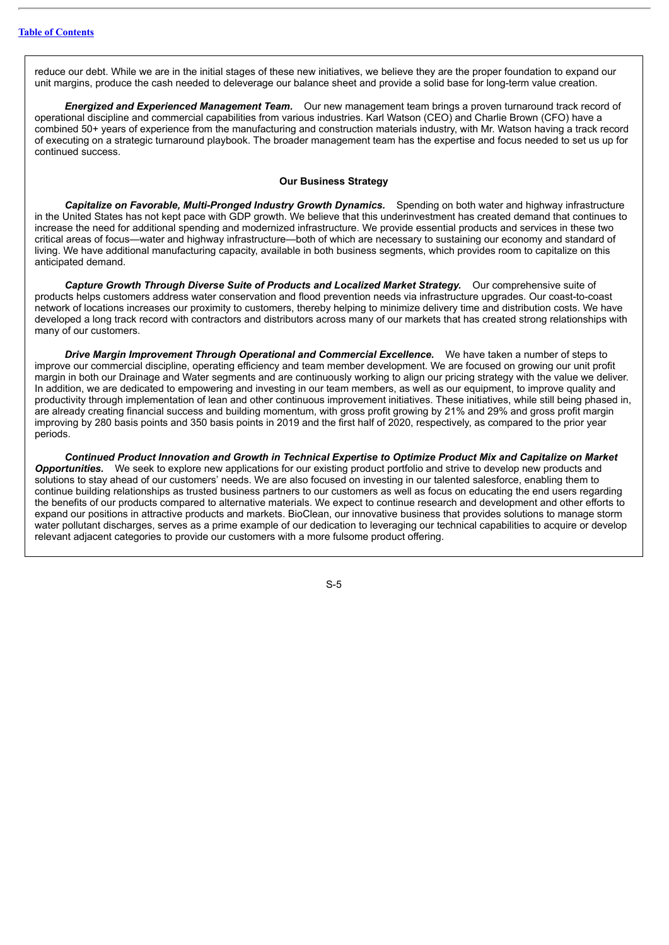reduce our debt. While we are in the initial stages of these new initiatives, we believe they are the proper foundation to expand our unit margins, produce the cash needed to deleverage our balance sheet and provide a solid base for long-term value creation.

*Energized and Experienced Management Team.* Our new management team brings a proven turnaround track record of operational discipline and commercial capabilities from various industries. Karl Watson (CEO) and Charlie Brown (CFO) have a combined 50+ years of experience from the manufacturing and construction materials industry, with Mr. Watson having a track record of executing on a strategic turnaround playbook. The broader management team has the expertise and focus needed to set us up for continued success.

### **Our Business Strategy**

*Capitalize on Favorable, Multi-Pronged Industry Growth Dynamics.* Spending on both water and highway infrastructure in the United States has not kept pace with GDP growth. We believe that this underinvestment has created demand that continues to increase the need for additional spending and modernized infrastructure. We provide essential products and services in these two critical areas of focus—water and highway infrastructure—both of which are necessary to sustaining our economy and standard of living. We have additional manufacturing capacity, available in both business segments, which provides room to capitalize on this anticipated demand.

*Capture Growth Through Diverse Suite of Products and Localized Market Strategy.* Our comprehensive suite of products helps customers address water conservation and flood prevention needs via infrastructure upgrades. Our coast-to-coast network of locations increases our proximity to customers, thereby helping to minimize delivery time and distribution costs. We have developed a long track record with contractors and distributors across many of our markets that has created strong relationships with many of our customers.

*Drive Margin Improvement Through Operational and Commercial Excellence.* We have taken a number of steps to improve our commercial discipline, operating efficiency and team member development. We are focused on growing our unit profit margin in both our Drainage and Water segments and are continuously working to align our pricing strategy with the value we deliver. In addition, we are dedicated to empowering and investing in our team members, as well as our equipment, to improve quality and productivity through implementation of lean and other continuous improvement initiatives. These initiatives, while still being phased in, are already creating financial success and building momentum, with gross profit growing by 21% and 29% and gross profit margin improving by 280 basis points and 350 basis points in 2019 and the first half of 2020, respectively, as compared to the prior year periods.

*Continued Product Innovation and Growth in Technical Expertise to Optimize Product Mix and Capitalize on Market Opportunities.* We seek to explore new applications for our existing product portfolio and strive to develop new products and solutions to stay ahead of our customers' needs. We are also focused on investing in our talented salesforce, enabling them to continue building relationships as trusted business partners to our customers as well as focus on educating the end users regarding the benefits of our products compared to alternative materials. We expect to continue research and development and other efforts to expand our positions in attractive products and markets. BioClean, our innovative business that provides solutions to manage storm water pollutant discharges, serves as a prime example of our dedication to leveraging our technical capabilities to acquire or develop relevant adjacent categories to provide our customers with a more fulsome product offering.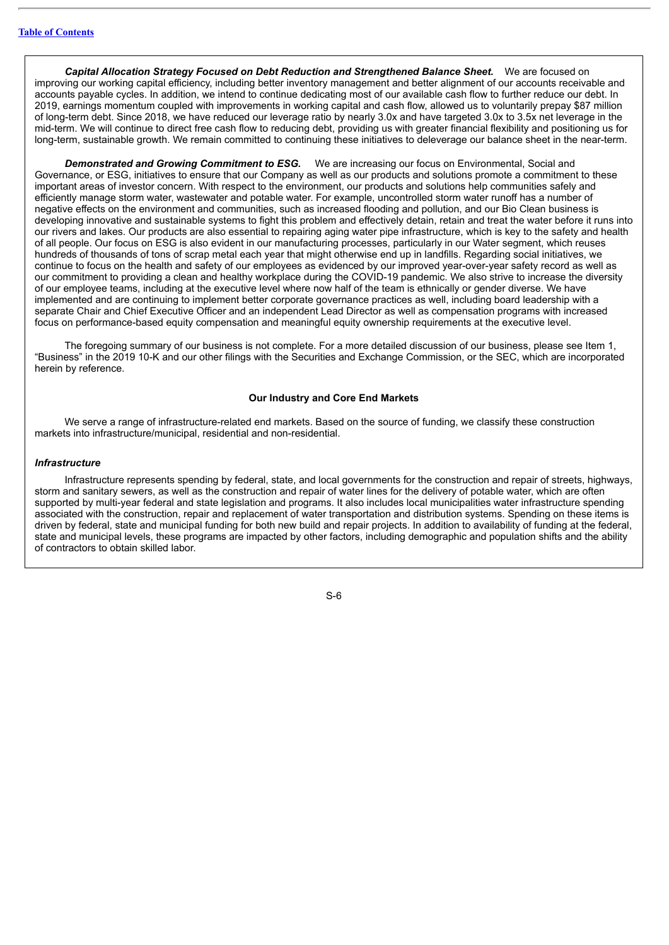*Capital Allocation Strategy Focused on Debt Reduction and Strengthened Balance Sheet.* We are focused on improving our working capital efficiency, including better inventory management and better alignment of our accounts receivable and accounts payable cycles. In addition, we intend to continue dedicating most of our available cash flow to further reduce our debt. In 2019, earnings momentum coupled with improvements in working capital and cash flow, allowed us to voluntarily prepay \$87 million of long-term debt. Since 2018, we have reduced our leverage ratio by nearly 3.0x and have targeted 3.0x to 3.5x net leverage in the mid-term. We will continue to direct free cash flow to reducing debt, providing us with greater financial flexibility and positioning us for long-term, sustainable growth. We remain committed to continuing these initiatives to deleverage our balance sheet in the near-term.

*Demonstrated and Growing Commitment to ESG.* We are increasing our focus on Environmental, Social and Governance, or ESG, initiatives to ensure that our Company as well as our products and solutions promote a commitment to these important areas of investor concern. With respect to the environment, our products and solutions help communities safely and efficiently manage storm water, wastewater and potable water. For example, uncontrolled storm water runoff has a number of negative effects on the environment and communities, such as increased flooding and pollution, and our Bio Clean business is developing innovative and sustainable systems to fight this problem and effectively detain, retain and treat the water before it runs into our rivers and lakes. Our products are also essential to repairing aging water pipe infrastructure, which is key to the safety and health of all people. Our focus on ESG is also evident in our manufacturing processes, particularly in our Water segment, which reuses hundreds of thousands of tons of scrap metal each year that might otherwise end up in landfills. Regarding social initiatives, we continue to focus on the health and safety of our employees as evidenced by our improved year-over-year safety record as well as our commitment to providing a clean and healthy workplace during the COVID-19 pandemic. We also strive to increase the diversity of our employee teams, including at the executive level where now half of the team is ethnically or gender diverse. We have implemented and are continuing to implement better corporate governance practices as well, including board leadership with a separate Chair and Chief Executive Officer and an independent Lead Director as well as compensation programs with increased focus on performance-based equity compensation and meaningful equity ownership requirements at the executive level.

The foregoing summary of our business is not complete. For a more detailed discussion of our business, please see Item 1, "Business" in the 2019 10-K and our other filings with the Securities and Exchange Commission, or the SEC, which are incorporated herein by reference.

### **Our Industry and Core End Markets**

We serve a range of infrastructure-related end markets. Based on the source of funding, we classify these construction markets into infrastructure/municipal, residential and non-residential.

### *Infrastructure*

Infrastructure represents spending by federal, state, and local governments for the construction and repair of streets, highways, storm and sanitary sewers, as well as the construction and repair of water lines for the delivery of potable water, which are often supported by multi-year federal and state legislation and programs. It also includes local municipalities water infrastructure spending associated with the construction, repair and replacement of water transportation and distribution systems. Spending on these items is driven by federal, state and municipal funding for both new build and repair projects. In addition to availability of funding at the federal, state and municipal levels, these programs are impacted by other factors, including demographic and population shifts and the ability of contractors to obtain skilled labor.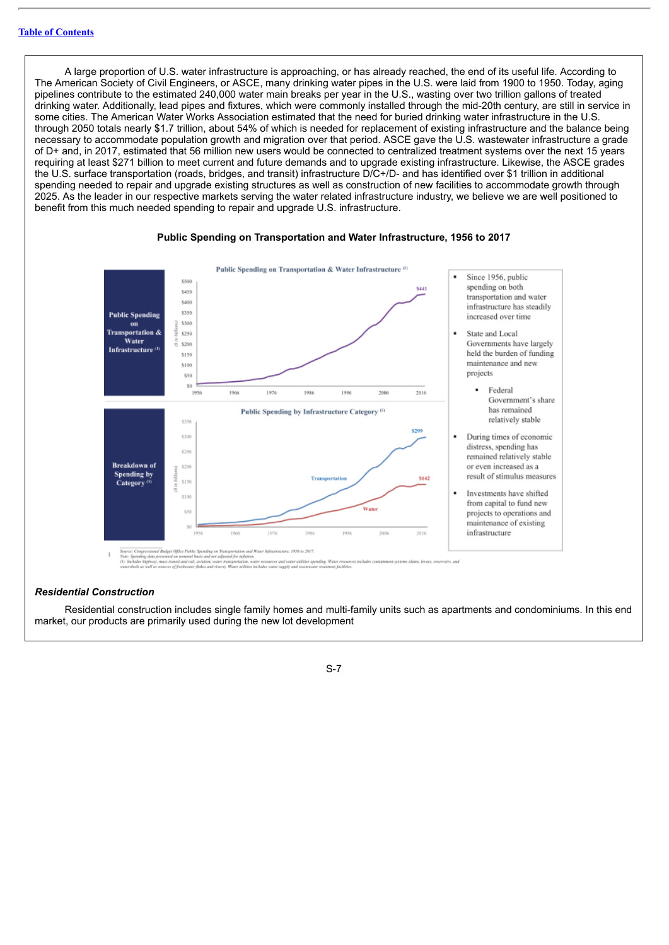A large proportion of U.S. water infrastructure is approaching, or has already reached, the end of its useful life. According to The American Society of Civil Engineers, or ASCE, many drinking water pipes in the U.S. were laid from 1900 to 1950. Today, aging pipelines contribute to the estimated 240,000 water main breaks per year in the U.S., wasting over two trillion gallons of treated drinking water. Additionally, lead pipes and fixtures, which were commonly installed through the mid-20th century, are still in service in some cities. The American Water Works Association estimated that the need for buried drinking water infrastructure in the U.S. through 2050 totals nearly \$1.7 trillion, about 54% of which is needed for replacement of existing infrastructure and the balance being necessary to accommodate population growth and migration over that period. ASCE gave the U.S. wastewater infrastructure a grade of D+ and, in 2017, estimated that 56 million new users would be connected to centralized treatment systems over the next 15 years requiring at least \$271 billion to meet current and future demands and to upgrade existing infrastructure. Likewise, the ASCE grades the U.S. surface transportation (roads, bridges, and transit) infrastructure D/C+/D- and has identified over \$1 trillion in additional spending needed to repair and upgrade existing structures as well as construction of new facilities to accommodate growth through 2025. As the leader in our respective markets serving the water related infrastructure industry, we believe we are well positioned to benefit from this much needed spending to repair and upgrade U.S. infrastructure.



### **Public Spending on Transportation and Water Infrastructure, 1956 to 2017**

a un noment basis and not voyer<br>vaniti and rail, aviation, water to<br>val livelnuster (labor and rivers)

### *Residential Construction*

Residential construction includes single family homes and multi-family units such as apartments and condominiums. In this end market, our products are primarily used during the new lot development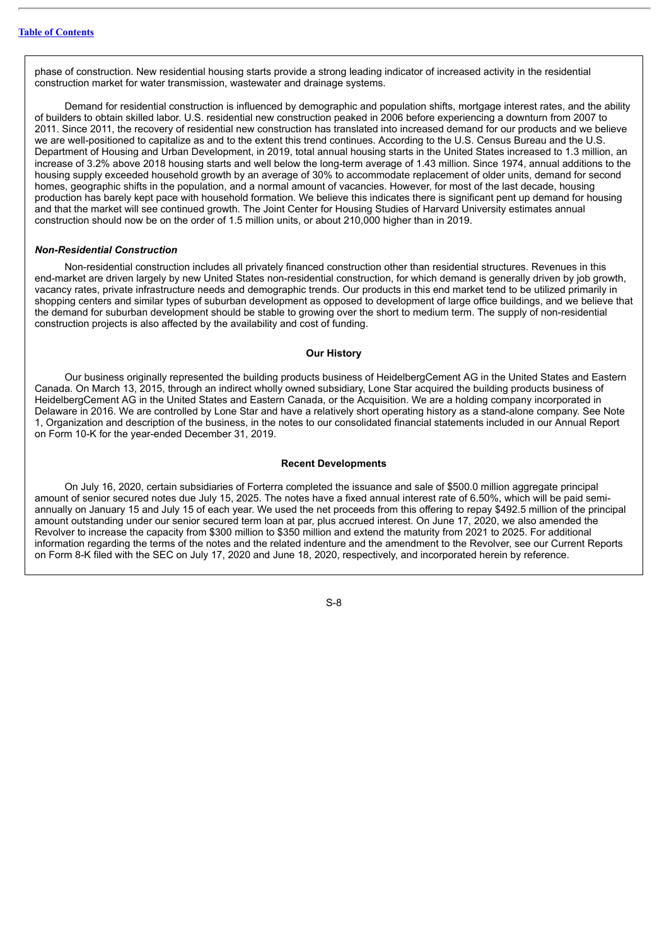phase of construction. New residential housing starts provide a strong leading indicator of increased activity in the residential construction market for water transmission, wastewater and drainage systems.

Demand for residential construction is influenced by demographic and population shifts, mortgage interest rates, and the ability of builders to obtain skilled labor. U.S. residential new construction peaked in 2006 before experiencing a downturn from 2007 to 2011. Since 2011, the recovery of residential new construction has translated into increased demand for our products and we believe we are well-positioned to capitalize as and to the extent this trend continues. According to the U.S. Census Bureau and the U.S. Department of Housing and Urban Development, in 2019, total annual housing starts in the United States increased to 1.3 million, an increase of 3.2% above 2018 housing starts and well below the long-term average of 1.43 million. Since 1974, annual additions to the housing supply exceeded household growth by an average of 30% to accommodate replacement of older units, demand for second homes, geographic shifts in the population, and a normal amount of vacancies. However, for most of the last decade, housing production has barely kept pace with household formation. We believe this indicates there is significant pent up demand for housing and that the market will see continued growth. The Joint Center for Housing Studies of Harvard University estimates annual construction should now be on the order of 1.5 million units, or about 210,000 higher than in 2019.

### *Non-Residential Construction*

Non-residential construction includes all privately financed construction other than residential structures. Revenues in this end-market are driven largely by new United States non-residential construction, for which demand is generally driven by job growth, vacancy rates, private infrastructure needs and demographic trends. Our products in this end market tend to be utilized primarily in shopping centers and similar types of suburban development as opposed to development of large office buildings, and we believe that the demand for suburban development should be stable to growing over the short to medium term. The supply of non-residential construction projects is also affected by the availability and cost of funding.

### **Our History**

Our business originally represented the building products business of HeidelbergCement AG in the United States and Eastern Canada. On March 13, 2015, through an indirect wholly owned subsidiary, Lone Star acquired the building products business of HeidelbergCement AG in the United States and Eastern Canada, or the Acquisition. We are a holding company incorporated in Delaware in 2016. We are controlled by Lone Star and have a relatively short operating history as a stand-alone company. See Note 1, Organization and description of the business, in the notes to our consolidated financial statements included in our Annual Report on Form 10-K for the year-ended December 31, 2019.

### **Recent Developments**

On July 16, 2020, certain subsidiaries of Forterra completed the issuance and sale of \$500.0 million aggregate principal amount of senior secured notes due July 15, 2025. The notes have a fixed annual interest rate of 6.50%, which will be paid semiannually on January 15 and July 15 of each year. We used the net proceeds from this offering to repay \$492.5 million of the principal amount outstanding under our senior secured term loan at par, plus accrued interest. On June 17, 2020, we also amended the Revolver to increase the capacity from \$300 million to \$350 million and extend the maturity from 2021 to 2025. For additional information regarding the terms of the notes and the related indenture and the amendment to the Revolver, see our Current Reports on Form 8-K filed with the SEC on July 17, 2020 and June 18, 2020, respectively, and incorporated herein by reference.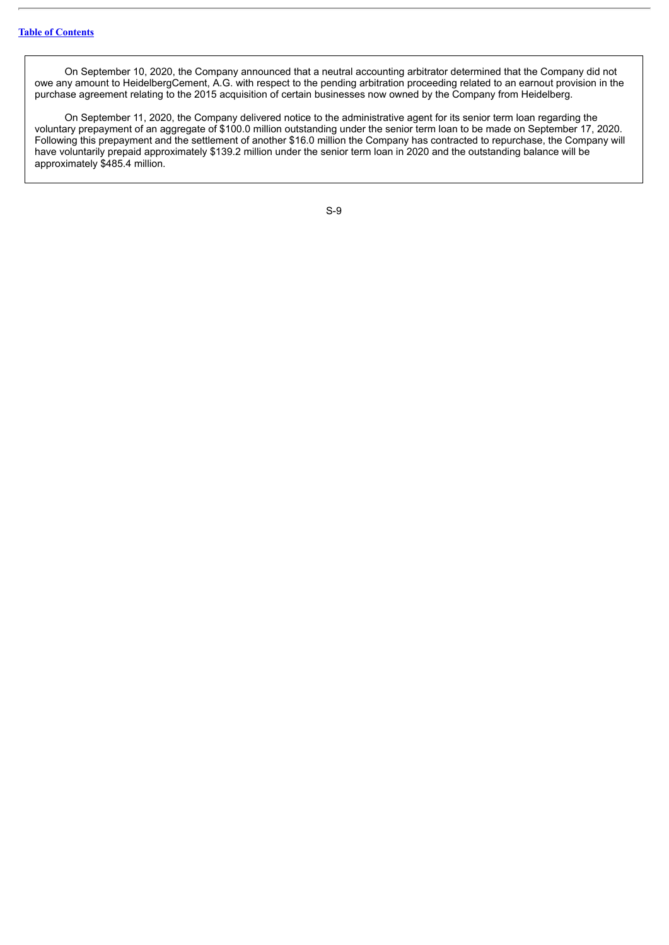On September 10, 2020, the Company announced that a neutral accounting arbitrator determined that the Company did not owe any amount to HeidelbergCement, A.G. with respect to the pending arbitration proceeding related to an earnout provision in the purchase agreement relating to the 2015 acquisition of certain businesses now owned by the Company from Heidelberg.

On September 11, 2020, the Company delivered notice to the administrative agent for its senior term loan regarding the voluntary prepayment of an aggregate of \$100.0 million outstanding under the senior term loan to be made on September 17, 2020. Following this prepayment and the settlement of another \$16.0 million the Company has contracted to repurchase, the Company will have voluntarily prepaid approximately \$139.2 million under the senior term loan in 2020 and the outstanding balance will be approximately \$485.4 million.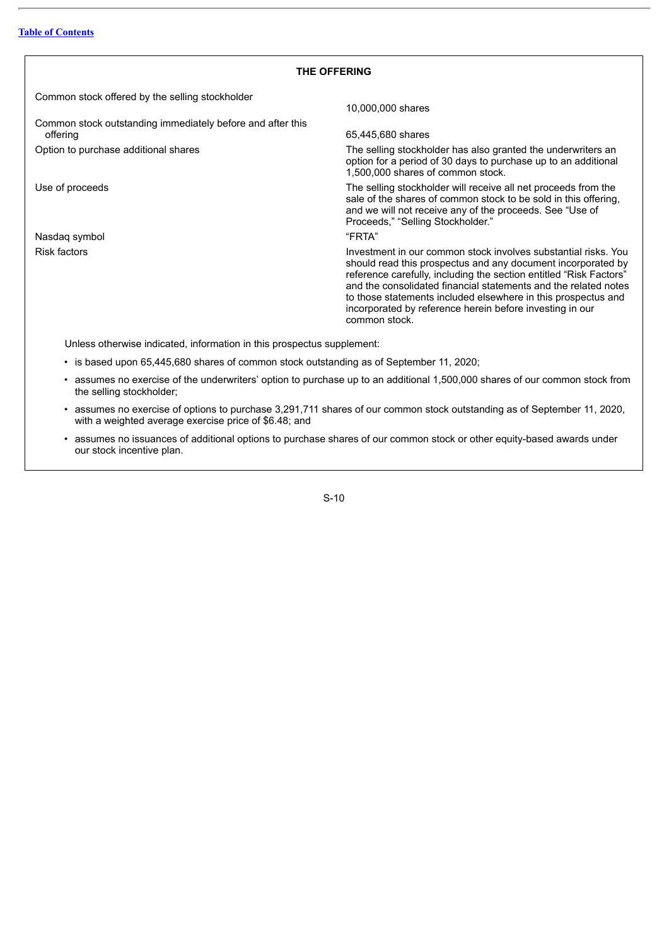### **THE OFFERING**

<span id="page-11-0"></span>Common stock offered by the selling stockholder

Common stock outstanding immediately before and after this offering 65,445,680 shares

Nasdaq symbol **Nasdaq** symbol **Accord 2018** The Second 2019 11:30 The Second 2019 12:30 The Second 2019 12:30 The Second 2019 12:30 The Second 2019 12:30 The Second 2019 12:30 The Second 2019 12:30 The Second 2019 12:30 Th

10,000,000 shares

Option to purchase additional shares The selling stockholder has also granted the underwriters an option for a period of 30 days to purchase up to an additional 1,500,000 shares of common stock.

Use of proceeds The selling stockholder will receive all net proceeds from the sale of the shares of common stock to be sold in this offering, and we will not receive any of the proceeds. See "Use of Proceeds," "Selling Stockholder."

Risk factors Investment in our common stock involves substantial risks. You should read this prospectus and any document incorporated by reference carefully, including the section entitled "Risk Factors" and the consolidated financial statements and the related notes to those statements included elsewhere in this prospectus and incorporated by reference herein before investing in our common stock.

Unless otherwise indicated, information in this prospectus supplement:

- is based upon 65,445,680 shares of common stock outstanding as of September 11, 2020;
- assumes no exercise of the underwriters' option to purchase up to an additional 1,500,000 shares of our common stock from the selling stockholder;
- assumes no exercise of options to purchase 3,291,711 shares of our common stock outstanding as of September 11, 2020, with a weighted average exercise price of \$6.48; and
- assumes no issuances of additional options to purchase shares of our common stock or other equity-based awards under our stock incentive plan.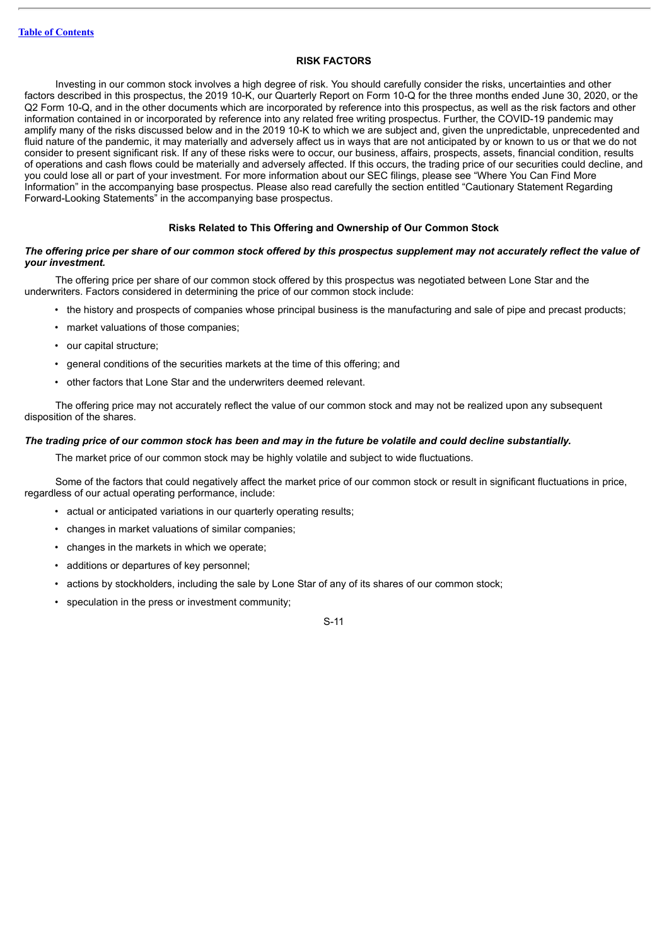### **RISK FACTORS**

<span id="page-12-0"></span>Investing in our common stock involves a high degree of risk. You should carefully consider the risks, uncertainties and other factors described in this prospectus, the 2019 10-K, our Quarterly Report on Form 10-Q for the three months ended June 30, 2020, or the Q2 Form 10-Q, and in the other documents which are incorporated by reference into this prospectus, as well as the risk factors and other information contained in or incorporated by reference into any related free writing prospectus. Further, the COVID-19 pandemic may amplify many of the risks discussed below and in the 2019 10-K to which we are subject and, given the unpredictable, unprecedented and fluid nature of the pandemic, it may materially and adversely affect us in ways that are not anticipated by or known to us or that we do not consider to present significant risk. If any of these risks were to occur, our business, affairs, prospects, assets, financial condition, results of operations and cash flows could be materially and adversely affected. If this occurs, the trading price of our securities could decline, and you could lose all or part of your investment. For more information about our SEC filings, please see "Where You Can Find More Information" in the accompanying base prospectus. Please also read carefully the section entitled "Cautionary Statement Regarding Forward-Looking Statements" in the accompanying base prospectus.

### **Risks Related to This Offering and Ownership of Our Common Stock**

### The offering price per share of our common stock offered by this prospectus supplement may not accurately reflect the value of *your investment.*

The offering price per share of our common stock offered by this prospectus was negotiated between Lone Star and the underwriters. Factors considered in determining the price of our common stock include:

- the history and prospects of companies whose principal business is the manufacturing and sale of pipe and precast products;
- market valuations of those companies;
- our capital structure;
- general conditions of the securities markets at the time of this offering; and
- other factors that Lone Star and the underwriters deemed relevant.

The offering price may not accurately reflect the value of our common stock and may not be realized upon any subsequent disposition of the shares.

### The trading price of our common stock has been and may in the future be volatile and could decline substantially.

The market price of our common stock may be highly volatile and subject to wide fluctuations.

Some of the factors that could negatively affect the market price of our common stock or result in significant fluctuations in price, regardless of our actual operating performance, include:

- actual or anticipated variations in our quarterly operating results;
- changes in market valuations of similar companies;
- changes in the markets in which we operate;
- additions or departures of key personnel;
- actions by stockholders, including the sale by Lone Star of any of its shares of our common stock;
- speculation in the press or investment community;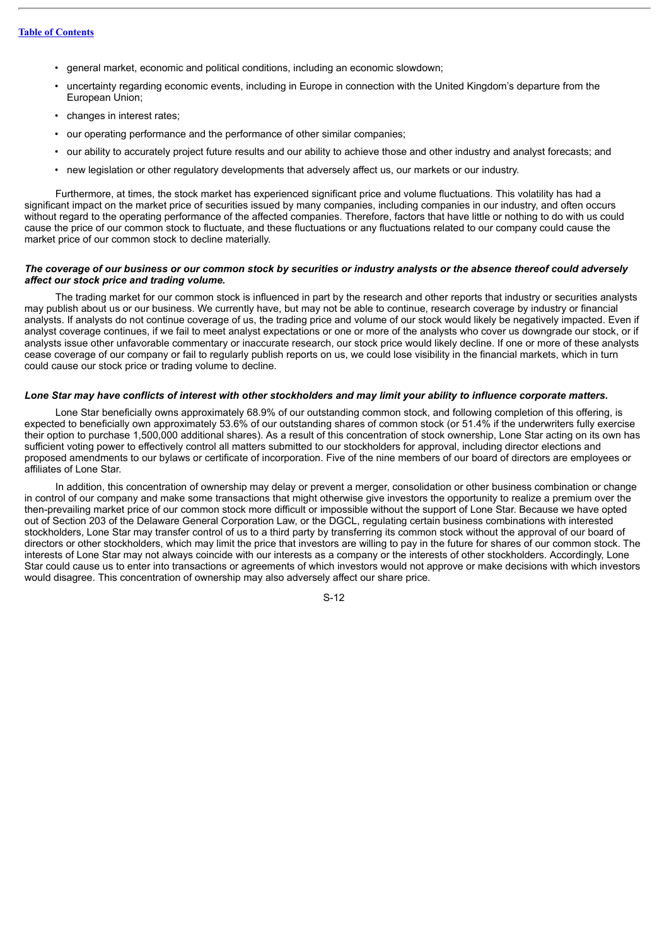- general market, economic and political conditions, including an economic slowdown;
- uncertainty regarding economic events, including in Europe in connection with the United Kingdom's departure from the European Union;
- changes in interest rates;
- our operating performance and the performance of other similar companies;
- our ability to accurately project future results and our ability to achieve those and other industry and analyst forecasts; and
- new legislation or other regulatory developments that adversely affect us, our markets or our industry.

Furthermore, at times, the stock market has experienced significant price and volume fluctuations. This volatility has had a significant impact on the market price of securities issued by many companies, including companies in our industry, and often occurs without regard to the operating performance of the affected companies. Therefore, factors that have little or nothing to do with us could cause the price of our common stock to fluctuate, and these fluctuations or any fluctuations related to our company could cause the market price of our common stock to decline materially.

### The coverage of our business or our common stock by securities or industry analysts or the absence thereof could adversely *affect our stock price and trading volume.*

The trading market for our common stock is influenced in part by the research and other reports that industry or securities analysts may publish about us or our business. We currently have, but may not be able to continue, research coverage by industry or financial analysts. If analysts do not continue coverage of us, the trading price and volume of our stock would likely be negatively impacted. Even if analyst coverage continues, if we fail to meet analyst expectations or one or more of the analysts who cover us downgrade our stock, or if analysts issue other unfavorable commentary or inaccurate research, our stock price would likely decline. If one or more of these analysts cease coverage of our company or fail to regularly publish reports on us, we could lose visibility in the financial markets, which in turn could cause our stock price or trading volume to decline.

### Lone Star may have conflicts of interest with other stockholders and may limit your ability to influence corporate matters.

Lone Star beneficially owns approximately 68.9% of our outstanding common stock, and following completion of this offering, is expected to beneficially own approximately 53.6% of our outstanding shares of common stock (or 51.4% if the underwriters fully exercise their option to purchase 1,500,000 additional shares). As a result of this concentration of stock ownership, Lone Star acting on its own has sufficient voting power to effectively control all matters submitted to our stockholders for approval, including director elections and proposed amendments to our bylaws or certificate of incorporation. Five of the nine members of our board of directors are employees or affiliates of Lone Star.

In addition, this concentration of ownership may delay or prevent a merger, consolidation or other business combination or change in control of our company and make some transactions that might otherwise give investors the opportunity to realize a premium over the then-prevailing market price of our common stock more difficult or impossible without the support of Lone Star. Because we have opted out of Section 203 of the Delaware General Corporation Law, or the DGCL, regulating certain business combinations with interested stockholders, Lone Star may transfer control of us to a third party by transferring its common stock without the approval of our board of directors or other stockholders, which may limit the price that investors are willing to pay in the future for shares of our common stock. The interests of Lone Star may not always coincide with our interests as a company or the interests of other stockholders. Accordingly, Lone Star could cause us to enter into transactions or agreements of which investors would not approve or make decisions with which investors would disagree. This concentration of ownership may also adversely affect our share price.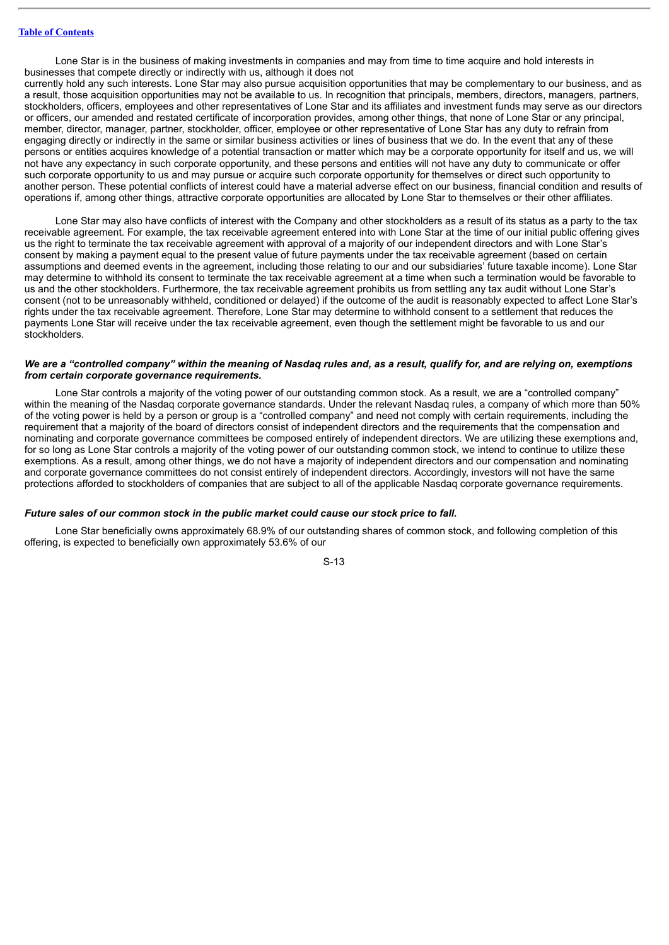Lone Star is in the business of making investments in companies and may from time to time acquire and hold interests in businesses that compete directly or indirectly with us, although it does not

currently hold any such interests. Lone Star may also pursue acquisition opportunities that may be complementary to our business, and as a result, those acquisition opportunities may not be available to us. In recognition that principals, members, directors, managers, partners, stockholders, officers, employees and other representatives of Lone Star and its affiliates and investment funds may serve as our directors or officers, our amended and restated certificate of incorporation provides, among other things, that none of Lone Star or any principal, member, director, manager, partner, stockholder, officer, employee or other representative of Lone Star has any duty to refrain from engaging directly or indirectly in the same or similar business activities or lines of business that we do. In the event that any of these persons or entities acquires knowledge of a potential transaction or matter which may be a corporate opportunity for itself and us, we will not have any expectancy in such corporate opportunity, and these persons and entities will not have any duty to communicate or offer such corporate opportunity to us and may pursue or acquire such corporate opportunity for themselves or direct such opportunity to another person. These potential conflicts of interest could have a material adverse effect on our business, financial condition and results of operations if, among other things, attractive corporate opportunities are allocated by Lone Star to themselves or their other affiliates.

Lone Star may also have conflicts of interest with the Company and other stockholders as a result of its status as a party to the tax receivable agreement. For example, the tax receivable agreement entered into with Lone Star at the time of our initial public offering gives us the right to terminate the tax receivable agreement with approval of a majority of our independent directors and with Lone Star's consent by making a payment equal to the present value of future payments under the tax receivable agreement (based on certain assumptions and deemed events in the agreement, including those relating to our and our subsidiaries' future taxable income). Lone Star may determine to withhold its consent to terminate the tax receivable agreement at a time when such a termination would be favorable to us and the other stockholders. Furthermore, the tax receivable agreement prohibits us from settling any tax audit without Lone Star's consent (not to be unreasonably withheld, conditioned or delayed) if the outcome of the audit is reasonably expected to affect Lone Star's rights under the tax receivable agreement. Therefore, Lone Star may determine to withhold consent to a settlement that reduces the payments Lone Star will receive under the tax receivable agreement, even though the settlement might be favorable to us and our stockholders.

### We are a "controlled company" within the meaning of Nasdag rules and, as a result, qualify for, and are relying on, exemptions *from certain corporate governance requirements.*

Lone Star controls a majority of the voting power of our outstanding common stock. As a result, we are a "controlled company" within the meaning of the Nasdaq corporate governance standards. Under the relevant Nasdaq rules, a company of which more than 50% of the voting power is held by a person or group is a "controlled company" and need not comply with certain requirements, including the requirement that a majority of the board of directors consist of independent directors and the requirements that the compensation and nominating and corporate governance committees be composed entirely of independent directors. We are utilizing these exemptions and, for so long as Lone Star controls a majority of the voting power of our outstanding common stock, we intend to continue to utilize these exemptions. As a result, among other things, we do not have a majority of independent directors and our compensation and nominating and corporate governance committees do not consist entirely of independent directors. Accordingly, investors will not have the same protections afforded to stockholders of companies that are subject to all of the applicable Nasdaq corporate governance requirements.

### *Future sales of our common stock in the public market could cause our stock price to fall.*

Lone Star beneficially owns approximately 68.9% of our outstanding shares of common stock, and following completion of this offering, is expected to beneficially own approximately 53.6% of our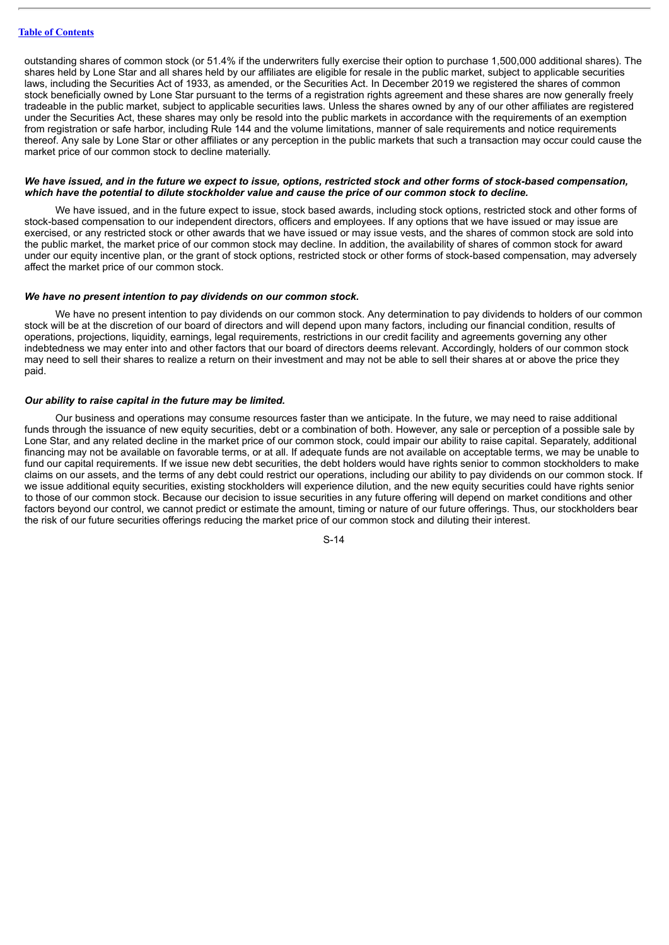### **Table of [Contents](#page-1-0)**

outstanding shares of common stock (or 51.4% if the underwriters fully exercise their option to purchase 1,500,000 additional shares). The shares held by Lone Star and all shares held by our affiliates are eligible for resale in the public market, subject to applicable securities laws, including the Securities Act of 1933, as amended, or the Securities Act. In December 2019 we registered the shares of common stock beneficially owned by Lone Star pursuant to the terms of a registration rights agreement and these shares are now generally freely tradeable in the public market, subject to applicable securities laws. Unless the shares owned by any of our other affiliates are registered under the Securities Act, these shares may only be resold into the public markets in accordance with the requirements of an exemption from registration or safe harbor, including Rule 144 and the volume limitations, manner of sale requirements and notice requirements thereof. Any sale by Lone Star or other affiliates or any perception in the public markets that such a transaction may occur could cause the market price of our common stock to decline materially.

### We have issued, and in the future we expect to issue, options, restricted stock and other forms of stock-based compensation, which have the potential to dilute stockholder value and cause the price of our common stock to decline.

We have issued, and in the future expect to issue, stock based awards, including stock options, restricted stock and other forms of stock-based compensation to our independent directors, officers and employees. If any options that we have issued or may issue are exercised, or any restricted stock or other awards that we have issued or may issue vests, and the shares of common stock are sold into the public market, the market price of our common stock may decline. In addition, the availability of shares of common stock for award under our equity incentive plan, or the grant of stock options, restricted stock or other forms of stock-based compensation, may adversely affect the market price of our common stock.

### *We have no present intention to pay dividends on our common stock.*

We have no present intention to pay dividends on our common stock. Any determination to pay dividends to holders of our common stock will be at the discretion of our board of directors and will depend upon many factors, including our financial condition, results of operations, projections, liquidity, earnings, legal requirements, restrictions in our credit facility and agreements governing any other indebtedness we may enter into and other factors that our board of directors deems relevant. Accordingly, holders of our common stock may need to sell their shares to realize a return on their investment and may not be able to sell their shares at or above the price they paid.

### *Our ability to raise capital in the future may be limited.*

Our business and operations may consume resources faster than we anticipate. In the future, we may need to raise additional funds through the issuance of new equity securities, debt or a combination of both. However, any sale or perception of a possible sale by Lone Star, and any related decline in the market price of our common stock, could impair our ability to raise capital. Separately, additional financing may not be available on favorable terms, or at all. If adequate funds are not available on acceptable terms, we may be unable to fund our capital requirements. If we issue new debt securities, the debt holders would have rights senior to common stockholders to make claims on our assets, and the terms of any debt could restrict our operations, including our ability to pay dividends on our common stock. If we issue additional equity securities, existing stockholders will experience dilution, and the new equity securities could have rights senior to those of our common stock. Because our decision to issue securities in any future offering will depend on market conditions and other factors beyond our control, we cannot predict or estimate the amount, timing or nature of our future offerings. Thus, our stockholders bear the risk of our future securities offerings reducing the market price of our common stock and diluting their interest.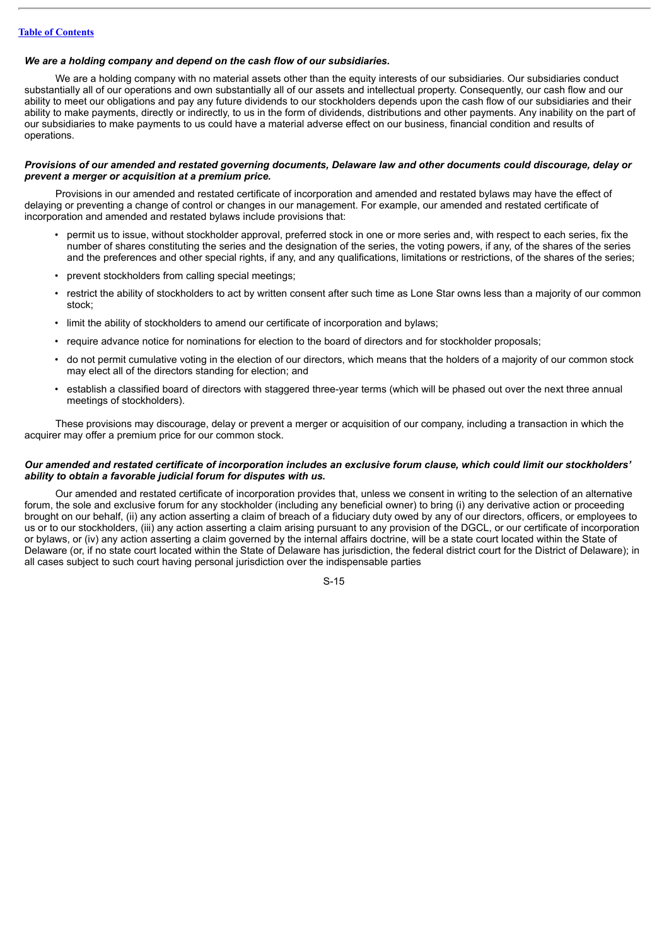### *We are a holding company and depend on the cash flow of our subsidiaries.*

We are a holding company with no material assets other than the equity interests of our subsidiaries. Our subsidiaries conduct substantially all of our operations and own substantially all of our assets and intellectual property. Consequently, our cash flow and our ability to meet our obligations and pay any future dividends to our stockholders depends upon the cash flow of our subsidiaries and their ability to make payments, directly or indirectly, to us in the form of dividends, distributions and other payments. Any inability on the part of our subsidiaries to make payments to us could have a material adverse effect on our business, financial condition and results of operations.

### Provisions of our amended and restated governing documents, Delaware law and other documents could discourage, delay or *prevent a merger or acquisition at a premium price.*

Provisions in our amended and restated certificate of incorporation and amended and restated bylaws may have the effect of delaying or preventing a change of control or changes in our management. For example, our amended and restated certificate of incorporation and amended and restated bylaws include provisions that:

- permit us to issue, without stockholder approval, preferred stock in one or more series and, with respect to each series, fix the number of shares constituting the series and the designation of the series, the voting powers, if any, of the shares of the series and the preferences and other special rights, if any, and any qualifications, limitations or restrictions, of the shares of the series;
- prevent stockholders from calling special meetings;
- restrict the ability of stockholders to act by written consent after such time as Lone Star owns less than a majority of our common stock;
- limit the ability of stockholders to amend our certificate of incorporation and bylaws;
- require advance notice for nominations for election to the board of directors and for stockholder proposals;
- do not permit cumulative voting in the election of our directors, which means that the holders of a majority of our common stock may elect all of the directors standing for election; and
- establish a classified board of directors with staggered three-year terms (which will be phased out over the next three annual meetings of stockholders).

These provisions may discourage, delay or prevent a merger or acquisition of our company, including a transaction in which the acquirer may offer a premium price for our common stock.

### Our amended and restated certificate of incorporation includes an exclusive forum clause, which could limit our stockholders' *ability to obtain a favorable judicial forum for disputes with us.*

Our amended and restated certificate of incorporation provides that, unless we consent in writing to the selection of an alternative forum, the sole and exclusive forum for any stockholder (including any beneficial owner) to bring (i) any derivative action or proceeding brought on our behalf, (ii) any action asserting a claim of breach of a fiduciary duty owed by any of our directors, officers, or employees to us or to our stockholders, (iii) any action asserting a claim arising pursuant to any provision of the DGCL, or our certificate of incorporation or bylaws, or (iv) any action asserting a claim governed by the internal affairs doctrine, will be a state court located within the State of Delaware (or, if no state court located within the State of Delaware has jurisdiction, the federal district court for the District of Delaware); in all cases subject to such court having personal jurisdiction over the indispensable parties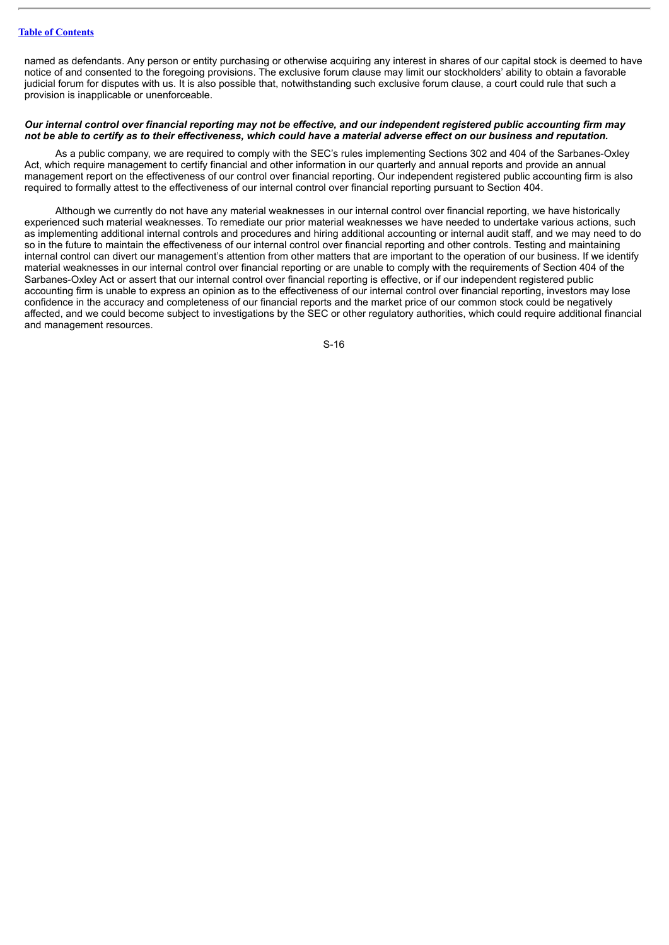### **Table of [Contents](#page-1-0)**

named as defendants. Any person or entity purchasing or otherwise acquiring any interest in shares of our capital stock is deemed to have notice of and consented to the foregoing provisions. The exclusive forum clause may limit our stockholders' ability to obtain a favorable judicial forum for disputes with us. It is also possible that, notwithstanding such exclusive forum clause, a court could rule that such a provision is inapplicable or unenforceable.

### Our internal control over financial reporting may not be effective, and our independent registered public accounting firm may not be able to certify as to their effectiveness, which could have a material adverse effect on our business and reputation.

As a public company, we are required to comply with the SEC's rules implementing Sections 302 and 404 of the Sarbanes-Oxley Act, which require management to certify financial and other information in our quarterly and annual reports and provide an annual management report on the effectiveness of our control over financial reporting. Our independent registered public accounting firm is also required to formally attest to the effectiveness of our internal control over financial reporting pursuant to Section 404.

Although we currently do not have any material weaknesses in our internal control over financial reporting, we have historically experienced such material weaknesses. To remediate our prior material weaknesses we have needed to undertake various actions, such as implementing additional internal controls and procedures and hiring additional accounting or internal audit staff, and we may need to do so in the future to maintain the effectiveness of our internal control over financial reporting and other controls. Testing and maintaining internal control can divert our management's attention from other matters that are important to the operation of our business. If we identify material weaknesses in our internal control over financial reporting or are unable to comply with the requirements of Section 404 of the Sarbanes-Oxley Act or assert that our internal control over financial reporting is effective, or if our independent registered public accounting firm is unable to express an opinion as to the effectiveness of our internal control over financial reporting, investors may lose confidence in the accuracy and completeness of our financial reports and the market price of our common stock could be negatively affected, and we could become subject to investigations by the SEC or other regulatory authorities, which could require additional financial and management resources.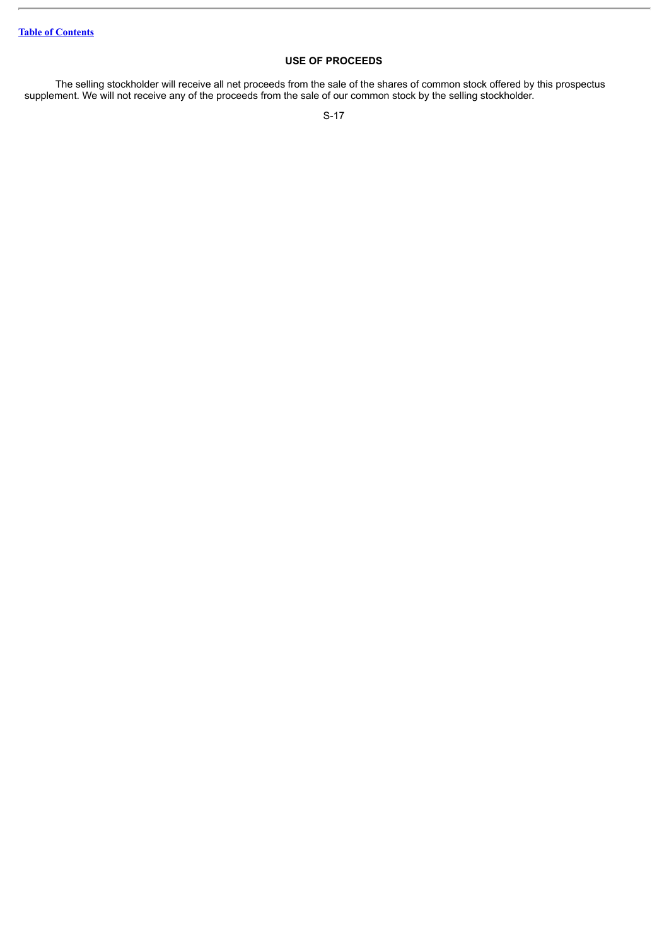### **USE OF PROCEEDS**

<span id="page-18-0"></span>The selling stockholder will receive all net proceeds from the sale of the shares of common stock offered by this prospectus supplement. We will not receive any of the proceeds from the sale of our common stock by the selling stockholder.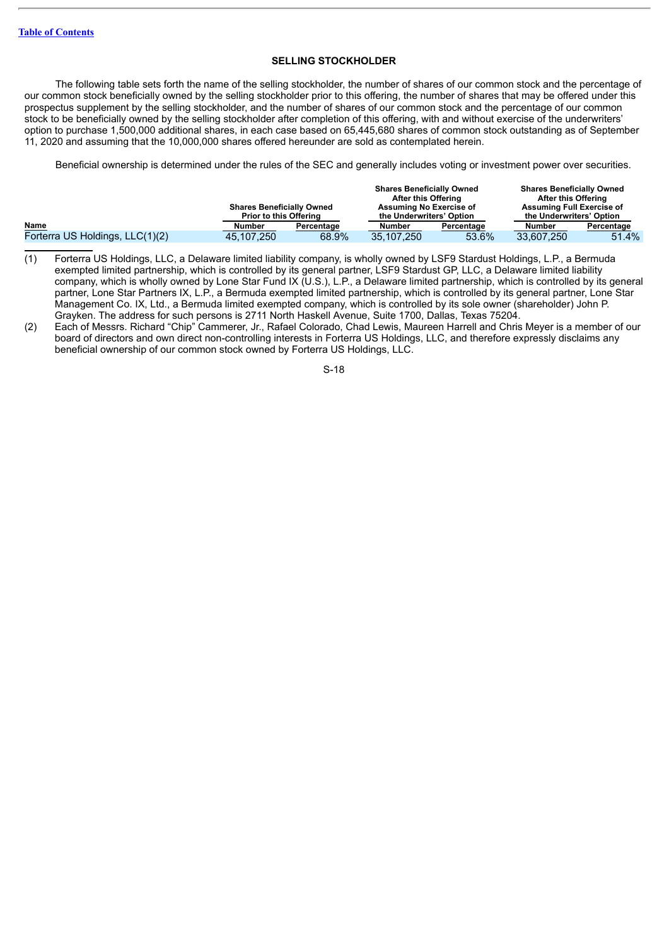### **SELLING STOCKHOLDER**

<span id="page-19-0"></span>The following table sets forth the name of the selling stockholder, the number of shares of our common stock and the percentage of our common stock beneficially owned by the selling stockholder prior to this offering, the number of shares that may be offered under this prospectus supplement by the selling stockholder, and the number of shares of our common stock and the percentage of our common stock to be beneficially owned by the selling stockholder after completion of this offering, with and without exercise of the underwriters' option to purchase 1,500,000 additional shares, in each case based on 65,445,680 shares of common stock outstanding as of September 11, 2020 and assuming that the 10,000,000 shares offered hereunder are sold as contemplated herein.

Beneficial ownership is determined under the rules of the SEC and generally includes voting or investment power over securities.

|                                 | <b>Shares Beneficially Owned</b><br><b>Prior to this Offering</b> |            | <b>Shares Beneficially Owned</b><br>After this Offering<br>Assuming No Exercise of<br>the Underwriters' Option |            | <b>Shares Beneficially Owned</b><br>After this Offering<br><b>Assuming Full Exercise of</b><br>the Underwriters' Option |            |
|---------------------------------|-------------------------------------------------------------------|------------|----------------------------------------------------------------------------------------------------------------|------------|-------------------------------------------------------------------------------------------------------------------------|------------|
| Name                            | Number                                                            | Percentage | Number                                                                                                         | Percentage | Number                                                                                                                  | Percentage |
| Forterra US Holdings, LLC(1)(2) | 45.107.250                                                        | 68.9%      | 35.107.250                                                                                                     | 53.6%      | 33.607.250                                                                                                              | 51.4%      |

- (1) Forterra US Holdings, LLC, a Delaware limited liability company, is wholly owned by LSF9 Stardust Holdings, L.P., a Bermuda exempted limited partnership, which is controlled by its general partner, LSF9 Stardust GP, LLC, a Delaware limited liability company, which is wholly owned by Lone Star Fund IX (U.S.), L.P., a Delaware limited partnership, which is controlled by its general partner, Lone Star Partners IX, L.P., a Bermuda exempted limited partnership, which is controlled by its general partner, Lone Star Management Co. IX, Ltd., a Bermuda limited exempted company, which is controlled by its sole owner (shareholder) John P. Grayken. The address for such persons is 2711 North Haskell Avenue, Suite 1700, Dallas, Texas 75204.
- (2) Each of Messrs. Richard "Chip" Cammerer, Jr., Rafael Colorado, Chad Lewis, Maureen Harrell and Chris Meyer is a member of our board of directors and own direct non-controlling interests in Forterra US Holdings, LLC, and therefore expressly disclaims any beneficial ownership of our common stock owned by Forterra US Holdings, LLC.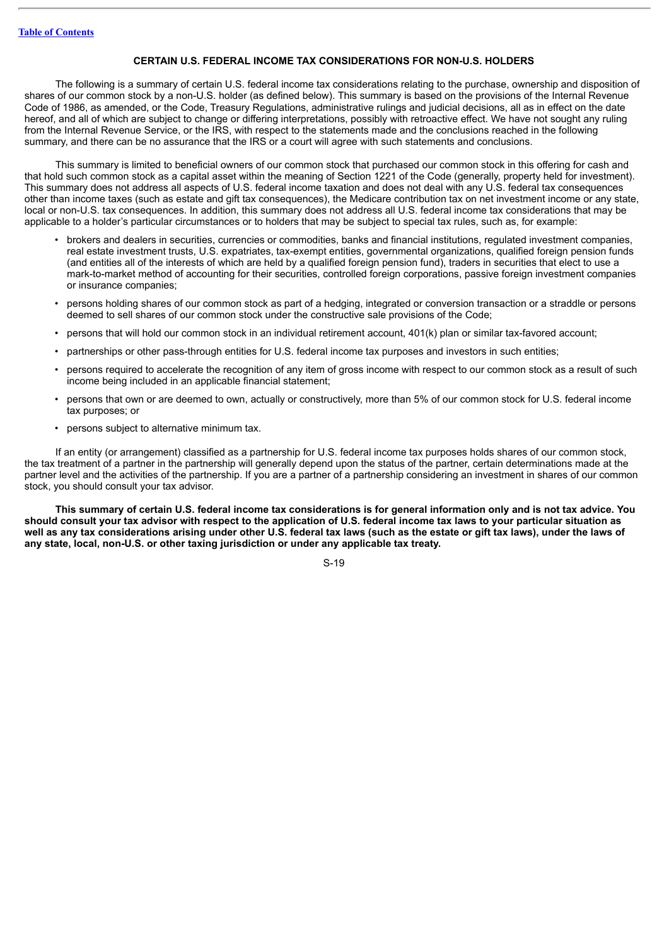### **CERTAIN U.S. FEDERAL INCOME TAX CONSIDERATIONS FOR NON-U.S. HOLDERS**

<span id="page-20-0"></span>The following is a summary of certain U.S. federal income tax considerations relating to the purchase, ownership and disposition of shares of our common stock by a non-U.S. holder (as defined below). This summary is based on the provisions of the Internal Revenue Code of 1986, as amended, or the Code, Treasury Regulations, administrative rulings and judicial decisions, all as in effect on the date hereof, and all of which are subject to change or differing interpretations, possibly with retroactive effect. We have not sought any ruling from the Internal Revenue Service, or the IRS, with respect to the statements made and the conclusions reached in the following summary, and there can be no assurance that the IRS or a court will agree with such statements and conclusions.

This summary is limited to beneficial owners of our common stock that purchased our common stock in this offering for cash and that hold such common stock as a capital asset within the meaning of Section 1221 of the Code (generally, property held for investment). This summary does not address all aspects of U.S. federal income taxation and does not deal with any U.S. federal tax consequences other than income taxes (such as estate and gift tax consequences), the Medicare contribution tax on net investment income or any state, local or non-U.S. tax consequences. In addition, this summary does not address all U.S. federal income tax considerations that may be applicable to a holder's particular circumstances or to holders that may be subject to special tax rules, such as, for example:

- brokers and dealers in securities, currencies or commodities, banks and financial institutions, regulated investment companies, real estate investment trusts, U.S. expatriates, tax-exempt entities, governmental organizations, qualified foreign pension funds (and entities all of the interests of which are held by a qualified foreign pension fund), traders in securities that elect to use a mark-to-market method of accounting for their securities, controlled foreign corporations, passive foreign investment companies or insurance companies;
- persons holding shares of our common stock as part of a hedging, integrated or conversion transaction or a straddle or persons deemed to sell shares of our common stock under the constructive sale provisions of the Code;
- persons that will hold our common stock in an individual retirement account, 401(k) plan or similar tax-favored account;
- partnerships or other pass-through entities for U.S. federal income tax purposes and investors in such entities;
- persons required to accelerate the recognition of any item of gross income with respect to our common stock as a result of such income being included in an applicable financial statement;
- persons that own or are deemed to own, actually or constructively, more than 5% of our common stock for U.S. federal income tax purposes; or
- persons subject to alternative minimum tax.

If an entity (or arrangement) classified as a partnership for U.S. federal income tax purposes holds shares of our common stock, the tax treatment of a partner in the partnership will generally depend upon the status of the partner, certain determinations made at the partner level and the activities of the partnership. If you are a partner of a partnership considering an investment in shares of our common stock, you should consult your tax advisor.

This summary of certain U.S. federal income tax considerations is for general information only and is not tax advice. You should consult your tax advisor with respect to the application of U.S. federal income tax laws to your particular situation as well as any tax considerations arising under other U.S. federal tax laws (such as the estate or gift tax laws), under the laws of **any state, local, non-U.S. or other taxing jurisdiction or under any applicable tax treaty.**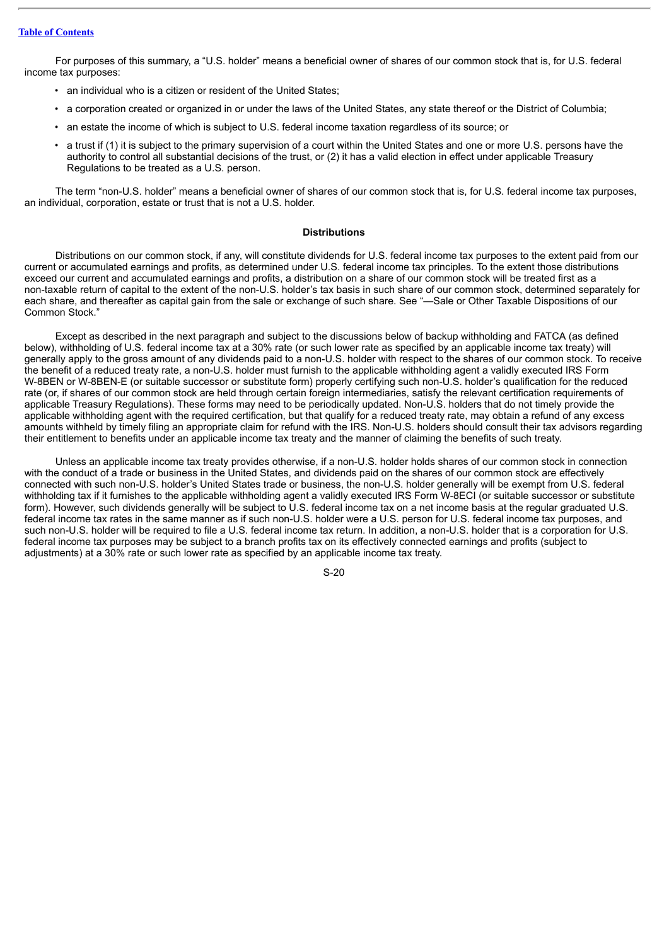### **Table of [Contents](#page-1-0)**

For purposes of this summary, a "U.S. holder" means a beneficial owner of shares of our common stock that is, for U.S. federal income tax purposes:

- an individual who is a citizen or resident of the United States;
- a corporation created or organized in or under the laws of the United States, any state thereof or the District of Columbia;
- an estate the income of which is subject to U.S. federal income taxation regardless of its source; or
- a trust if (1) it is subject to the primary supervision of a court within the United States and one or more U.S. persons have the authority to control all substantial decisions of the trust, or (2) it has a valid election in effect under applicable Treasury Regulations to be treated as a U.S. person.

The term "non-U.S. holder" means a beneficial owner of shares of our common stock that is, for U.S. federal income tax purposes, an individual, corporation, estate or trust that is not a U.S. holder.

### **Distributions**

Distributions on our common stock, if any, will constitute dividends for U.S. federal income tax purposes to the extent paid from our current or accumulated earnings and profits, as determined under U.S. federal income tax principles. To the extent those distributions exceed our current and accumulated earnings and profits, a distribution on a share of our common stock will be treated first as a non-taxable return of capital to the extent of the non-U.S. holder's tax basis in such share of our common stock, determined separately for each share, and thereafter as capital gain from the sale or exchange of such share. See "—Sale or Other Taxable Dispositions of our Common Stock."

Except as described in the next paragraph and subject to the discussions below of backup withholding and FATCA (as defined below), withholding of U.S. federal income tax at a 30% rate (or such lower rate as specified by an applicable income tax treaty) will generally apply to the gross amount of any dividends paid to a non-U.S. holder with respect to the shares of our common stock. To receive the benefit of a reduced treaty rate, a non-U.S. holder must furnish to the applicable withholding agent a validly executed IRS Form W-8BEN or W-8BEN-E (or suitable successor or substitute form) properly certifying such non-U.S. holder's qualification for the reduced rate (or, if shares of our common stock are held through certain foreign intermediaries, satisfy the relevant certification requirements of applicable Treasury Regulations). These forms may need to be periodically updated. Non-U.S. holders that do not timely provide the applicable withholding agent with the required certification, but that qualify for a reduced treaty rate, may obtain a refund of any excess amounts withheld by timely filing an appropriate claim for refund with the IRS. Non-U.S. holders should consult their tax advisors regarding their entitlement to benefits under an applicable income tax treaty and the manner of claiming the benefits of such treaty.

Unless an applicable income tax treaty provides otherwise, if a non-U.S. holder holds shares of our common stock in connection with the conduct of a trade or business in the United States, and dividends paid on the shares of our common stock are effectively connected with such non-U.S. holder's United States trade or business, the non-U.S. holder generally will be exempt from U.S. federal withholding tax if it furnishes to the applicable withholding agent a validly executed IRS Form W-8ECI (or suitable successor or substitute form). However, such dividends generally will be subject to U.S. federal income tax on a net income basis at the regular graduated U.S. federal income tax rates in the same manner as if such non-U.S. holder were a U.S. person for U.S. federal income tax purposes, and such non-U.S. holder will be required to file a U.S. federal income tax return. In addition, a non-U.S. holder that is a corporation for U.S. federal income tax purposes may be subject to a branch profits tax on its effectively connected earnings and profits (subject to adjustments) at a 30% rate or such lower rate as specified by an applicable income tax treaty.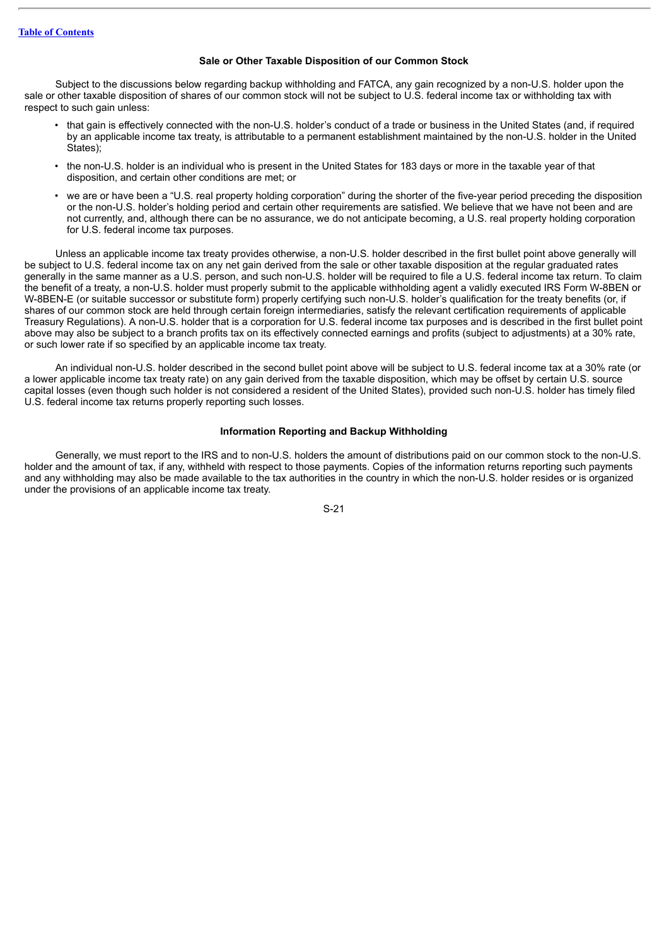### **Sale or Other Taxable Disposition of our Common Stock**

Subject to the discussions below regarding backup withholding and FATCA, any gain recognized by a non-U.S. holder upon the sale or other taxable disposition of shares of our common stock will not be subject to U.S. federal income tax or withholding tax with respect to such gain unless:

- that gain is effectively connected with the non-U.S. holder's conduct of a trade or business in the United States (and, if required by an applicable income tax treaty, is attributable to a permanent establishment maintained by the non-U.S. holder in the United States);
- the non-U.S. holder is an individual who is present in the United States for 183 days or more in the taxable year of that disposition, and certain other conditions are met; or
- we are or have been a "U.S. real property holding corporation" during the shorter of the five-year period preceding the disposition or the non-U.S. holder's holding period and certain other requirements are satisfied. We believe that we have not been and are not currently, and, although there can be no assurance, we do not anticipate becoming, a U.S. real property holding corporation for U.S. federal income tax purposes.

Unless an applicable income tax treaty provides otherwise, a non-U.S. holder described in the first bullet point above generally will be subject to U.S. federal income tax on any net gain derived from the sale or other taxable disposition at the regular graduated rates generally in the same manner as a U.S. person, and such non-U.S. holder will be required to file a U.S. federal income tax return. To claim the benefit of a treaty, a non-U.S. holder must properly submit to the applicable withholding agent a validly executed IRS Form W-8BEN or W-8BEN-E (or suitable successor or substitute form) properly certifying such non-U.S. holder's qualification for the treaty benefits (or, if shares of our common stock are held through certain foreign intermediaries, satisfy the relevant certification requirements of applicable Treasury Regulations). A non-U.S. holder that is a corporation for U.S. federal income tax purposes and is described in the first bullet point above may also be subject to a branch profits tax on its effectively connected earnings and profits (subject to adjustments) at a 30% rate, or such lower rate if so specified by an applicable income tax treaty.

An individual non-U.S. holder described in the second bullet point above will be subject to U.S. federal income tax at a 30% rate (or a lower applicable income tax treaty rate) on any gain derived from the taxable disposition, which may be offset by certain U.S. source capital losses (even though such holder is not considered a resident of the United States), provided such non-U.S. holder has timely filed U.S. federal income tax returns properly reporting such losses.

### **Information Reporting and Backup Withholding**

Generally, we must report to the IRS and to non-U.S. holders the amount of distributions paid on our common stock to the non-U.S. holder and the amount of tax, if any, withheld with respect to those payments. Copies of the information returns reporting such payments and any withholding may also be made available to the tax authorities in the country in which the non-U.S. holder resides or is organized under the provisions of an applicable income tax treaty.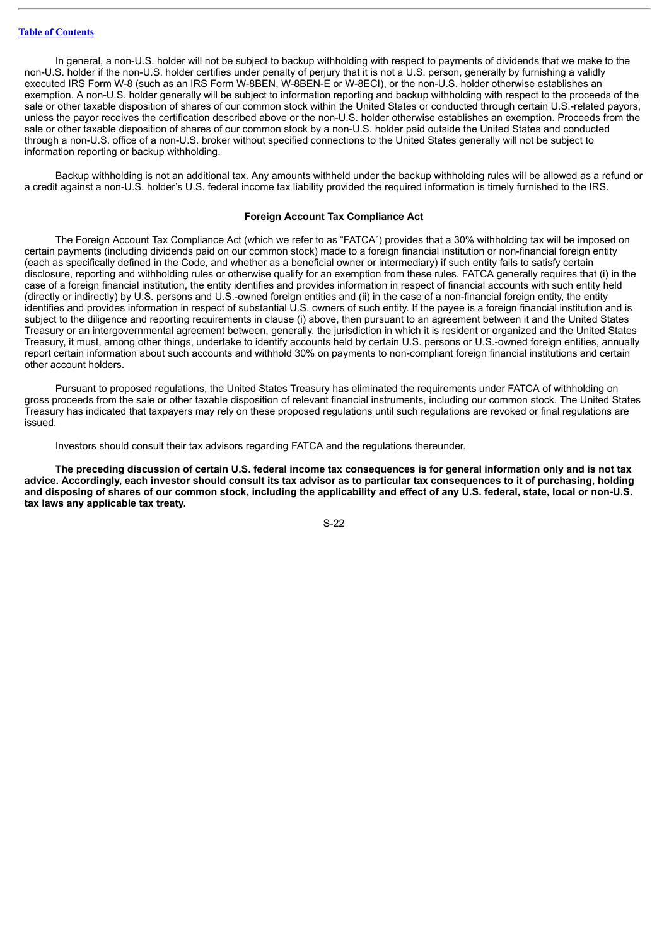In general, a non-U.S. holder will not be subject to backup withholding with respect to payments of dividends that we make to the non-U.S. holder if the non-U.S. holder certifies under penalty of perjury that it is not a U.S. person, generally by furnishing a validly executed IRS Form W-8 (such as an IRS Form W-8BEN, W-8BEN-E or W-8ECI), or the non-U.S. holder otherwise establishes an exemption. A non-U.S. holder generally will be subject to information reporting and backup withholding with respect to the proceeds of the sale or other taxable disposition of shares of our common stock within the United States or conducted through certain U.S.-related payors, unless the payor receives the certification described above or the non-U.S. holder otherwise establishes an exemption. Proceeds from the sale or other taxable disposition of shares of our common stock by a non-U.S. holder paid outside the United States and conducted through a non-U.S. office of a non-U.S. broker without specified connections to the United States generally will not be subject to information reporting or backup withholding.

Backup withholding is not an additional tax. Any amounts withheld under the backup withholding rules will be allowed as a refund or a credit against a non-U.S. holder's U.S. federal income tax liability provided the required information is timely furnished to the IRS.

### **Foreign Account Tax Compliance Act**

The Foreign Account Tax Compliance Act (which we refer to as "FATCA") provides that a 30% withholding tax will be imposed on certain payments (including dividends paid on our common stock) made to a foreign financial institution or non-financial foreign entity (each as specifically defined in the Code, and whether as a beneficial owner or intermediary) if such entity fails to satisfy certain disclosure, reporting and withholding rules or otherwise qualify for an exemption from these rules. FATCA generally requires that (i) in the case of a foreign financial institution, the entity identifies and provides information in respect of financial accounts with such entity held (directly or indirectly) by U.S. persons and U.S.-owned foreign entities and (ii) in the case of a non-financial foreign entity, the entity identifies and provides information in respect of substantial U.S. owners of such entity. If the payee is a foreign financial institution and is subject to the diligence and reporting requirements in clause (i) above, then pursuant to an agreement between it and the United States Treasury or an intergovernmental agreement between, generally, the jurisdiction in which it is resident or organized and the United States Treasury, it must, among other things, undertake to identify accounts held by certain U.S. persons or U.S.-owned foreign entities, annually report certain information about such accounts and withhold 30% on payments to non-compliant foreign financial institutions and certain other account holders.

Pursuant to proposed regulations, the United States Treasury has eliminated the requirements under FATCA of withholding on gross proceeds from the sale or other taxable disposition of relevant financial instruments, including our common stock. The United States Treasury has indicated that taxpayers may rely on these proposed regulations until such regulations are revoked or final regulations are issued.

Investors should consult their tax advisors regarding FATCA and the regulations thereunder.

The preceding discussion of certain U.S. federal income tax consequences is for general information only and is not tax advice. Accordingly, each investor should consult its tax advisor as to particular tax consequences to it of purchasing, holding and disposing of shares of our common stock, including the applicability and effect of any U.S. federal, state, local or non-U.S. **tax laws any applicable tax treaty.**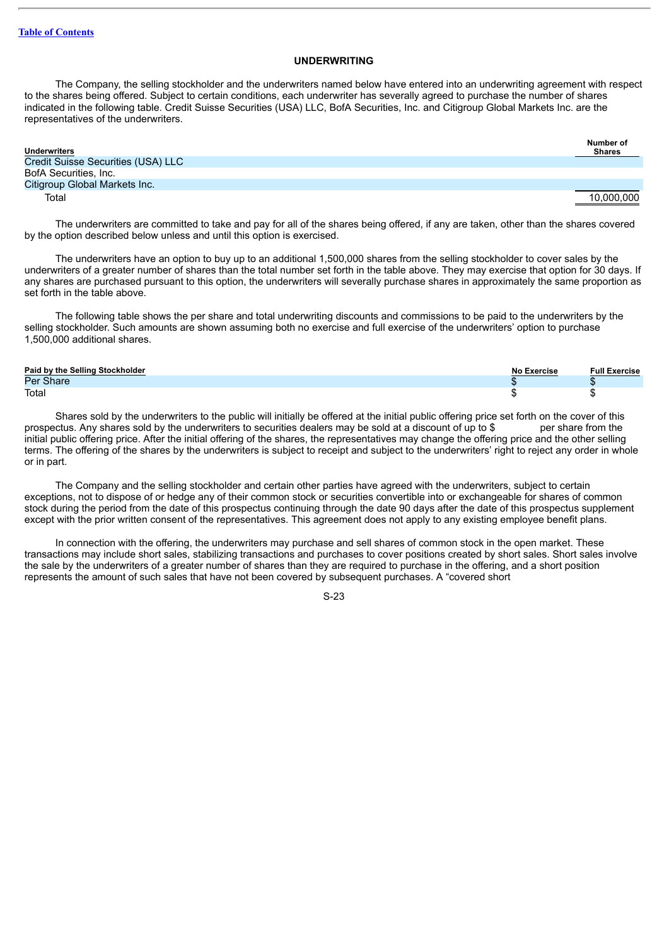### **UNDERWRITING**

<span id="page-24-0"></span>The Company, the selling stockholder and the underwriters named below have entered into an underwriting agreement with respect to the shares being offered. Subject to certain conditions, each underwriter has severally agreed to purchase the number of shares indicated in the following table. Credit Suisse Securities (USA) LLC, BofA Securities, Inc. and Citigroup Global Markets Inc. are the representatives of the underwriters.

| <b>Underwriters</b>                | Number of<br><b>Shares</b> |
|------------------------------------|----------------------------|
| Credit Suisse Securities (USA) LLC |                            |
| BofA Securities, Inc.              |                            |
| Citigroup Global Markets Inc.      |                            |
| Total                              | 10.000.000                 |

The underwriters are committed to take and pay for all of the shares being offered, if any are taken, other than the shares covered by the option described below unless and until this option is exercised.

The underwriters have an option to buy up to an additional 1,500,000 shares from the selling stockholder to cover sales by the underwriters of a greater number of shares than the total number set forth in the table above. They may exercise that option for 30 days. If any shares are purchased pursuant to this option, the underwriters will severally purchase shares in approximately the same proportion as set forth in the table above.

The following table shows the per share and total underwriting discounts and commissions to be paid to the underwriters by the selling stockholder. Such amounts are shown assuming both no exercise and full exercise of the underwriters' option to purchase 1,500,000 additional shares.

| Paid by the Selling Stockholder | Exercise<br>NL- | <b>Full Exercise</b> |
|---------------------------------|-----------------|----------------------|
| Per Share                       |                 |                      |
| Total                           |                 |                      |

Shares sold by the underwriters to the public will initially be offered at the initial public offering price set forth on the cover of this prospectus. Any shares sold by the underwriters to securities dealers may be sold at a discount of up to \$ per share from the initial public offering price. After the initial offering of the shares, the representatives may change the offering price and the other selling terms. The offering of the shares by the underwriters is subject to receipt and subject to the underwriters' right to reject any order in whole or in part.

The Company and the selling stockholder and certain other parties have agreed with the underwriters, subject to certain exceptions, not to dispose of or hedge any of their common stock or securities convertible into or exchangeable for shares of common stock during the period from the date of this prospectus continuing through the date 90 days after the date of this prospectus supplement except with the prior written consent of the representatives. This agreement does not apply to any existing employee benefit plans.

In connection with the offering, the underwriters may purchase and sell shares of common stock in the open market. These transactions may include short sales, stabilizing transactions and purchases to cover positions created by short sales. Short sales involve the sale by the underwriters of a greater number of shares than they are required to purchase in the offering, and a short position represents the amount of such sales that have not been covered by subsequent purchases. A "covered short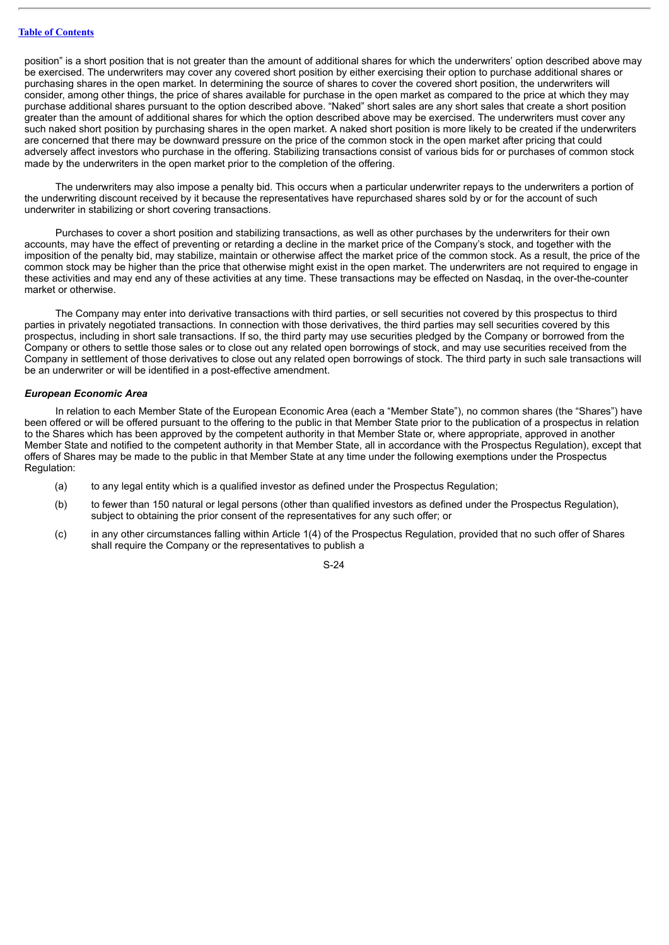position" is a short position that is not greater than the amount of additional shares for which the underwriters' option described above may be exercised. The underwriters may cover any covered short position by either exercising their option to purchase additional shares or purchasing shares in the open market. In determining the source of shares to cover the covered short position, the underwriters will consider, among other things, the price of shares available for purchase in the open market as compared to the price at which they may purchase additional shares pursuant to the option described above. "Naked" short sales are any short sales that create a short position greater than the amount of additional shares for which the option described above may be exercised. The underwriters must cover any such naked short position by purchasing shares in the open market. A naked short position is more likely to be created if the underwriters are concerned that there may be downward pressure on the price of the common stock in the open market after pricing that could adversely affect investors who purchase in the offering. Stabilizing transactions consist of various bids for or purchases of common stock made by the underwriters in the open market prior to the completion of the offering.

The underwriters may also impose a penalty bid. This occurs when a particular underwriter repays to the underwriters a portion of the underwriting discount received by it because the representatives have repurchased shares sold by or for the account of such underwriter in stabilizing or short covering transactions.

Purchases to cover a short position and stabilizing transactions, as well as other purchases by the underwriters for their own accounts, may have the effect of preventing or retarding a decline in the market price of the Company's stock, and together with the imposition of the penalty bid, may stabilize, maintain or otherwise affect the market price of the common stock. As a result, the price of the common stock may be higher than the price that otherwise might exist in the open market. The underwriters are not required to engage in these activities and may end any of these activities at any time. These transactions may be effected on Nasdaq, in the over-the-counter market or otherwise.

The Company may enter into derivative transactions with third parties, or sell securities not covered by this prospectus to third parties in privately negotiated transactions. In connection with those derivatives, the third parties may sell securities covered by this prospectus, including in short sale transactions. If so, the third party may use securities pledged by the Company or borrowed from the Company or others to settle those sales or to close out any related open borrowings of stock, and may use securities received from the Company in settlement of those derivatives to close out any related open borrowings of stock. The third party in such sale transactions will be an underwriter or will be identified in a post-effective amendment.

### *European Economic Area*

In relation to each Member State of the European Economic Area (each a "Member State"), no common shares (the "Shares") have been offered or will be offered pursuant to the offering to the public in that Member State prior to the publication of a prospectus in relation to the Shares which has been approved by the competent authority in that Member State or, where appropriate, approved in another Member State and notified to the competent authority in that Member State, all in accordance with the Prospectus Regulation), except that offers of Shares may be made to the public in that Member State at any time under the following exemptions under the Prospectus Regulation:

- (a) to any legal entity which is a qualified investor as defined under the Prospectus Regulation;
- (b) to fewer than 150 natural or legal persons (other than qualified investors as defined under the Prospectus Regulation), subject to obtaining the prior consent of the representatives for any such offer; or
- (c) in any other circumstances falling within Article 1(4) of the Prospectus Regulation, provided that no such offer of Shares shall require the Company or the representatives to publish a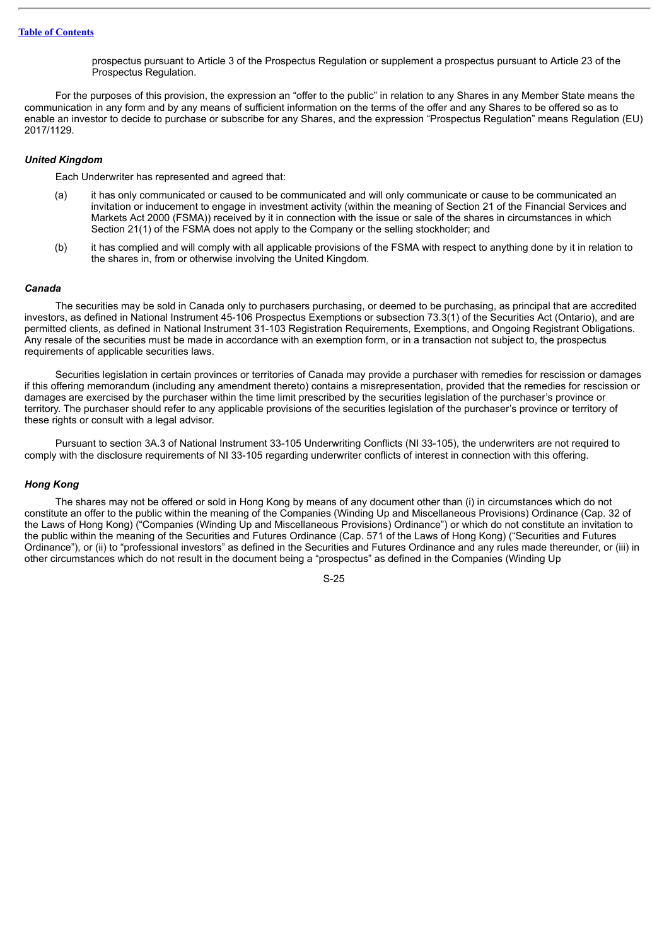prospectus pursuant to Article 3 of the Prospectus Regulation or supplement a prospectus pursuant to Article 23 of the Prospectus Regulation.

For the purposes of this provision, the expression an "offer to the public" in relation to any Shares in any Member State means the communication in any form and by any means of sufficient information on the terms of the offer and any Shares to be offered so as to enable an investor to decide to purchase or subscribe for any Shares, and the expression "Prospectus Regulation" means Regulation (EU) 2017/1129.

### *United Kingdom*

Each Underwriter has represented and agreed that:

- (a) it has only communicated or caused to be communicated and will only communicate or cause to be communicated an invitation or inducement to engage in investment activity (within the meaning of Section 21 of the Financial Services and Markets Act 2000 (FSMA)) received by it in connection with the issue or sale of the shares in circumstances in which Section 21(1) of the FSMA does not apply to the Company or the selling stockholder; and
- (b) it has complied and will comply with all applicable provisions of the FSMA with respect to anything done by it in relation to the shares in, from or otherwise involving the United Kingdom.

### *Canada*

The securities may be sold in Canada only to purchasers purchasing, or deemed to be purchasing, as principal that are accredited investors, as defined in National Instrument 45-106 Prospectus Exemptions or subsection 73.3(1) of the Securities Act (Ontario), and are permitted clients, as defined in National Instrument 31-103 Registration Requirements, Exemptions, and Ongoing Registrant Obligations. Any resale of the securities must be made in accordance with an exemption form, or in a transaction not subject to, the prospectus requirements of applicable securities laws.

Securities legislation in certain provinces or territories of Canada may provide a purchaser with remedies for rescission or damages if this offering memorandum (including any amendment thereto) contains a misrepresentation, provided that the remedies for rescission or damages are exercised by the purchaser within the time limit prescribed by the securities legislation of the purchaser's province or territory. The purchaser should refer to any applicable provisions of the securities legislation of the purchaser's province or territory of these rights or consult with a legal advisor.

Pursuant to section 3A.3 of National Instrument 33-105 Underwriting Conflicts (NI 33-105), the underwriters are not required to comply with the disclosure requirements of NI 33-105 regarding underwriter conflicts of interest in connection with this offering.

### *Hong Kong*

The shares may not be offered or sold in Hong Kong by means of any document other than (i) in circumstances which do not constitute an offer to the public within the meaning of the Companies (Winding Up and Miscellaneous Provisions) Ordinance (Cap. 32 of the Laws of Hong Kong) ("Companies (Winding Up and Miscellaneous Provisions) Ordinance") or which do not constitute an invitation to the public within the meaning of the Securities and Futures Ordinance (Cap. 571 of the Laws of Hong Kong) ("Securities and Futures Ordinance"), or (ii) to "professional investors" as defined in the Securities and Futures Ordinance and any rules made thereunder, or (iii) in other circumstances which do not result in the document being a "prospectus" as defined in the Companies (Winding Up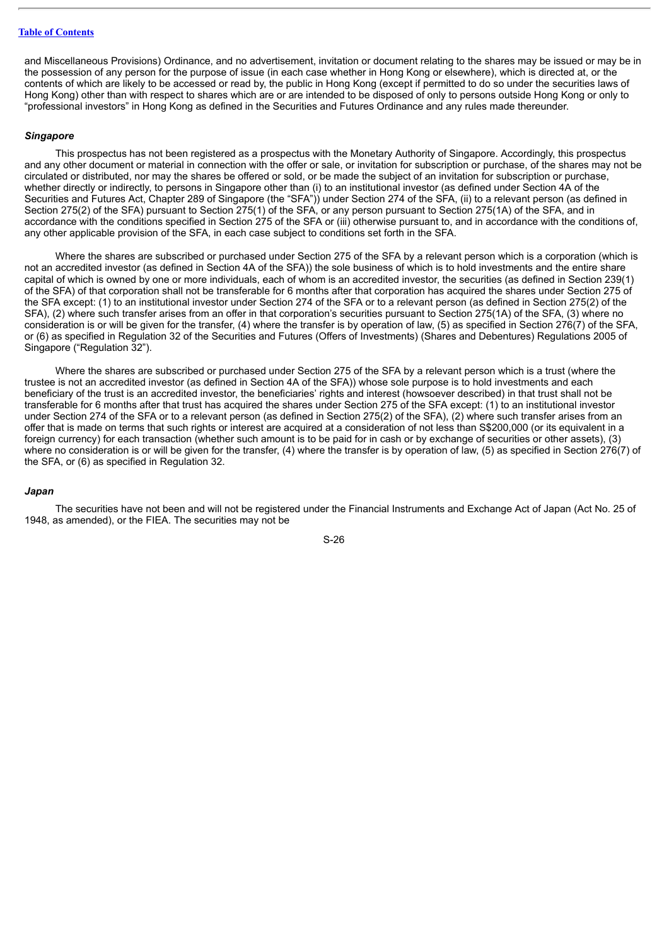and Miscellaneous Provisions) Ordinance, and no advertisement, invitation or document relating to the shares may be issued or may be in the possession of any person for the purpose of issue (in each case whether in Hong Kong or elsewhere), which is directed at, or the contents of which are likely to be accessed or read by, the public in Hong Kong (except if permitted to do so under the securities laws of Hong Kong) other than with respect to shares which are or are intended to be disposed of only to persons outside Hong Kong or only to "professional investors" in Hong Kong as defined in the Securities and Futures Ordinance and any rules made thereunder.

### *Singapore*

This prospectus has not been registered as a prospectus with the Monetary Authority of Singapore. Accordingly, this prospectus and any other document or material in connection with the offer or sale, or invitation for subscription or purchase, of the shares may not be circulated or distributed, nor may the shares be offered or sold, or be made the subject of an invitation for subscription or purchase, whether directly or indirectly, to persons in Singapore other than (i) to an institutional investor (as defined under Section 4A of the Securities and Futures Act, Chapter 289 of Singapore (the "SFA")) under Section 274 of the SFA, (ii) to a relevant person (as defined in Section 275(2) of the SFA) pursuant to Section 275(1) of the SFA, or any person pursuant to Section 275(1A) of the SFA, and in accordance with the conditions specified in Section 275 of the SFA or (iii) otherwise pursuant to, and in accordance with the conditions of, any other applicable provision of the SFA, in each case subject to conditions set forth in the SFA.

Where the shares are subscribed or purchased under Section 275 of the SFA by a relevant person which is a corporation (which is not an accredited investor (as defined in Section 4A of the SFA)) the sole business of which is to hold investments and the entire share capital of which is owned by one or more individuals, each of whom is an accredited investor, the securities (as defined in Section 239(1) of the SFA) of that corporation shall not be transferable for 6 months after that corporation has acquired the shares under Section 275 of the SFA except: (1) to an institutional investor under Section 274 of the SFA or to a relevant person (as defined in Section 275(2) of the SFA), (2) where such transfer arises from an offer in that corporation's securities pursuant to Section 275(1A) of the SFA, (3) where no consideration is or will be given for the transfer, (4) where the transfer is by operation of law, (5) as specified in Section 276(7) of the SFA, or (6) as specified in Regulation 32 of the Securities and Futures (Offers of Investments) (Shares and Debentures) Regulations 2005 of Singapore ("Regulation 32").

Where the shares are subscribed or purchased under Section 275 of the SFA by a relevant person which is a trust (where the trustee is not an accredited investor (as defined in Section 4A of the SFA)) whose sole purpose is to hold investments and each beneficiary of the trust is an accredited investor, the beneficiaries' rights and interest (howsoever described) in that trust shall not be transferable for 6 months after that trust has acquired the shares under Section 275 of the SFA except: (1) to an institutional investor under Section 274 of the SFA or to a relevant person (as defined in Section 275(2) of the SFA), (2) where such transfer arises from an offer that is made on terms that such rights or interest are acquired at a consideration of not less than S\$200,000 (or its equivalent in a foreign currency) for each transaction (whether such amount is to be paid for in cash or by exchange of securities or other assets), (3) where no consideration is or will be given for the transfer, (4) where the transfer is by operation of law, (5) as specified in Section 276(7) of the SFA, or (6) as specified in Regulation 32.

### *Japan*

The securities have not been and will not be registered under the Financial Instruments and Exchange Act of Japan (Act No. 25 of 1948, as amended), or the FIEA. The securities may not be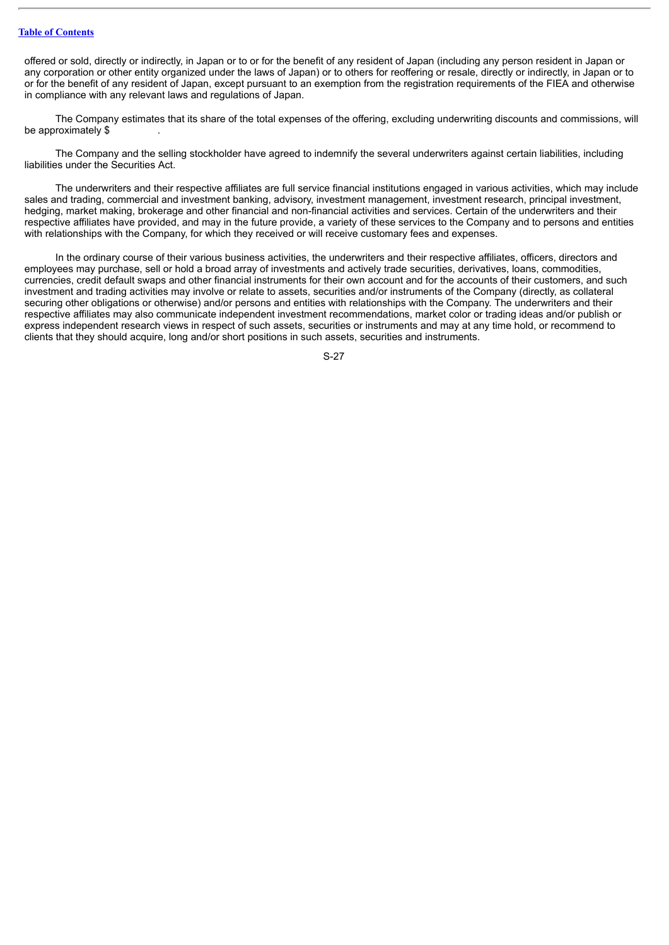### **Table of [Contents](#page-1-0)**

offered or sold, directly or indirectly, in Japan or to or for the benefit of any resident of Japan (including any person resident in Japan or any corporation or other entity organized under the laws of Japan) or to others for reoffering or resale, directly or indirectly, in Japan or to or for the benefit of any resident of Japan, except pursuant to an exemption from the registration requirements of the FIEA and otherwise in compliance with any relevant laws and regulations of Japan.

The Company estimates that its share of the total expenses of the offering, excluding underwriting discounts and commissions, will be approximately \$

The Company and the selling stockholder have agreed to indemnify the several underwriters against certain liabilities, including liabilities under the Securities Act.

The underwriters and their respective affiliates are full service financial institutions engaged in various activities, which may include sales and trading, commercial and investment banking, advisory, investment management, investment research, principal investment, hedging, market making, brokerage and other financial and non-financial activities and services. Certain of the underwriters and their respective affiliates have provided, and may in the future provide, a variety of these services to the Company and to persons and entities with relationships with the Company, for which they received or will receive customary fees and expenses.

In the ordinary course of their various business activities, the underwriters and their respective affiliates, officers, directors and employees may purchase, sell or hold a broad array of investments and actively trade securities, derivatives, loans, commodities, currencies, credit default swaps and other financial instruments for their own account and for the accounts of their customers, and such investment and trading activities may involve or relate to assets, securities and/or instruments of the Company (directly, as collateral securing other obligations or otherwise) and/or persons and entities with relationships with the Company. The underwriters and their respective affiliates may also communicate independent investment recommendations, market color or trading ideas and/or publish or express independent research views in respect of such assets, securities or instruments and may at any time hold, or recommend to clients that they should acquire, long and/or short positions in such assets, securities and instruments.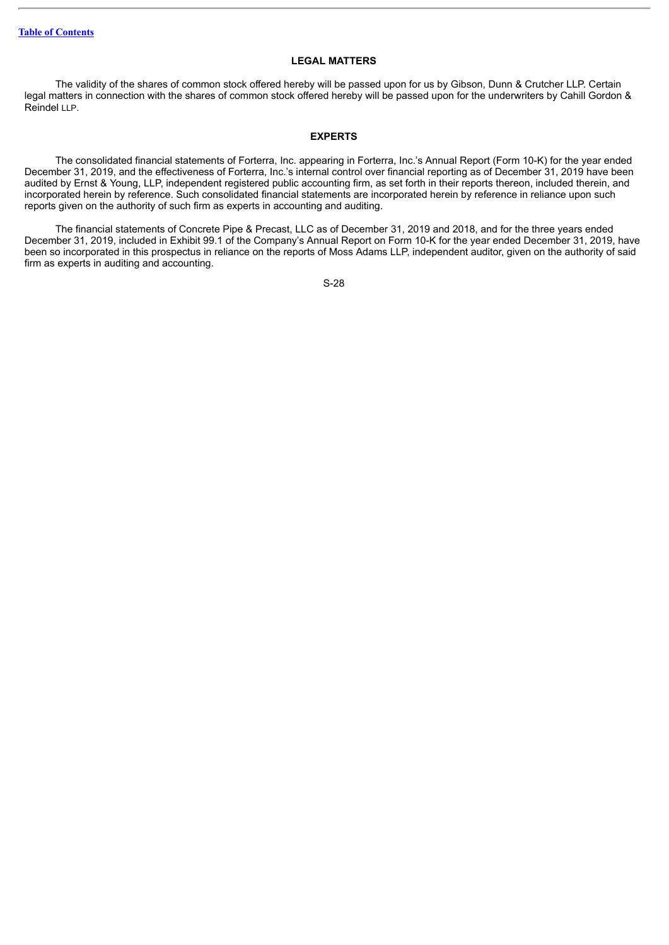### **LEGAL MATTERS**

<span id="page-29-0"></span>The validity of the shares of common stock offered hereby will be passed upon for us by Gibson, Dunn & Crutcher LLP. Certain legal matters in connection with the shares of common stock offered hereby will be passed upon for the underwriters by Cahill Gordon & Reindel LLP.

### **EXPERTS**

<span id="page-29-1"></span>The consolidated financial statements of Forterra, Inc. appearing in Forterra, Inc.'s Annual Report (Form 10-K) for the year ended December 31, 2019, and the effectiveness of Forterra, Inc.'s internal control over financial reporting as of December 31, 2019 have been audited by Ernst & Young, LLP, independent registered public accounting firm, as set forth in their reports thereon, included therein, and incorporated herein by reference. Such consolidated financial statements are incorporated herein by reference in reliance upon such reports given on the authority of such firm as experts in accounting and auditing.

The financial statements of Concrete Pipe & Precast, LLC as of December 31, 2019 and 2018, and for the three years ended December 31, 2019, included in Exhibit 99.1 of the Company's Annual Report on Form 10-K for the year ended December 31, 2019, have been so incorporated in this prospectus in reliance on the reports of Moss Adams LLP, independent auditor, given on the authority of said firm as experts in auditing and accounting.

```
S-28
```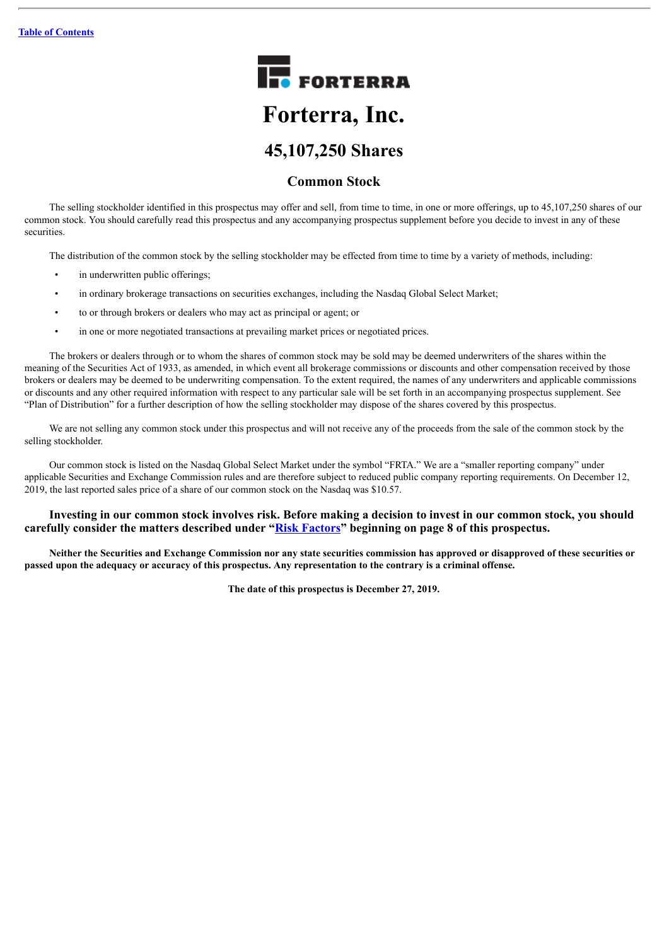

## **Common Stock**

The selling stockholder identified in this prospectus may offer and sell, from time to time, in one or more offerings, up to 45,107,250 shares of our common stock. You should carefully read this prospectus and any accompanying prospectus supplement before you decide to invest in any of these securities.

The distribution of the common stock by the selling stockholder may be effected from time to time by a variety of methods, including:

- in underwritten public offerings;
- in ordinary brokerage transactions on securities exchanges, including the Nasdaq Global Select Market;
- to or through brokers or dealers who may act as principal or agent; or
- in one or more negotiated transactions at prevailing market prices or negotiated prices.

The brokers or dealers through or to whom the shares of common stock may be sold may be deemed underwriters of the shares within the meaning of the Securities Act of 1933, as amended, in which event all brokerage commissions or discounts and other compensation received by those brokers or dealers may be deemed to be underwriting compensation. To the extent required, the names of any underwriters and applicable commissions or discounts and any other required information with respect to any particular sale will be set forth in an accompanying prospectus supplement. See "Plan of Distribution" for a further description of how the selling stockholder may dispose of the shares covered by this prospectus.

We are not selling any common stock under this prospectus and will not receive any of the proceeds from the sale of the common stock by the selling stockholder.

Our common stock is listed on the Nasdaq Global Select Market under the symbol "FRTA." We are a "smaller reporting company" under applicable Securities and Exchange Commission rules and are therefore subject to reduced public company reporting requirements. On December 12, 2019, the last reported sales price of a share of our common stock on the Nasdaq was \$10.57.

### **Investing in our common stock involves risk. Before making a decision to invest in our common stock, you should carefully consider the matters described under "[Risk Factors](#page-39-0)" beginning on page 8 of this prospectus.**

Neither the Securities and Exchange Commission nor any state securities commission has approved or disapproved of these securities or passed upon the adequacy or accuracy of this prospectus. Any representation to the contrary is a criminal offense.

**The date of this prospectus is December 27, 2019.**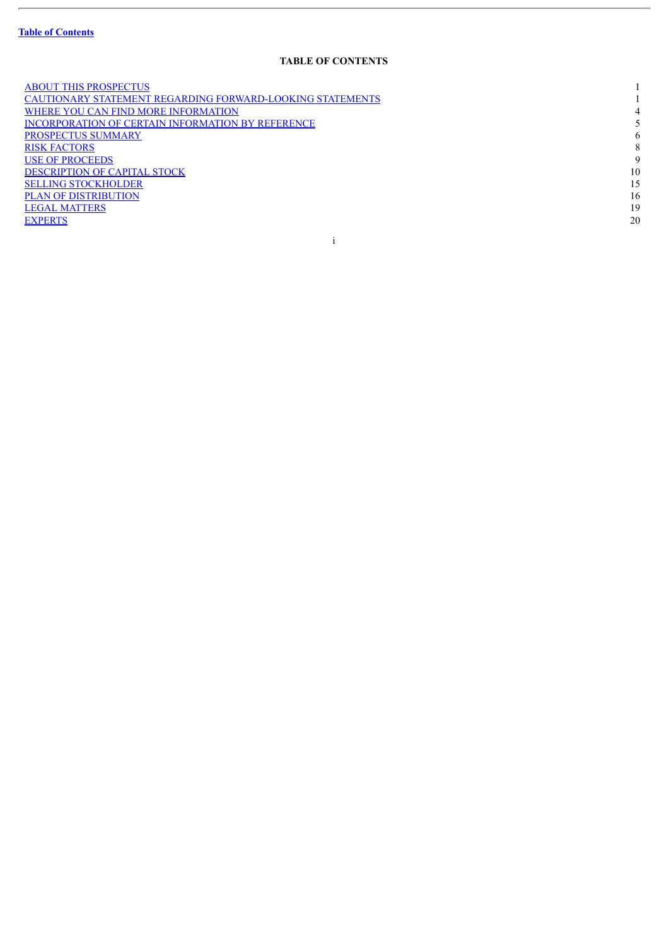$\overline{a}$ 

### **TABLE OF CONTENTS**

| <b>ABOUT THIS PROSPECTUS</b>                              |    |
|-----------------------------------------------------------|----|
| CAUTIONARY STATEMENT REGARDING FORWARD-LOOKING STATEMENTS |    |
| WHERE YOU CAN FIND MORE INFORMATION                       | 4  |
| <b>INCORPORATION OF CERTAIN INFORMATION BY REFERENCE</b>  |    |
| PROSPECTUS SUMMARY                                        | 6  |
| <b>RISK FACTORS</b>                                       | 8  |
| <b>USE OF PROCEEDS</b>                                    | 9  |
| <b>DESCRIPTION OF CAPITAL STOCK</b>                       | 10 |
| <b>SELLING STOCKHOLDER</b>                                | 15 |
| <b>PLAN OF DISTRIBUTION</b>                               | 16 |
| <b>LEGAL MATTERS</b>                                      | 19 |
| <b>EXPERTS</b>                                            | 20 |
|                                                           |    |

i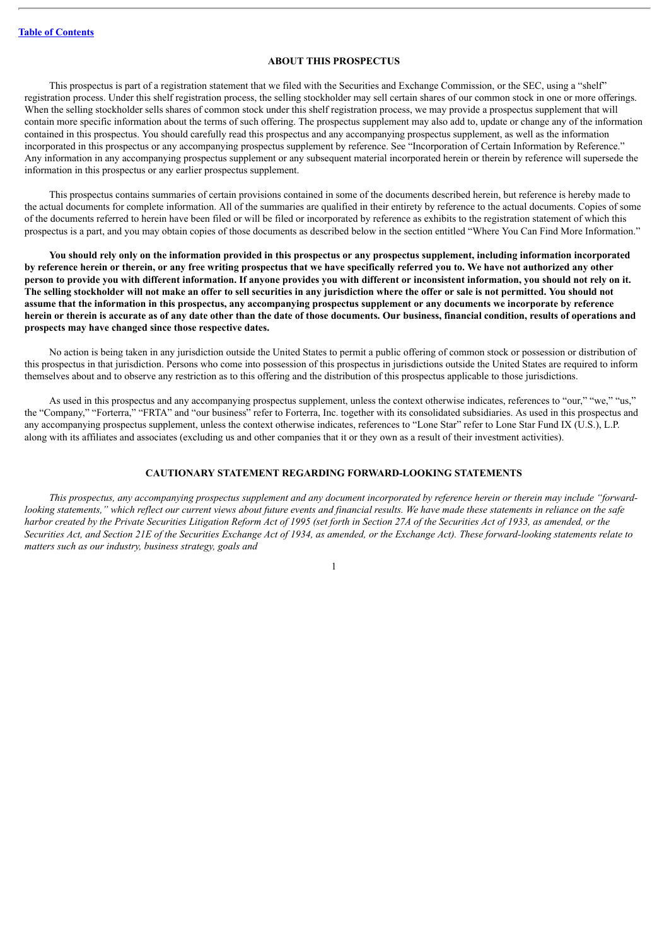### **ABOUT THIS PROSPECTUS**

<span id="page-32-0"></span>This prospectus is part of a registration statement that we filed with the Securities and Exchange Commission, or the SEC, using a "shelf" registration process. Under this shelf registration process, the selling stockholder may sell certain shares of our common stock in one or more offerings. When the selling stockholder sells shares of common stock under this shelf registration process, we may provide a prospectus supplement that will contain more specific information about the terms of such offering. The prospectus supplement may also add to, update or change any of the information contained in this prospectus. You should carefully read this prospectus and any accompanying prospectus supplement, as well as the information incorporated in this prospectus or any accompanying prospectus supplement by reference. See "Incorporation of Certain Information by Reference." Any information in any accompanying prospectus supplement or any subsequent material incorporated herein or therein by reference will supersede the information in this prospectus or any earlier prospectus supplement.

This prospectus contains summaries of certain provisions contained in some of the documents described herein, but reference is hereby made to the actual documents for complete information. All of the summaries are qualified in their entirety by reference to the actual documents. Copies of some of the documents referred to herein have been filed or will be filed or incorporated by reference as exhibits to the registration statement of which this prospectus is a part, and you may obtain copies of those documents as described below in the section entitled "Where You Can Find More Information."

You should rely only on the information provided in this prospectus or any prospectus supplement, including information incorporated by reference herein or therein, or any free writing prospectus that we have specifically referred you to. We have not authorized any other person to provide you with different information. If anyone provides you with different or inconsistent information, you should not rely on it. The selling stockholder will not make an offer to sell securities in any jurisdiction where the offer or sale is not permitted. You should not assume that the information in this prospectus, any accompanying prospectus supplement or any documents we incorporate by reference herein or therein is accurate as of any date other than the date of those documents. Our business, financial condition, results of operations and **prospects may have changed since those respective dates.**

No action is being taken in any jurisdiction outside the United States to permit a public offering of common stock or possession or distribution of this prospectus in that jurisdiction. Persons who come into possession of this prospectus in jurisdictions outside the United States are required to inform themselves about and to observe any restriction as to this offering and the distribution of this prospectus applicable to those jurisdictions.

As used in this prospectus and any accompanying prospectus supplement, unless the context otherwise indicates, references to "our." "we." "us." the "Company," "Forterra," "FRTA" and "our business" refer to Forterra, Inc. together with its consolidated subsidiaries. As used in this prospectus and any accompanying prospectus supplement, unless the context otherwise indicates, references to "Lone Star" refer to Lone Star Fund IX (U.S.), L.P. along with its affiliates and associates (excluding us and other companies that it or they own as a result of their investment activities).

### **CAUTIONARY STATEMENT REGARDING FORWARD-LOOKING STATEMENTS**

<span id="page-32-1"></span>This prospectus, any accompanying prospectus supplement and any document incorporated by reference herein or therein may include "forwardlooking statements," which reflect our current views about future events and financial results. We have made these statements in reliance on the safe harbor created by the Private Securities Litigation Reform Act of 1995 (set forth in Section 27A of the Securities Act of 1933, as amended, or the Securities Act, and Section 21E of the Securities Exchange Act of 1934, as amended, or the Exchange Act). These forward-looking statements relate to *matters such as our industry, business strategy, goals and*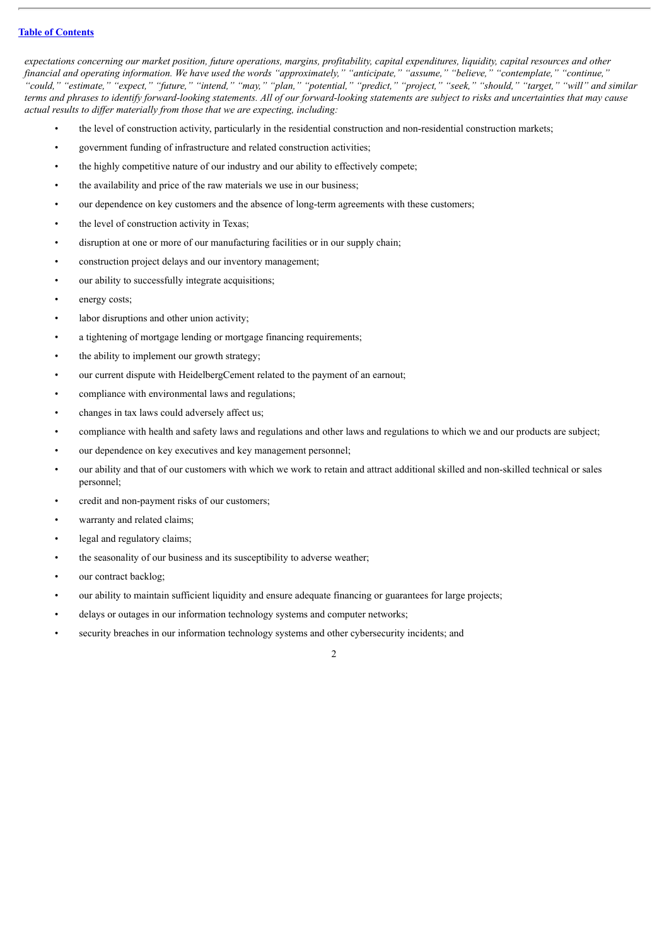### **Table of [Contents](#page-1-0)**

expectations concerning our market position, future operations, margins, profitability, capital expenditures, liquidity, capital resources and other financial and operating information. We have used the words "approximately," "anticipate," "assume," "believe," "contemplate," "continue," "could," "estimate," "expect," "future," "intend," "may," "plan," "potential," "predict," "project," "seek," "should," "target," "will" and similar terms and phrases to identify forward-looking statements. All of our forward-looking statements are subject to risks and uncertainties that may cause *actual results to dif er materially from those that we are expecting, including:*

- the level of construction activity, particularly in the residential construction and non-residential construction markets;
- government funding of infrastructure and related construction activities;
- the highly competitive nature of our industry and our ability to effectively compete;
- the availability and price of the raw materials we use in our business;
- our dependence on key customers and the absence of long-term agreements with these customers;
- the level of construction activity in Texas;
- disruption at one or more of our manufacturing facilities or in our supply chain;
- construction project delays and our inventory management;
- our ability to successfully integrate acquisitions;
- energy costs;
- labor disruptions and other union activity;
- a tightening of mortgage lending or mortgage financing requirements;
- the ability to implement our growth strategy;
- our current dispute with HeidelbergCement related to the payment of an earnout;
- compliance with environmental laws and regulations;
- changes in tax laws could adversely affect us;
- compliance with health and safety laws and regulations and other laws and regulations to which we and our products are subject;
- our dependence on key executives and key management personnel;
- our ability and that of our customers with which we work to retain and attract additional skilled and non-skilled technical or sales personnel;
- credit and non-payment risks of our customers;
- warranty and related claims;
- legal and regulatory claims;
- the seasonality of our business and its susceptibility to adverse weather;
- our contract backlog;
- our ability to maintain sufficient liquidity and ensure adequate financing or guarantees for large projects;
- delays or outages in our information technology systems and computer networks;
- security breaches in our information technology systems and other cybersecurity incidents; and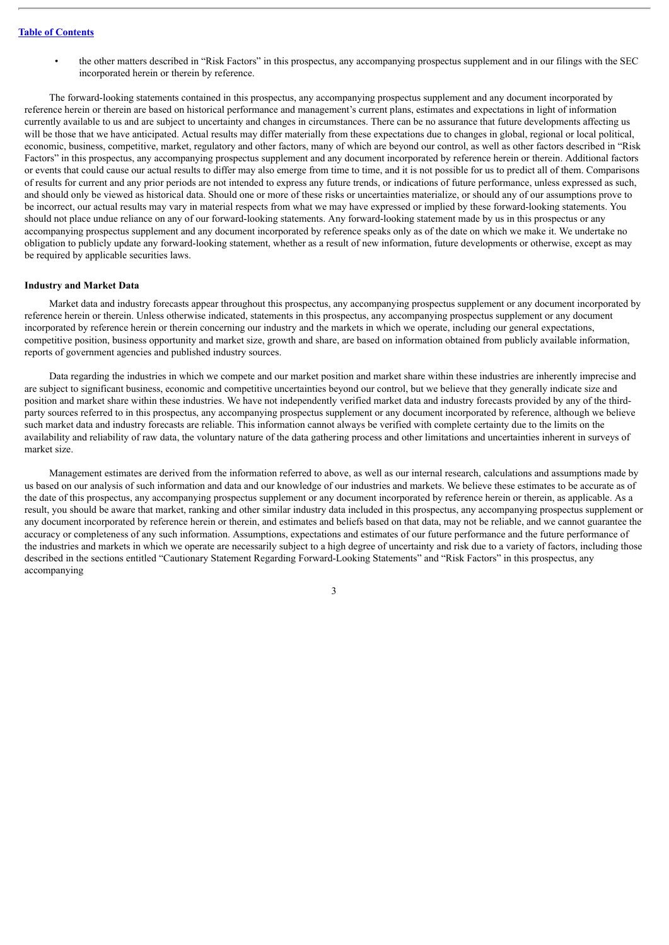• the other matters described in "Risk Factors" in this prospectus, any accompanying prospectus supplement and in our filings with the SEC incorporated herein or therein by reference.

The forward-looking statements contained in this prospectus, any accompanying prospectus supplement and any document incorporated by reference herein or therein are based on historical performance and management's current plans, estimates and expectations in light of information currently available to us and are subject to uncertainty and changes in circumstances. There can be no assurance that future developments affecting us will be those that we have anticipated. Actual results may differ materially from these expectations due to changes in global, regional or local political, economic, business, competitive, market, regulatory and other factors, many of which are beyond our control, as well as other factors described in "Risk Factors" in this prospectus, any accompanying prospectus supplement and any document incorporated by reference herein or therein. Additional factors or events that could cause our actual results to differ may also emerge from time to time, and it is not possible for us to predict all of them. Comparisons of results for current and any prior periods are not intended to express any future trends, or indications of future performance, unless expressed as such, and should only be viewed as historical data. Should one or more of these risks or uncertainties materialize, or should any of our assumptions prove to be incorrect, our actual results may vary in material respects from what we may have expressed or implied by these forward-looking statements. You should not place undue reliance on any of our forward-looking statements. Any forward-looking statement made by us in this prospectus or any accompanying prospectus supplement and any document incorporated by reference speaks only as of the date on which we make it. We undertake no obligation to publicly update any forward-looking statement, whether as a result of new information, future developments or otherwise, except as may be required by applicable securities laws.

#### **Industry and Market Data**

Market data and industry forecasts appear throughout this prospectus, any accompanying prospectus supplement or any document incorporated by reference herein or therein. Unless otherwise indicated, statements in this prospectus, any accompanying prospectus supplement or any document incorporated by reference herein or therein concerning our industry and the markets in which we operate, including our general expectations, competitive position, business opportunity and market size, growth and share, are based on information obtained from publicly available information, reports of government agencies and published industry sources.

Data regarding the industries in which we compete and our market position and market share within these industries are inherently imprecise and are subject to significant business, economic and competitive uncertainties beyond our control, but we believe that they generally indicate size and position and market share within these industries. We have not independently verified market data and industry forecasts provided by any of the thirdparty sources referred to in this prospectus, any accompanying prospectus supplement or any document incorporated by reference, although we believe such market data and industry forecasts are reliable. This information cannot always be verified with complete certainty due to the limits on the availability and reliability of raw data, the voluntary nature of the data gathering process and other limitations and uncertainties inherent in surveys of market size.

Management estimates are derived from the information referred to above, as well as our internal research, calculations and assumptions made by us based on our analysis of such information and data and our knowledge of our industries and markets. We believe these estimates to be accurate as of the date of this prospectus, any accompanying prospectus supplement or any document incorporated by reference herein or therein, as applicable. As a result, you should be aware that market, ranking and other similar industry data included in this prospectus, any accompanying prospectus supplement or any document incorporated by reference herein or therein, and estimates and beliefs based on that data, may not be reliable, and we cannot guarantee the accuracy or completeness of any such information. Assumptions, expectations and estimates of our future performance and the future performance of the industries and markets in which we operate are necessarily subject to a high degree of uncertainty and risk due to a variety of factors, including those described in the sections entitled "Cautionary Statement Regarding Forward-Looking Statements" and "Risk Factors" in this prospectus, any accompanying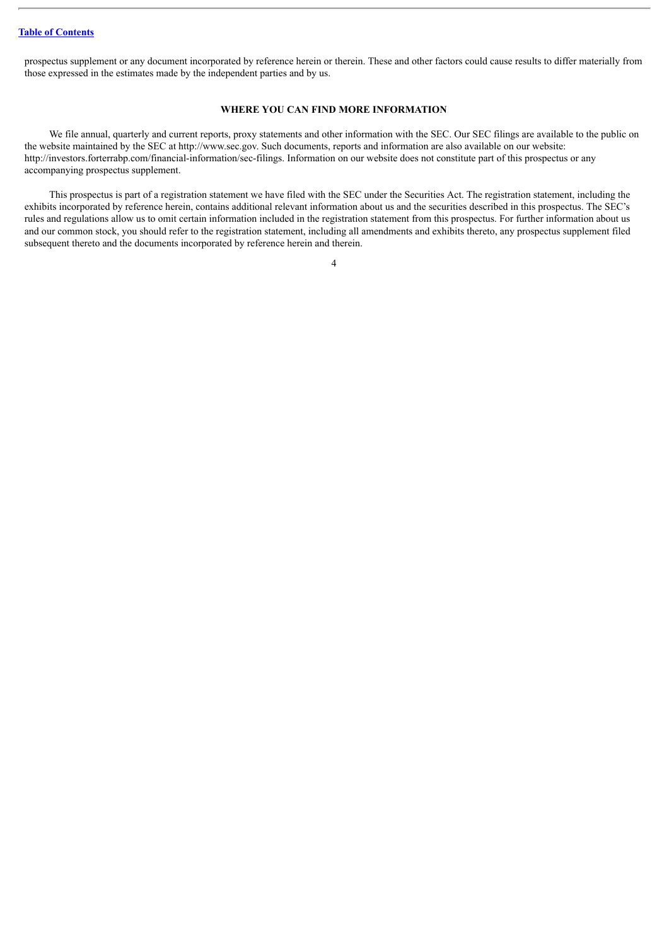### **Table of [Contents](#page-1-0)**

prospectus supplement or any document incorporated by reference herein or therein. These and other factors could cause results to differ materially from those expressed in the estimates made by the independent parties and by us.

### **WHERE YOU CAN FIND MORE INFORMATION**

<span id="page-35-0"></span>We file annual, quarterly and current reports, proxy statements and other information with the SEC. Our SEC filings are available to the public on the website maintained by the SEC at http://www.sec.gov. Such documents, reports and information are also available on our website: http://investors.forterrabp.com/financial-information/sec-filings. Information on our website does not constitute part of this prospectus or any accompanying prospectus supplement.

This prospectus is part of a registration statement we have filed with the SEC under the Securities Act. The registration statement, including the exhibits incorporated by reference herein, contains additional relevant information about us and the securities described in this prospectus. The SEC's rules and regulations allow us to omit certain information included in the registration statement from this prospectus. For further information about us and our common stock, you should refer to the registration statement, including all amendments and exhibits thereto, any prospectus supplement filed subsequent thereto and the documents incorporated by reference herein and therein.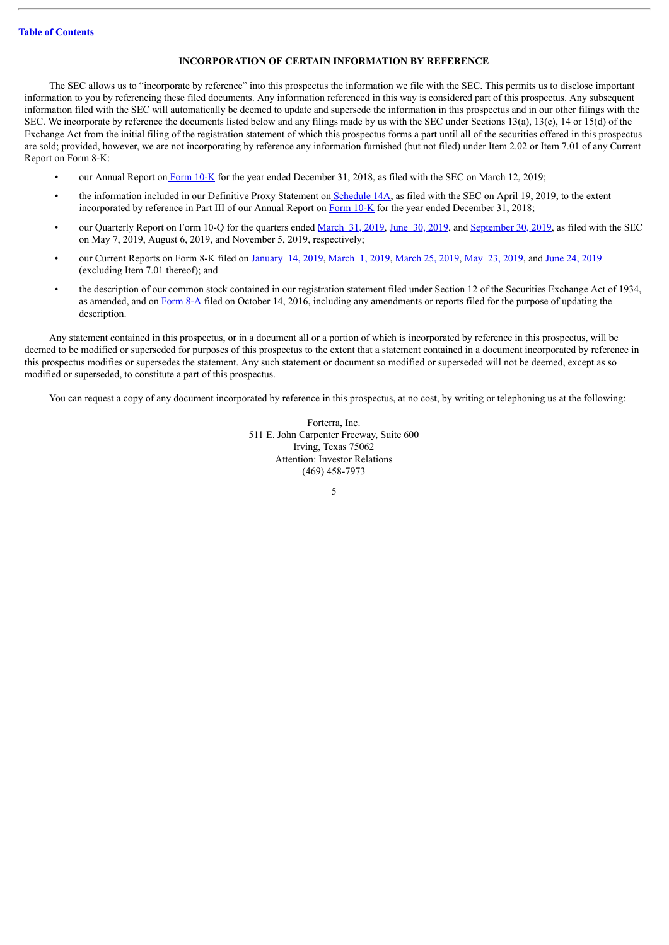### **INCORPORATION OF CERTAIN INFORMATION BY REFERENCE**

<span id="page-36-0"></span>The SEC allows us to "incorporate by reference" into this prospectus the information we file with the SEC. This permits us to disclose important information to you by referencing these filed documents. Any information referenced in this way is considered part of this prospectus. Any subsequent information filed with the SEC will automatically be deemed to update and supersede the information in this prospectus and in our other filings with the SEC. We incorporate by reference the documents listed below and any filings made by us with the SEC under Sections 13(a), 13(c), 14 or 15(d) of the Exchange Act from the initial filing of the registration statement of which this prospectus forms a part until all of the securities offered in this prospectus are sold; provided, however, we are not incorporating by reference any information furnished (but not filed) under Item 2.02 or Item 7.01 of any Current Report on Form 8-K:

- our Annual Report on [Form](http://www.sec.gov/Archives/edgar/data/1678463/000167846319000017/frtaq41231201810k.htm) 10-K for the year ended December 31, 2018, as filed with the SEC on March 12, 2019;
- the information included in our Definitive Proxy Statement on [Schedule](http://www.sec.gov/Archives/edgar/data/1678463/000119312519112373/d687747ddef14a.htm) 14A, as filed with the SEC on April 19, 2019, to the extent incorporated by reference in Part III of our Annual Report on [Form](http://www.sec.gov/Archives/edgar/data/1678463/000167846319000017/frtaq41231201810k.htm) 10-K for the year ended December 31, 2018;
- our Quarterly Report on Form 10-Q for the quarters ended [March](http://www.sec.gov/Archives/edgar/data/1678463/000167846319000045/a2019frtaq1331201910q.htm) 31, [2019](http://www.sec.gov/Archives/edgar/data/1678463/000167846319000075/a2019frtaq2630201910q.htm), June 30, 2019, and [September](http://www.sec.gov/Archives/edgar/data/1678463/000167846319000111/a2019frtaq3930201910q.htm) 30, 2019, as filed with the SEC on May 7, 2019, August 6, 2019, and November 5, 2019, respectively;
- our Current Reports on Form 8-K filed on [January](http://www.sec.gov/Archives/edgar/data/1678463/000167846319000002/frta201901148k.htm) 14, 2019, [March](http://www.sec.gov/Archives/edgar/data/1678463/000167846319000010/frta8k20190301.htm) 1, 2019, [March](http://www.sec.gov/Archives/edgar/data/1678463/000167846319000036/frta8k20190325.htm) 25, 2019, May 23, [2019,](http://www.sec.gov/Archives/edgar/data/1678463/000167846319000048/frta8k20190522.htm) and June 24, [2019](http://www.sec.gov/Archives/edgar/data/1678463/000167846319000057/frta8k201906.htm) (excluding Item 7.01 thereof); and
- the description of our common stock contained in our registration statement filed under Section 12 of the Securities Exchange Act of 1934, as amended, and on [Form](http://www.sec.gov/Archives/edgar/data/1678463/000119312516738685/d271465d8a12b.htm) 8-A filed on October 14, 2016, including any amendments or reports filed for the purpose of updating the description.

Any statement contained in this prospectus, or in a document all or a portion of which is incorporated by reference in this prospectus, will be deemed to be modified or superseded for purposes of this prospectus to the extent that a statement contained in a document incorporated by reference in this prospectus modifies or supersedes the statement. Any such statement or document so modified or superseded will not be deemed, except as so modified or superseded, to constitute a part of this prospectus.

You can request a copy of any document incorporated by reference in this prospectus, at no cost, by writing or telephoning us at the following:

Forterra, Inc. 511 E. John Carpenter Freeway, Suite 600 Irving, Texas 75062 Attention: Investor Relations (469) 458-7973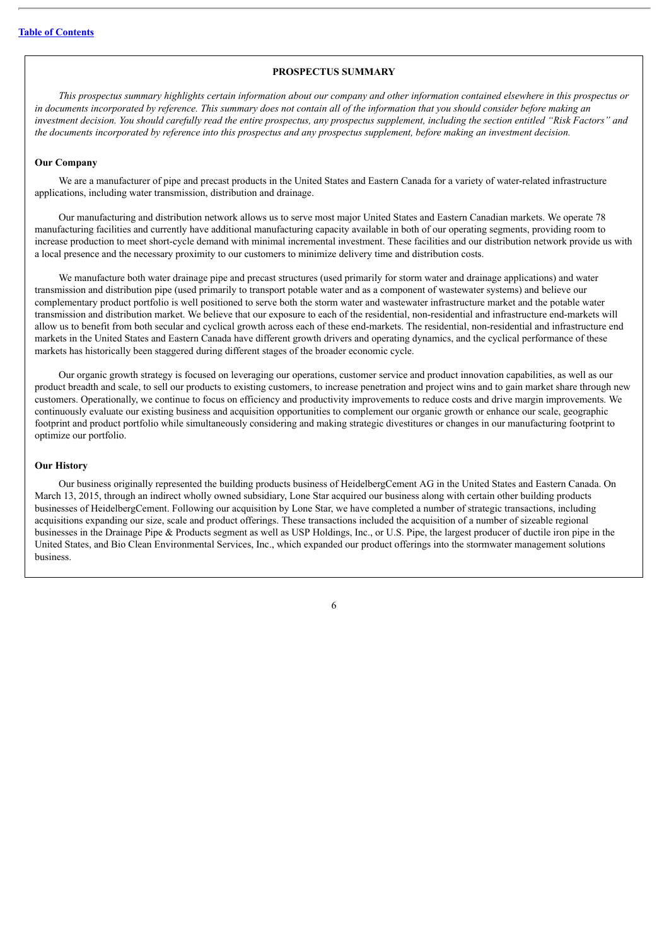### **PROSPECTUS SUMMARY**

<span id="page-37-0"></span>This prospectus summary highlights certain information about our company and other information contained elsewhere in this prospectus or in documents incorporated by reference. This summary does not contain all of the information that you should consider before making an investment decision. You should carefully read the entire prospectus, any prospectus supplement, including the section entitled "Risk Factors" and the documents incorporated by reference into this prospectus and any prospectus supplement, before making an investment decision.

#### **Our Company**

We are a manufacturer of pipe and precast products in the United States and Eastern Canada for a variety of water-related infrastructure applications, including water transmission, distribution and drainage.

Our manufacturing and distribution network allows us to serve most major United States and Eastern Canadian markets. We operate 78 manufacturing facilities and currently have additional manufacturing capacity available in both of our operating segments, providing room to increase production to meet short-cycle demand with minimal incremental investment. These facilities and our distribution network provide us with a local presence and the necessary proximity to our customers to minimize delivery time and distribution costs.

We manufacture both water drainage pipe and precast structures (used primarily for storm water and drainage applications) and water transmission and distribution pipe (used primarily to transport potable water and as a component of wastewater systems) and believe our complementary product portfolio is well positioned to serve both the storm water and wastewater infrastructure market and the potable water transmission and distribution market. We believe that our exposure to each of the residential, non-residential and infrastructure end-markets will allow us to benefit from both secular and cyclical growth across each of these end-markets. The residential, non-residential and infrastructure end markets in the United States and Eastern Canada have different growth drivers and operating dynamics, and the cyclical performance of these markets has historically been staggered during different stages of the broader economic cycle.

Our organic growth strategy is focused on leveraging our operations, customer service and product innovation capabilities, as well as our product breadth and scale, to sell our products to existing customers, to increase penetration and project wins and to gain market share through new customers. Operationally, we continue to focus on efficiency and productivity improvements to reduce costs and drive margin improvements. We continuously evaluate our existing business and acquisition opportunities to complement our organic growth or enhance our scale, geographic footprint and product portfolio while simultaneously considering and making strategic divestitures or changes in our manufacturing footprint to optimize our portfolio.

### **Our History**

Our business originally represented the building products business of HeidelbergCement AG in the United States and Eastern Canada. On March 13, 2015, through an indirect wholly owned subsidiary, Lone Star acquired our business along with certain other building products businesses of HeidelbergCement. Following our acquisition by Lone Star, we have completed a number of strategic transactions, including acquisitions expanding our size, scale and product offerings. These transactions included the acquisition of a number of sizeable regional businesses in the Drainage Pipe & Products segment as well as USP Holdings, Inc., or U.S. Pipe, the largest producer of ductile iron pipe in the United States, and Bio Clean Environmental Services, Inc., which expanded our product offerings into the stormwater management solutions business.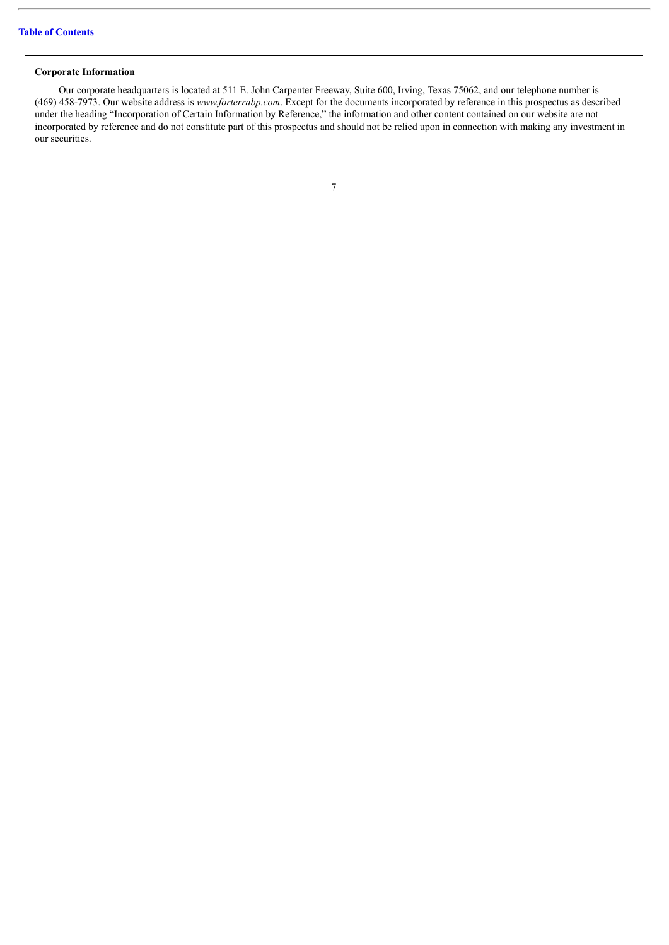### **Corporate Information**

Our corporate headquarters is located at 511 E. John Carpenter Freeway, Suite 600, Irving, Texas 75062, and our telephone number is (469) 458-7973. Our website address is *www.forterrabp.com*. Except for the documents incorporated by reference in this prospectus as described under the heading "Incorporation of Certain Information by Reference," the information and other content contained on our website are not incorporated by reference and do not constitute part of this prospectus and should not be relied upon in connection with making any investment in our securities.

| ٦ |  |  |
|---|--|--|
|   |  |  |
|   |  |  |
|   |  |  |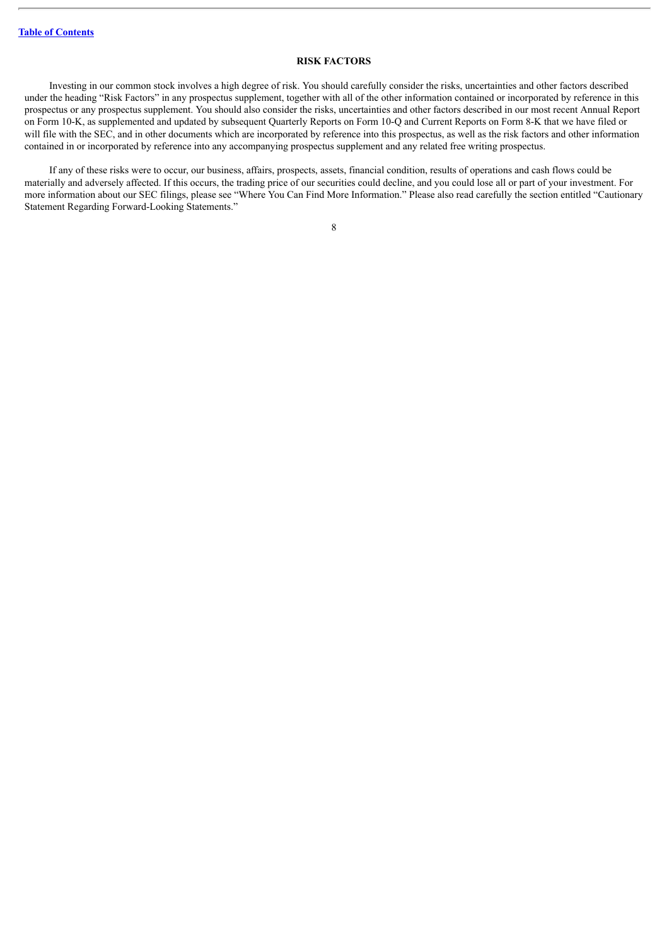### **RISK FACTORS**

<span id="page-39-0"></span>Investing in our common stock involves a high degree of risk. You should carefully consider the risks, uncertainties and other factors described under the heading "Risk Factors" in any prospectus supplement, together with all of the other information contained or incorporated by reference in this prospectus or any prospectus supplement. You should also consider the risks, uncertainties and other factors described in our most recent Annual Report on Form 10-K, as supplemented and updated by subsequent Quarterly Reports on Form 10-Q and Current Reports on Form 8-K that we have filed or will file with the SEC, and in other documents which are incorporated by reference into this prospectus, as well as the risk factors and other information contained in or incorporated by reference into any accompanying prospectus supplement and any related free writing prospectus.

If any of these risks were to occur, our business, affairs, prospects, assets, financial condition, results of operations and cash flows could be materially and adversely affected. If this occurs, the trading price of our securities could decline, and you could lose all or part of your investment. For more information about our SEC filings, please see "Where You Can Find More Information." Please also read carefully the section entitled "Cautionary Statement Regarding Forward-Looking Statements."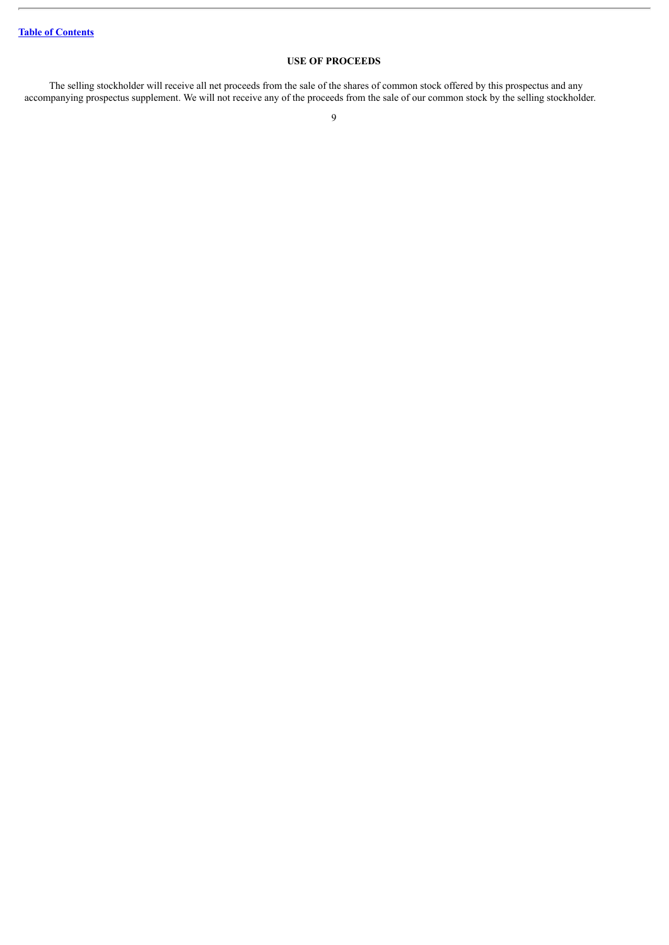### **USE OF PROCEEDS**

<span id="page-40-0"></span>The selling stockholder will receive all net proceeds from the sale of the shares of common stock offered by this prospectus and any accompanying prospectus supplement. We will not receive any of the proceeds from the sale of our common stock by the selling stockholder.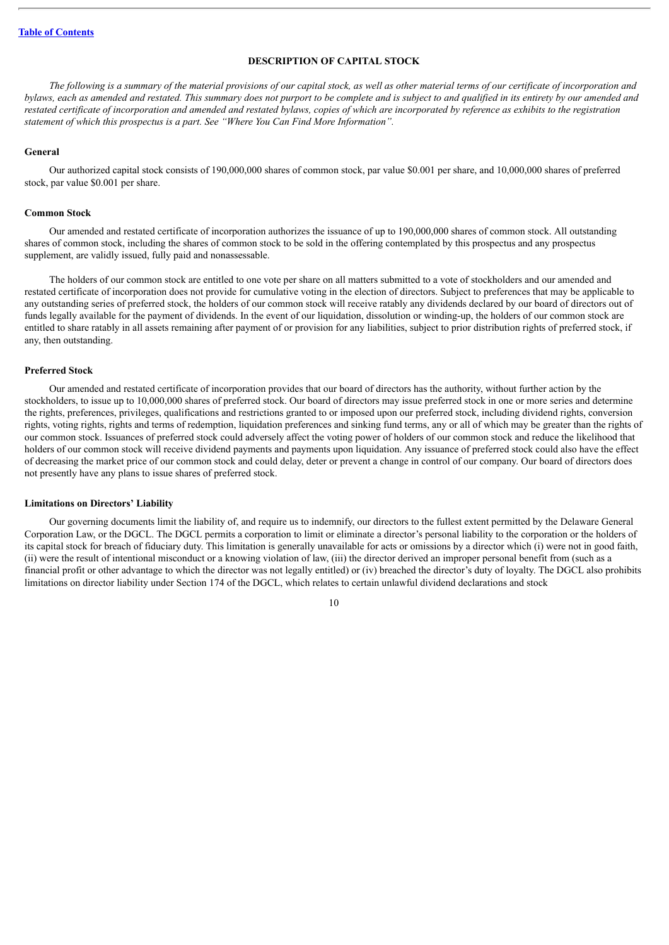### **DESCRIPTION OF CAPITAL STOCK**

<span id="page-41-0"></span>The following is a summary of the material provisions of our capital stock, as well as other material terms of our certificate of incorporation and bylaws, each as amended and restated. This summary does not purport to be complete and is subject to and qualified in its entirety by our amended and restated certificate of incorporation and amended and restated bylaws, copies of which are incorporated by reference as exhibits to the registration *statement of which this prospectus is a part. See "Where You Can Find More Information".*

#### **General**

Our authorized capital stock consists of 190,000,000 shares of common stock, par value \$0.001 per share, and 10,000,000 shares of preferred stock, par value \$0.001 per share.

### **Common Stock**

Our amended and restated certificate of incorporation authorizes the issuance of up to 190,000,000 shares of common stock. All outstanding shares of common stock, including the shares of common stock to be sold in the offering contemplated by this prospectus and any prospectus supplement, are validly issued, fully paid and nonassessable.

The holders of our common stock are entitled to one vote per share on all matters submitted to a vote of stockholders and our amended and restated certificate of incorporation does not provide for cumulative voting in the election of directors. Subject to preferences that may be applicable to any outstanding series of preferred stock, the holders of our common stock will receive ratably any dividends declared by our board of directors out of funds legally available for the payment of dividends. In the event of our liquidation, dissolution or winding-up, the holders of our common stock are entitled to share ratably in all assets remaining after payment of or provision for any liabilities, subject to prior distribution rights of preferred stock, if any, then outstanding.

#### **Preferred Stock**

Our amended and restated certificate of incorporation provides that our board of directors has the authority, without further action by the stockholders, to issue up to 10,000,000 shares of preferred stock. Our board of directors may issue preferred stock in one or more series and determine the rights, preferences, privileges, qualifications and restrictions granted to or imposed upon our preferred stock, including dividend rights, conversion rights, voting rights, rights and terms of redemption, liquidation preferences and sinking fund terms, any or all of which may be greater than the rights of our common stock. Issuances of preferred stock could adversely affect the voting power of holders of our common stock and reduce the likelihood that holders of our common stock will receive dividend payments and payments upon liquidation. Any issuance of preferred stock could also have the effect of decreasing the market price of our common stock and could delay, deter or prevent a change in control of our company. Our board of directors does not presently have any plans to issue shares of preferred stock.

### **Limitations on Directors' Liability**

Our governing documents limit the liability of, and require us to indemnify, our directors to the fullest extent permitted by the Delaware General Corporation Law, or the DGCL. The DGCL permits a corporation to limit or eliminate a director's personal liability to the corporation or the holders of its capital stock for breach of fiduciary duty. This limitation is generally unavailable for acts or omissions by a director which (i) were not in good faith, (ii) were the result of intentional misconduct or a knowing violation of law, (iii) the director derived an improper personal benefit from (such as a financial profit or other advantage to which the director was not legally entitled) or (iv) breached the director's duty of loyalty. The DGCL also prohibits limitations on director liability under Section 174 of the DGCL, which relates to certain unlawful dividend declarations and stock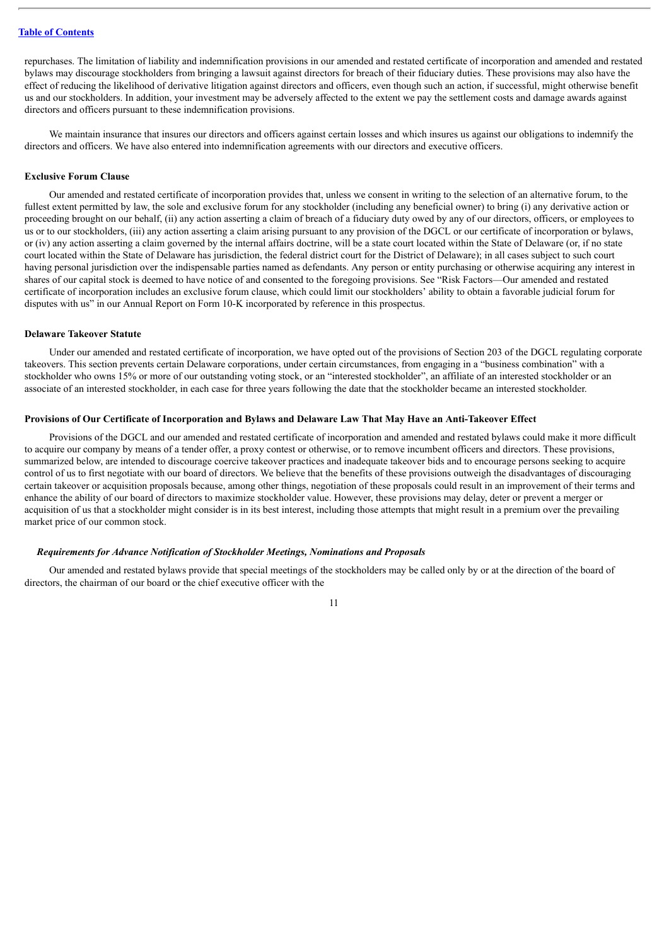repurchases. The limitation of liability and indemnification provisions in our amended and restated certificate of incorporation and amended and restated bylaws may discourage stockholders from bringing a lawsuit against directors for breach of their fiduciary duties. These provisions may also have the effect of reducing the likelihood of derivative litigation against directors and officers, even though such an action, if successful, might otherwise benefit us and our stockholders. In addition, your investment may be adversely affected to the extent we pay the settlement costs and damage awards against directors and officers pursuant to these indemnification provisions.

We maintain insurance that insures our directors and officers against certain losses and which insures us against our obligations to indemnify the directors and officers. We have also entered into indemnification agreements with our directors and executive officers.

### **Exclusive Forum Clause**

Our amended and restated certificate of incorporation provides that, unless we consent in writing to the selection of an alternative forum, to the fullest extent permitted by law, the sole and exclusive forum for any stockholder (including any beneficial owner) to bring (i) any derivative action or proceeding brought on our behalf, (ii) any action asserting a claim of breach of a fiduciary duty owed by any of our directors, officers, or employees to us or to our stockholders, (iii) any action asserting a claim arising pursuant to any provision of the DGCL or our certificate of incorporation or bylaws, or (iv) any action asserting a claim governed by the internal affairs doctrine, will be a state court located within the State of Delaware (or, if no state court located within the State of Delaware has jurisdiction, the federal district court for the District of Delaware); in all cases subject to such court having personal jurisdiction over the indispensable parties named as defendants. Any person or entity purchasing or otherwise acquiring any interest in shares of our capital stock is deemed to have notice of and consented to the foregoing provisions. See "Risk Factors—Our amended and restated certificate of incorporation includes an exclusive forum clause, which could limit our stockholders' ability to obtain a favorable judicial forum for disputes with us" in our Annual Report on Form 10-K incorporated by reference in this prospectus.

#### **Delaware Takeover Statute**

Under our amended and restated certificate of incorporation, we have opted out of the provisions of Section 203 of the DGCL regulating corporate takeovers. This section prevents certain Delaware corporations, under certain circumstances, from engaging in a "business combination" with a stockholder who owns 15% or more of our outstanding voting stock, or an "interested stockholder", an affiliate of an interested stockholder or an associate of an interested stockholder, in each case for three years following the date that the stockholder became an interested stockholder.

### Provisions of Our Certificate of Incorporation and Bylaws and Delaware Law That May Have an Anti-Takeover Effect

Provisions of the DGCL and our amended and restated certificate of incorporation and amended and restated bylaws could make it more difficult to acquire our company by means of a tender offer, a proxy contest or otherwise, or to remove incumbent officers and directors. These provisions, summarized below, are intended to discourage coercive takeover practices and inadequate takeover bids and to encourage persons seeking to acquire control of us to first negotiate with our board of directors. We believe that the benefits of these provisions outweigh the disadvantages of discouraging certain takeover or acquisition proposals because, among other things, negotiation of these proposals could result in an improvement of their terms and enhance the ability of our board of directors to maximize stockholder value. However, these provisions may delay, deter or prevent a merger or acquisition of us that a stockholder might consider is in its best interest, including those attempts that might result in a premium over the prevailing market price of our common stock.

### *Requirements for Advance Notification of Stockholder Meetings, Nominations and Proposals*

Our amended and restated bylaws provide that special meetings of the stockholders may be called only by or at the direction of the board of directors, the chairman of our board or the chief executive officer with the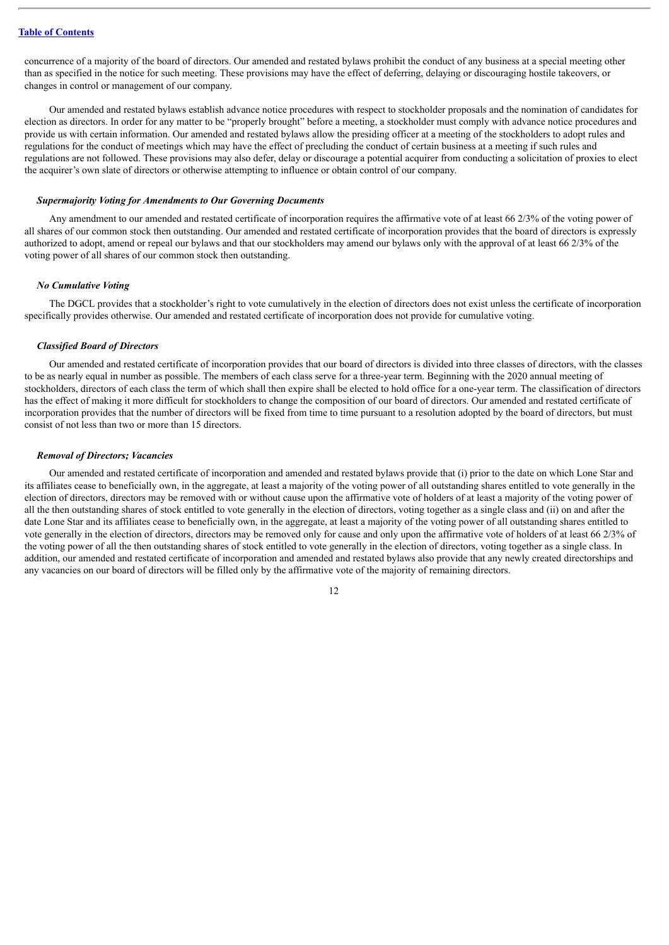concurrence of a majority of the board of directors. Our amended and restated bylaws prohibit the conduct of any business at a special meeting other than as specified in the notice for such meeting. These provisions may have the effect of deferring, delaying or discouraging hostile takeovers, or changes in control or management of our company.

Our amended and restated bylaws establish advance notice procedures with respect to stockholder proposals and the nomination of candidates for election as directors. In order for any matter to be "properly brought" before a meeting, a stockholder must comply with advance notice procedures and provide us with certain information. Our amended and restated bylaws allow the presiding officer at a meeting of the stockholders to adopt rules and regulations for the conduct of meetings which may have the effect of precluding the conduct of certain business at a meeting if such rules and regulations are not followed. These provisions may also defer, delay or discourage a potential acquirer from conducting a solicitation of proxies to elect the acquirer's own slate of directors or otherwise attempting to influence or obtain control of our company.

### *Supermajority Voting for Amendments to Our Governing Documents*

Any amendment to our amended and restated certificate of incorporation requires the affirmative vote of at least 66 2/3% of the voting power of all shares of our common stock then outstanding. Our amended and restated certificate of incorporation provides that the board of directors is expressly authorized to adopt, amend or repeal our bylaws and that our stockholders may amend our bylaws only with the approval of at least 66 2/3% of the voting power of all shares of our common stock then outstanding.

#### *No Cumulative Voting*

The DGCL provides that a stockholder's right to vote cumulatively in the election of directors does not exist unless the certificate of incorporation specifically provides otherwise. Our amended and restated certificate of incorporation does not provide for cumulative voting.

### *Classified Board of Directors*

Our amended and restated certificate of incorporation provides that our board of directors is divided into three classes of directors, with the classes to be as nearly equal in number as possible. The members of each class serve for a three-year term. Beginning with the 2020 annual meeting of stockholders, directors of each class the term of which shall then expire shall be elected to hold office for a one-year term. The classification of directors has the effect of making it more difficult for stockholders to change the composition of our board of directors. Our amended and restated certificate of incorporation provides that the number of directors will be fixed from time to time pursuant to a resolution adopted by the board of directors, but must consist of not less than two or more than 15 directors.

#### *Removal of Directors; Vacancies*

Our amended and restated certificate of incorporation and amended and restated bylaws provide that (i) prior to the date on which Lone Star and its affiliates cease to beneficially own, in the aggregate, at least a majority of the voting power of all outstanding shares entitled to vote generally in the election of directors, directors may be removed with or without cause upon the affirmative vote of holders of at least a majority of the voting power of all the then outstanding shares of stock entitled to vote generally in the election of directors, voting together as a single class and (ii) on and after the date Lone Star and its affiliates cease to beneficially own, in the aggregate, at least a majority of the voting power of all outstanding shares entitled to vote generally in the election of directors, directors may be removed only for cause and only upon the affirmative vote of holders of at least 66 2/3% of the voting power of all the then outstanding shares of stock entitled to vote generally in the election of directors, voting together as a single class. In addition, our amended and restated certificate of incorporation and amended and restated bylaws also provide that any newly created directorships and any vacancies on our board of directors will be filled only by the affirmative vote of the majority of remaining directors.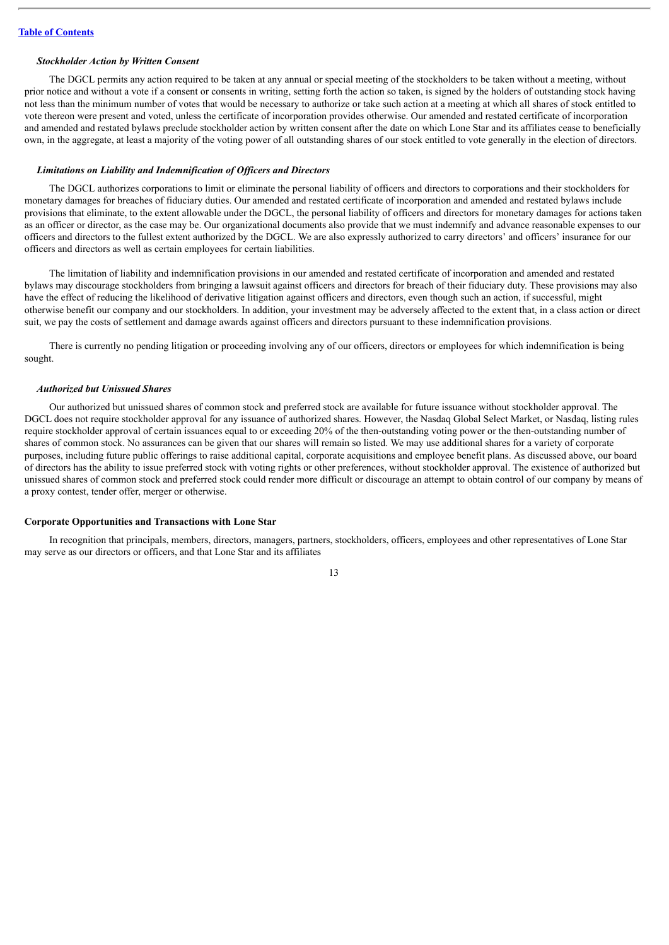#### *Stockholder Action by Written Consent*

The DGCL permits any action required to be taken at any annual or special meeting of the stockholders to be taken without a meeting, without prior notice and without a vote if a consent or consents in writing, setting forth the action so taken, is signed by the holders of outstanding stock having not less than the minimum number of votes that would be necessary to authorize or take such action at a meeting at which all shares of stock entitled to vote thereon were present and voted, unless the certificate of incorporation provides otherwise. Our amended and restated certificate of incorporation and amended and restated bylaws preclude stockholder action by written consent after the date on which Lone Star and its affiliates cease to beneficially own, in the aggregate, at least a majority of the voting power of all outstanding shares of our stock entitled to vote generally in the election of directors.

### *Limitations on Liability and Indemnification of Of icers and Directors*

The DGCL authorizes corporations to limit or eliminate the personal liability of officers and directors to corporations and their stockholders for monetary damages for breaches of fiduciary duties. Our amended and restated certificate of incorporation and amended and restated bylaws include provisions that eliminate, to the extent allowable under the DGCL, the personal liability of officers and directors for monetary damages for actions taken as an officer or director, as the case may be. Our organizational documents also provide that we must indemnify and advance reasonable expenses to our officers and directors to the fullest extent authorized by the DGCL. We are also expressly authorized to carry directors' and officers' insurance for our officers and directors as well as certain employees for certain liabilities.

The limitation of liability and indemnification provisions in our amended and restated certificate of incorporation and amended and restated bylaws may discourage stockholders from bringing a lawsuit against officers and directors for breach of their fiduciary duty. These provisions may also have the effect of reducing the likelihood of derivative litigation against officers and directors, even though such an action, if successful, might otherwise benefit our company and our stockholders. In addition, your investment may be adversely affected to the extent that, in a class action or direct suit, we pay the costs of settlement and damage awards against officers and directors pursuant to these indemnification provisions.

There is currently no pending litigation or proceeding involving any of our officers, directors or employees for which indemnification is being sought.

### *Authorized but Unissued Shares*

Our authorized but unissued shares of common stock and preferred stock are available for future issuance without stockholder approval. The DGCL does not require stockholder approval for any issuance of authorized shares. However, the Nasdaq Global Select Market, or Nasdaq, listing rules require stockholder approval of certain issuances equal to or exceeding 20% of the then-outstanding voting power or the then-outstanding number of shares of common stock. No assurances can be given that our shares will remain so listed. We may use additional shares for a variety of corporate purposes, including future public offerings to raise additional capital, corporate acquisitions and employee benefit plans. As discussed above, our board of directors has the ability to issue preferred stock with voting rights or other preferences, without stockholder approval. The existence of authorized but unissued shares of common stock and preferred stock could render more difficult or discourage an attempt to obtain control of our company by means of a proxy contest, tender offer, merger or otherwise.

### **Corporate Opportunities and Transactions with Lone Star**

In recognition that principals, members, directors, managers, partners, stockholders, officers, employees and other representatives of Lone Star may serve as our directors or officers, and that Lone Star and its affiliates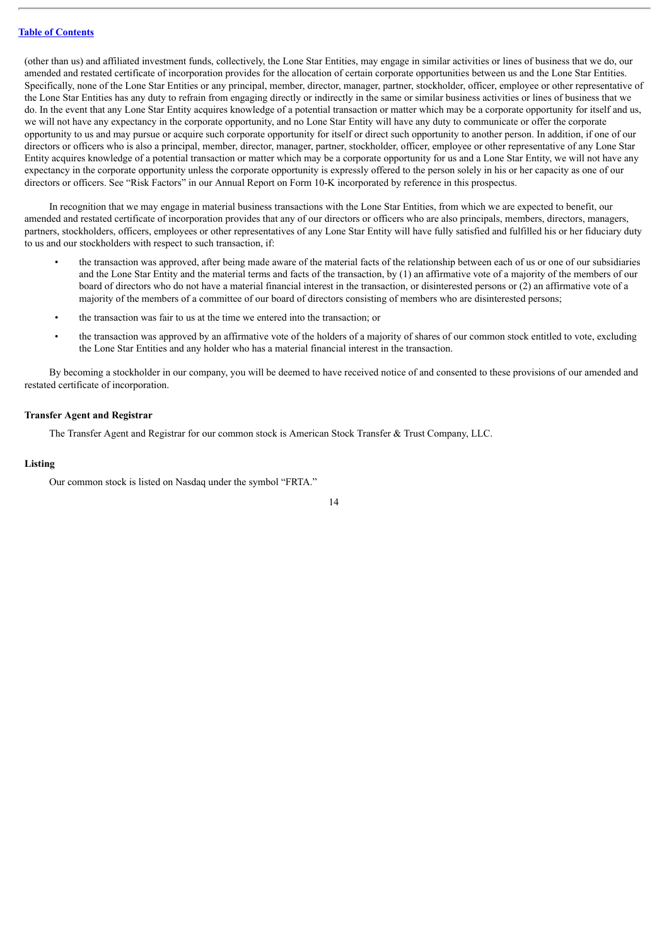(other than us) and affiliated investment funds, collectively, the Lone Star Entities, may engage in similar activities or lines of business that we do, our amended and restated certificate of incorporation provides for the allocation of certain corporate opportunities between us and the Lone Star Entities. Specifically, none of the Lone Star Entities or any principal, member, director, manager, partner, stockholder, officer, employee or other representative of the Lone Star Entities has any duty to refrain from engaging directly or indirectly in the same or similar business activities or lines of business that we do. In the event that any Lone Star Entity acquires knowledge of a potential transaction or matter which may be a corporate opportunity for itself and us, we will not have any expectancy in the corporate opportunity, and no Lone Star Entity will have any duty to communicate or offer the corporate opportunity to us and may pursue or acquire such corporate opportunity for itself or direct such opportunity to another person. In addition, if one of our directors or officers who is also a principal, member, director, manager, partner, stockholder, officer, employee or other representative of any Lone Star Entity acquires knowledge of a potential transaction or matter which may be a corporate opportunity for us and a Lone Star Entity, we will not have any expectancy in the corporate opportunity unless the corporate opportunity is expressly offered to the person solely in his or her capacity as one of our directors or officers. See "Risk Factors" in our Annual Report on Form 10-K incorporated by reference in this prospectus.

In recognition that we may engage in material business transactions with the Lone Star Entities, from which we are expected to benefit, our amended and restated certificate of incorporation provides that any of our directors or officers who are also principals, members, directors, managers, partners, stockholders, officers, employees or other representatives of any Lone Star Entity will have fully satisfied and fulfilled his or her fiduciary duty to us and our stockholders with respect to such transaction, if:

- the transaction was approved, after being made aware of the material facts of the relationship between each of us or one of our subsidiaries and the Lone Star Entity and the material terms and facts of the transaction, by (1) an affirmative vote of a majority of the members of our board of directors who do not have a material financial interest in the transaction, or disinterested persons or (2) an affirmative vote of a majority of the members of a committee of our board of directors consisting of members who are disinterested persons;
- the transaction was fair to us at the time we entered into the transaction; or
- the transaction was approved by an affirmative vote of the holders of a majority of shares of our common stock entitled to vote, excluding the Lone Star Entities and any holder who has a material financial interest in the transaction.

By becoming a stockholder in our company, you will be deemed to have received notice of and consented to these provisions of our amended and restated certificate of incorporation.

### **Transfer Agent and Registrar**

The Transfer Agent and Registrar for our common stock is American Stock Transfer & Trust Company, LLC.

### **Listing**

Our common stock is listed on Nasdaq under the symbol "FRTA."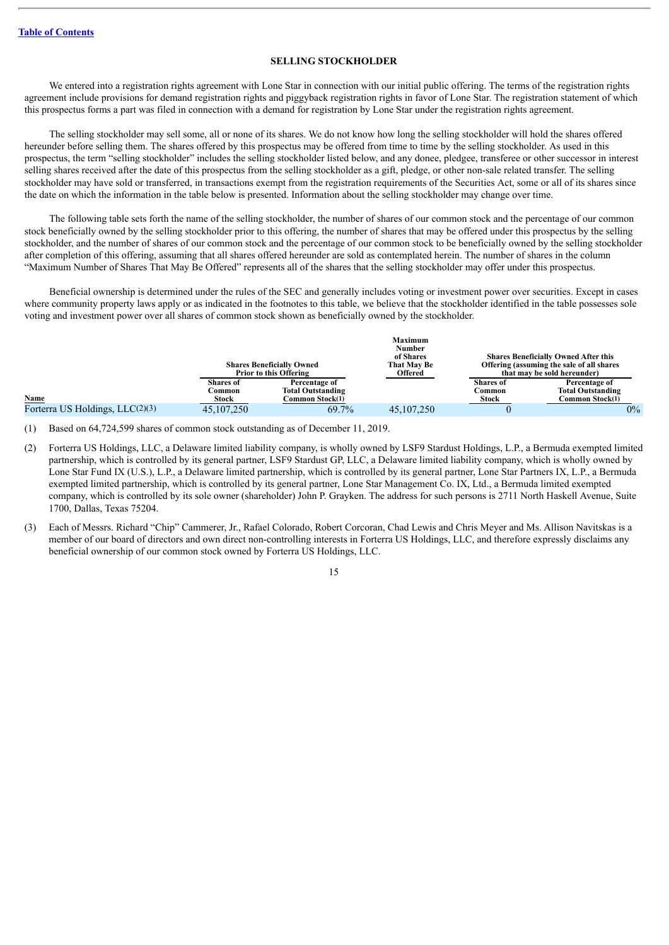### **SELLING STOCKHOLDER**

<span id="page-46-0"></span>We entered into a registration rights agreement with Lone Star in connection with our initial public offering. The terms of the registration rights agreement include provisions for demand registration rights and piggyback registration rights in favor of Lone Star. The registration statement of which this prospectus forms a part was filed in connection with a demand for registration by Lone Star under the registration rights agreement.

The selling stockholder may sell some, all or none of its shares. We do not know how long the selling stockholder will hold the shares offered hereunder before selling them. The shares offered by this prospectus may be offered from time to time by the selling stockholder. As used in this prospectus, the term "selling stockholder" includes the selling stockholder listed below, and any donee, pledgee, transferee or other successor in interest selling shares received after the date of this prospectus from the selling stockholder as a gift, pledge, or other non-sale related transfer. The selling stockholder may have sold or transferred, in transactions exempt from the registration requirements of the Securities Act, some or all of its shares since the date on which the information in the table below is presented. Information about the selling stockholder may change over time.

The following table sets forth the name of the selling stockholder, the number of shares of our common stock and the percentage of our common stock beneficially owned by the selling stockholder prior to this offering, the number of shares that may be offered under this prospectus by the selling stockholder, and the number of shares of our common stock and the percentage of our common stock to be beneficially owned by the selling stockholder after completion of this offering, assuming that all shares offered hereunder are sold as contemplated herein. The number of shares in the column "Maximum Number of Shares That May Be Offered" represents all of the shares that the selling stockholder may offer under this prospectus.

Beneficial ownership is determined under the rules of the SEC and generally includes voting or investment power over securities. Except in cases where community property laws apply or as indicated in the footnotes to this table, we believe that the stockholder identified in the table possesses sole voting and investment power over all shares of common stock shown as beneficially owned by the stockholder.

|                                 |              |                                  | <b>Maximum</b><br>Number |                             |                                             |
|---------------------------------|--------------|----------------------------------|--------------------------|-----------------------------|---------------------------------------------|
|                                 |              |                                  | of Shares                |                             | <b>Shares Beneficially Owned After this</b> |
|                                 |              | <b>Shares Beneficially Owned</b> | That May Be              |                             | Offering (assuming the sale of all shares   |
|                                 |              | <b>Prior to this Offering</b>    |                          | that may be sold hereunder) |                                             |
|                                 | Shares of    | Percentage of                    |                          | <b>Shares</b> of            | Percentage of                               |
|                                 | 2ommon       | <b>Total Outstanding</b>         |                          | Common                      | <b>Total Outstanding</b>                    |
| Name                            | Stock        | Common Stock(1)                  |                          | <b>Stock</b>                | Common Stock(1)                             |
| Forterra US Holdings, LLC(2)(3) | 45, 107, 250 | 69.7%                            | 45, 107, 250             |                             | $0\%$                                       |

(1) Based on 64,724,599 shares of common stock outstanding as of December 11, 2019.

- (2) Forterra US Holdings, LLC, a Delaware limited liability company, is wholly owned by LSF9 Stardust Holdings, L.P., a Bermuda exempted limited partnership, which is controlled by its general partner, LSF9 Stardust GP, LLC, a Delaware limited liability company, which is wholly owned by Lone Star Fund IX (U.S.), L.P., a Delaware limited partnership, which is controlled by its general partner, Lone Star Partners IX, L.P., a Bermuda exempted limited partnership, which is controlled by its general partner, Lone Star Management Co. IX, Ltd., a Bermuda limited exempted company, which is controlled by its sole owner (shareholder) John P. Grayken. The address for such persons is 2711 North Haskell Avenue, Suite 1700, Dallas, Texas 75204.
- (3) Each of Messrs. Richard "Chip" Cammerer, Jr., Rafael Colorado, Robert Corcoran, Chad Lewis and Chris Meyer and Ms. Allison Navitskas is a member of our board of directors and own direct non-controlling interests in Forterra US Holdings, LLC, and therefore expressly disclaims any beneficial ownership of our common stock owned by Forterra US Holdings, LLC.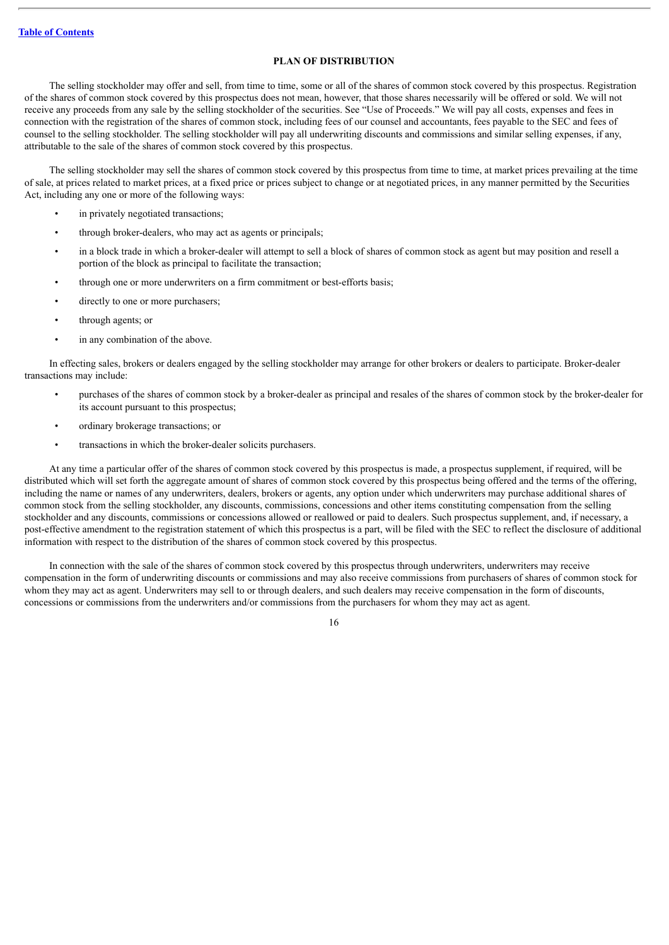### **PLAN OF DISTRIBUTION**

<span id="page-47-0"></span>The selling stockholder may offer and sell, from time to time, some or all of the shares of common stock covered by this prospectus. Registration of the shares of common stock covered by this prospectus does not mean, however, that those shares necessarily will be offered or sold. We will not receive any proceeds from any sale by the selling stockholder of the securities. See "Use of Proceeds." We will pay all costs, expenses and fees in connection with the registration of the shares of common stock, including fees of our counsel and accountants, fees payable to the SEC and fees of counsel to the selling stockholder. The selling stockholder will pay all underwriting discounts and commissions and similar selling expenses, if any, attributable to the sale of the shares of common stock covered by this prospectus.

The selling stockholder may sell the shares of common stock covered by this prospectus from time to time, at market prices prevailing at the time of sale, at prices related to market prices, at a fixed price or prices subject to change or at negotiated prices, in any manner permitted by the Securities Act, including any one or more of the following ways:

- in privately negotiated transactions;
- through broker-dealers, who may act as agents or principals;
- in a block trade in which a broker-dealer will attempt to sell a block of shares of common stock as agent but may position and resell a portion of the block as principal to facilitate the transaction;
- through one or more underwriters on a firm commitment or best-efforts basis;
- directly to one or more purchasers;
- through agents; or
- in any combination of the above.

In effecting sales, brokers or dealers engaged by the selling stockholder may arrange for other brokers or dealers to participate. Broker-dealer transactions may include:

- purchases of the shares of common stock by a broker-dealer as principal and resales of the shares of common stock by the broker-dealer for its account pursuant to this prospectus;
- ordinary brokerage transactions; or
- transactions in which the broker-dealer solicits purchasers.

At any time a particular offer of the shares of common stock covered by this prospectus is made, a prospectus supplement, if required, will be distributed which will set forth the aggregate amount of shares of common stock covered by this prospectus being offered and the terms of the offering, including the name or names of any underwriters, dealers, brokers or agents, any option under which underwriters may purchase additional shares of common stock from the selling stockholder, any discounts, commissions, concessions and other items constituting compensation from the selling stockholder and any discounts, commissions or concessions allowed or reallowed or paid to dealers. Such prospectus supplement, and, if necessary, a post-effective amendment to the registration statement of which this prospectus is a part, will be filed with the SEC to reflect the disclosure of additional information with respect to the distribution of the shares of common stock covered by this prospectus.

In connection with the sale of the shares of common stock covered by this prospectus through underwriters, underwriters may receive compensation in the form of underwriting discounts or commissions and may also receive commissions from purchasers of shares of common stock for whom they may act as agent. Underwriters may sell to or through dealers, and such dealers may receive compensation in the form of discounts, concessions or commissions from the underwriters and/or commissions from the purchasers for whom they may act as agent.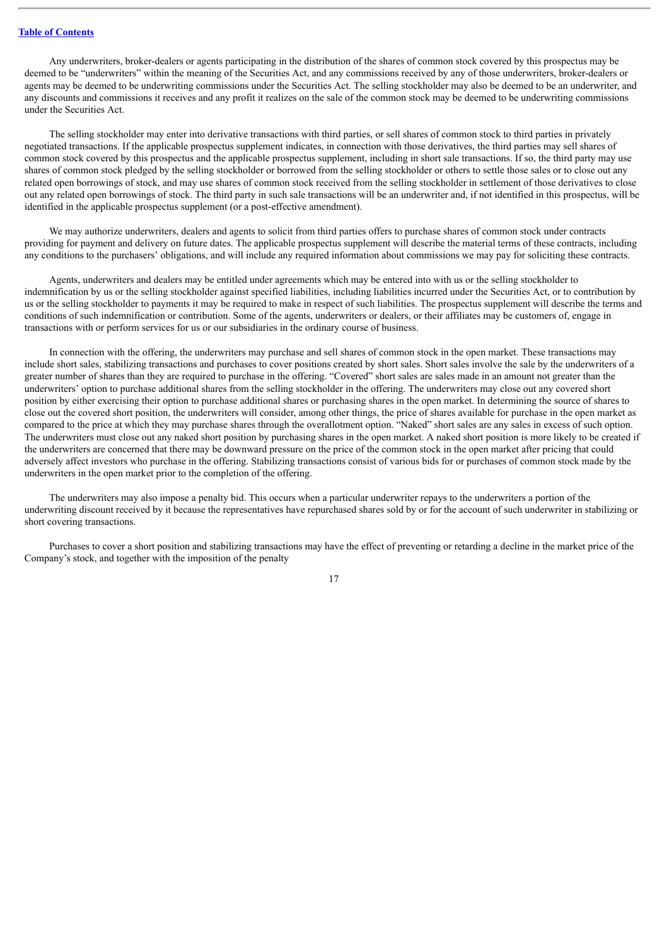### **Table of [Contents](#page-1-0)**

Any underwriters, broker-dealers or agents participating in the distribution of the shares of common stock covered by this prospectus may be deemed to be "underwriters" within the meaning of the Securities Act, and any commissions received by any of those underwriters, broker-dealers or agents may be deemed to be underwriting commissions under the Securities Act. The selling stockholder may also be deemed to be an underwriter, and any discounts and commissions it receives and any profit it realizes on the sale of the common stock may be deemed to be underwriting commissions under the Securities Act.

The selling stockholder may enter into derivative transactions with third parties, or sell shares of common stock to third parties in privately negotiated transactions. If the applicable prospectus supplement indicates, in connection with those derivatives, the third parties may sell shares of common stock covered by this prospectus and the applicable prospectus supplement, including in short sale transactions. If so, the third party may use shares of common stock pledged by the selling stockholder or borrowed from the selling stockholder or others to settle those sales or to close out any related open borrowings of stock, and may use shares of common stock received from the selling stockholder in settlement of those derivatives to close out any related open borrowings of stock. The third party in such sale transactions will be an underwriter and, if not identified in this prospectus, will be identified in the applicable prospectus supplement (or a post-effective amendment).

We may authorize underwriters, dealers and agents to solicit from third parties offers to purchase shares of common stock under contracts providing for payment and delivery on future dates. The applicable prospectus supplement will describe the material terms of these contracts, including any conditions to the purchasers' obligations, and will include any required information about commissions we may pay for soliciting these contracts.

Agents, underwriters and dealers may be entitled under agreements which may be entered into with us or the selling stockholder to indemnification by us or the selling stockholder against specified liabilities, including liabilities incurred under the Securities Act, or to contribution by us or the selling stockholder to payments it may be required to make in respect of such liabilities. The prospectus supplement will describe the terms and conditions of such indemnification or contribution. Some of the agents, underwriters or dealers, or their affiliates may be customers of, engage in transactions with or perform services for us or our subsidiaries in the ordinary course of business.

In connection with the offering, the underwriters may purchase and sell shares of common stock in the open market. These transactions may include short sales, stabilizing transactions and purchases to cover positions created by short sales. Short sales involve the sale by the underwriters of a greater number of shares than they are required to purchase in the offering. "Covered" short sales are sales made in an amount not greater than the underwriters' option to purchase additional shares from the selling stockholder in the offering. The underwriters may close out any covered short position by either exercising their option to purchase additional shares or purchasing shares in the open market. In determining the source of shares to close out the covered short position, the underwriters will consider, among other things, the price of shares available for purchase in the open market as compared to the price at which they may purchase shares through the overallotment option. "Naked" short sales are any sales in excess of such option. The underwriters must close out any naked short position by purchasing shares in the open market. A naked short position is more likely to be created if the underwriters are concerned that there may be downward pressure on the price of the common stock in the open market after pricing that could adversely affect investors who purchase in the offering. Stabilizing transactions consist of various bids for or purchases of common stock made by the underwriters in the open market prior to the completion of the offering.

The underwriters may also impose a penalty bid. This occurs when a particular underwriter repays to the underwriters a portion of the underwriting discount received by it because the representatives have repurchased shares sold by or for the account of such underwriter in stabilizing or short covering transactions.

Purchases to cover a short position and stabilizing transactions may have the effect of preventing or retarding a decline in the market price of the Company's stock, and together with the imposition of the penalty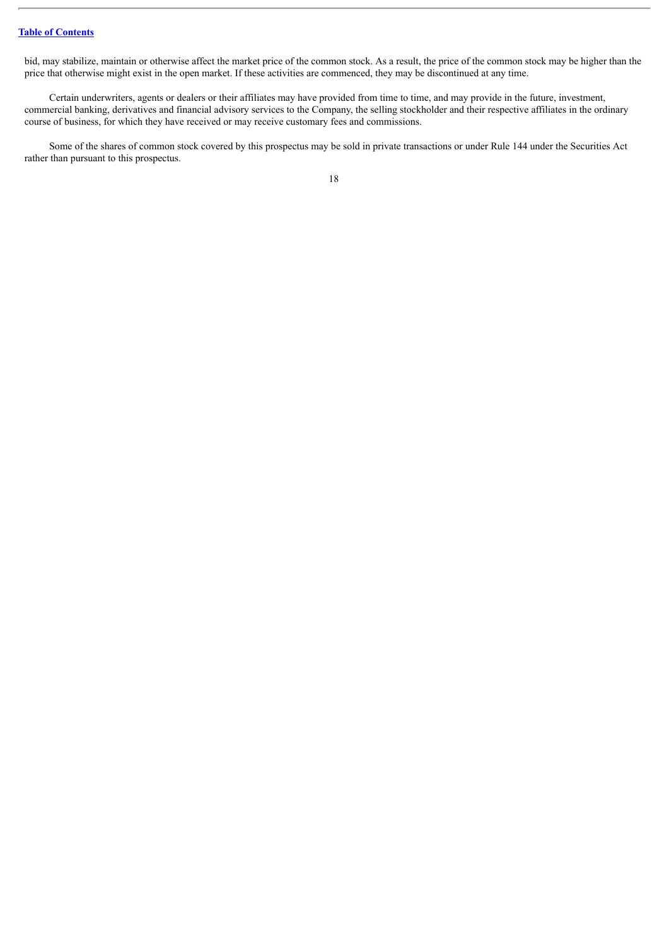bid, may stabilize, maintain or otherwise affect the market price of the common stock. As a result, the price of the common stock may be higher than the price that otherwise might exist in the open market. If these activities are commenced, they may be discontinued at any time.

Certain underwriters, agents or dealers or their affiliates may have provided from time to time, and may provide in the future, investment, commercial banking, derivatives and financial advisory services to the Company, the selling stockholder and their respective affiliates in the ordinary course of business, for which they have received or may receive customary fees and commissions.

Some of the shares of common stock covered by this prospectus may be sold in private transactions or under Rule 144 under the Securities Act rather than pursuant to this prospectus.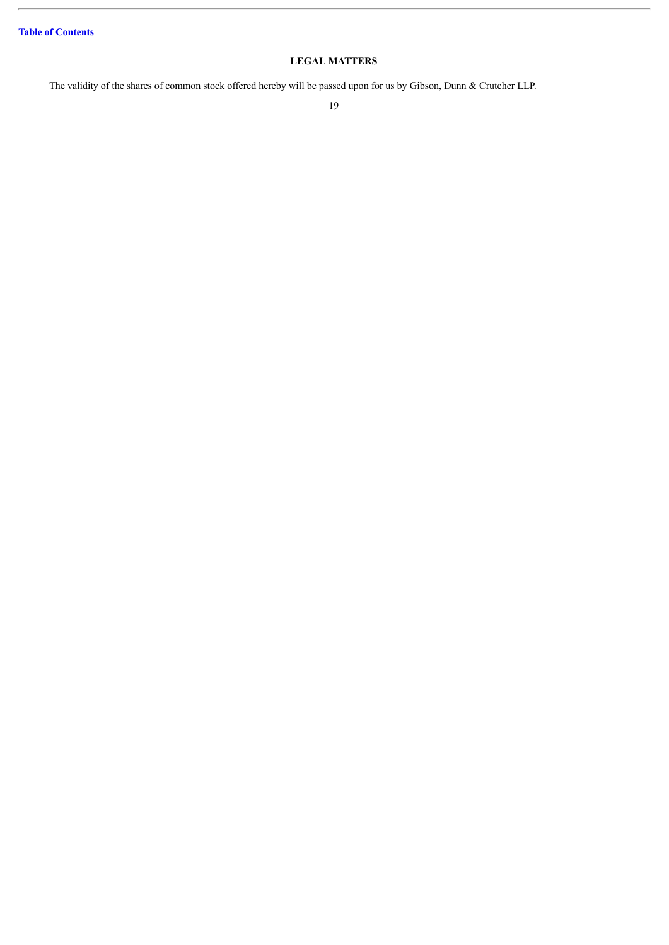### **LEGAL MATTERS**

<span id="page-50-0"></span>The validity of the shares of common stock offered hereby will be passed upon for us by Gibson, Dunn & Crutcher LLP.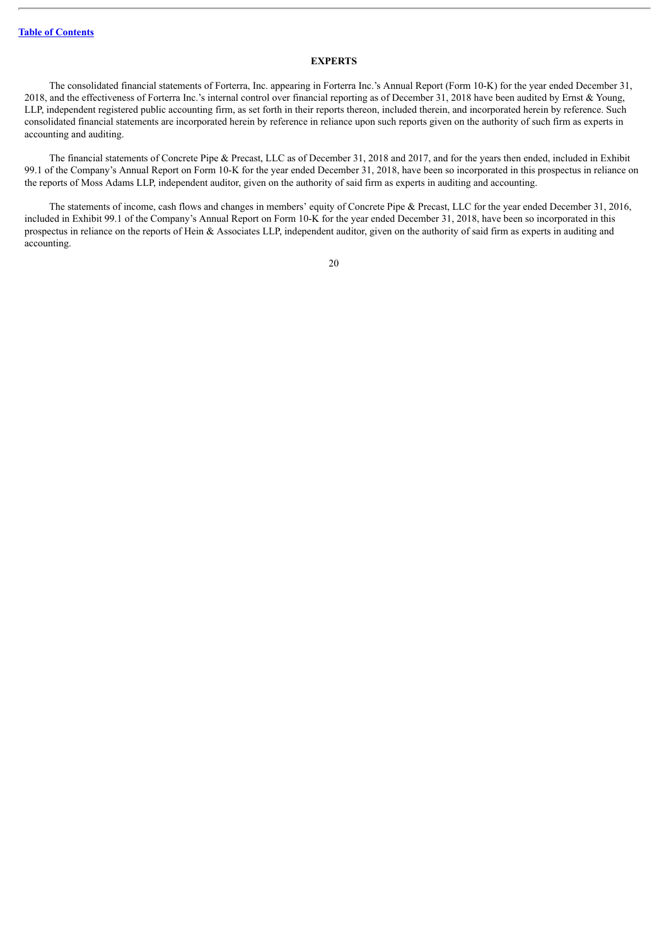### **EXPERTS**

<span id="page-51-0"></span>The consolidated financial statements of Forterra, Inc. appearing in Forterra Inc.'s Annual Report (Form 10-K) for the year ended December 31, 2018, and the effectiveness of Forterra Inc.'s internal control over financial reporting as of December 31, 2018 have been audited by Ernst & Young, LLP, independent registered public accounting firm, as set forth in their reports thereon, included therein, and incorporated herein by reference. Such consolidated financial statements are incorporated herein by reference in reliance upon such reports given on the authority of such firm as experts in accounting and auditing.

The financial statements of Concrete Pipe & Precast, LLC as of December 31, 2018 and 2017, and for the years then ended, included in Exhibit 99.1 of the Company's Annual Report on Form 10-K for the year ended December 31, 2018, have been so incorporated in this prospectus in reliance on the reports of Moss Adams LLP, independent auditor, given on the authority of said firm as experts in auditing and accounting.

The statements of income, cash flows and changes in members' equity of Concrete Pipe & Precast, LLC for the year ended December 31, 2016, included in Exhibit 99.1 of the Company's Annual Report on Form 10-K for the year ended December 31, 2018, have been so incorporated in this prospectus in reliance on the reports of Hein & Associates LLP, independent auditor, given on the authority of said firm as experts in auditing and accounting.